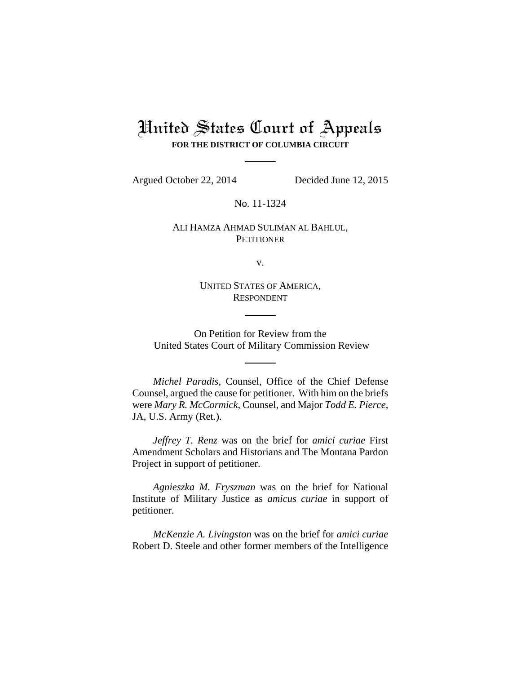# United States Court of Appeals **FOR THE DISTRICT OF COLUMBIA CIRCUIT**

Argued October 22, 2014 Decided June 12, 2015

No. 11-1324

# ALI HAMZA AHMAD SULIMAN AL BAHLUL, **PETITIONER**

v.

UNITED STATES OF AMERICA, RESPONDENT

On Petition for Review from the United States Court of Military Commission Review

*Michel Paradis*, Counsel, Office of the Chief Defense Counsel, argued the cause for petitioner. With him on the briefs were *Mary R. McCormick*, Counsel, and Major *Todd E. Pierce*, JA, U.S. Army (Ret.).

*Jeffrey T. Renz* was on the brief for *amici curiae* First Amendment Scholars and Historians and The Montana Pardon Project in support of petitioner.

*Agnieszka M. Fryszman* was on the brief for National Institute of Military Justice as *amicus curiae* in support of petitioner.

*McKenzie A. Livingston* was on the brief for *amici curiae* Robert D. Steele and other former members of the Intelligence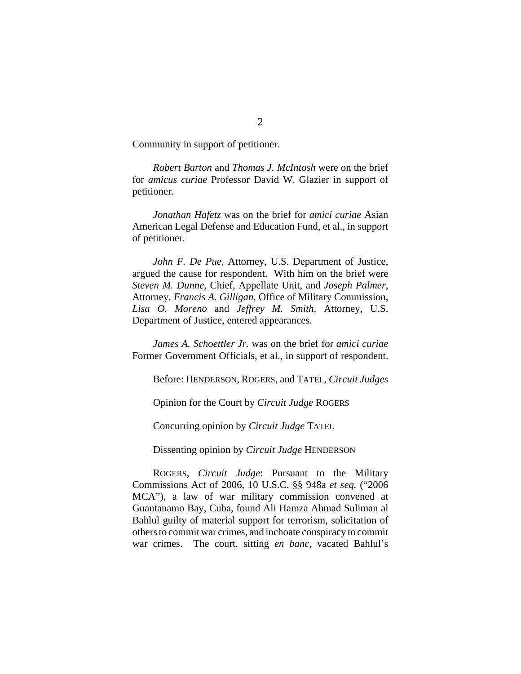Community in support of petitioner.

*Robert Barton* and *Thomas J. McIntosh* were on the brief for *amicus curiae* Professor David W. Glazier in support of petitioner.

*Jonathan Hafetz* was on the brief for *amici curiae* Asian American Legal Defense and Education Fund, et al., in support of petitioner.

*John F. De Pue*, Attorney, U.S. Department of Justice, argued the cause for respondent. With him on the brief were *Steven M. Dunne*, Chief, Appellate Unit, and *Joseph Palmer*, Attorney. *Francis A. Gilligan*, Office of Military Commission, *Lisa O. Moreno* and *Jeffrey M. Smith*, Attorney, U.S. Department of Justice, entered appearances.

*James A. Schoettler Jr.* was on the brief for *amici curiae* Former Government Officials, et al., in support of respondent.

Before: HENDERSON, ROGERS, and TATEL, *Circuit Judges*

Opinion for the Court by *Circuit Judge* ROGERS

Concurring opinion by *Circuit Judge* TATEL

Dissenting opinion by *Circuit Judge* HENDERSON

ROGERS, *Circuit Judge*: Pursuant to the Military Commissions Act of 2006, 10 U.S.C. §§ 948a *et seq.* ("2006 MCA"), a law of war military commission convened at Guantanamo Bay, Cuba, found Ali Hamza Ahmad Suliman al Bahlul guilty of material support for terrorism, solicitation of others to commit war crimes, and inchoate conspiracy to commit war crimes. The court, sitting *en banc*, vacated Bahlul's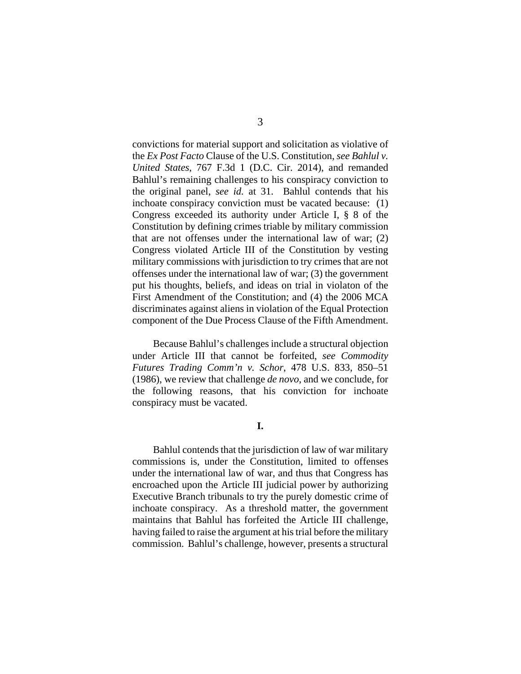convictions for material support and solicitation as violative of the *Ex Post Facto* Clause of the U.S. Constitution, *see Bahlul v. United States*, 767 F.3d 1 (D.C. Cir. 2014), and remanded Bahlul's remaining challenges to his conspiracy conviction to the original panel, *see id.* at 31. Bahlul contends that his inchoate conspiracy conviction must be vacated because: (1) Congress exceeded its authority under Article I, § 8 of the Constitution by defining crimes triable by military commission that are not offenses under the international law of war; (2) Congress violated Article III of the Constitution by vesting military commissions with jurisdiction to try crimes that are not offenses under the international law of war; (3) the government put his thoughts, beliefs, and ideas on trial in violaton of the First Amendment of the Constitution; and (4) the 2006 MCA discriminates against aliens in violation of the Equal Protection component of the Due Process Clause of the Fifth Amendment.

Because Bahlul's challenges include a structural objection under Article III that cannot be forfeited, *see Commodity Futures Trading Comm'n v. Schor*, 478 U.S. 833, 850–51 (1986), we review that challenge *de novo*, and we conclude, for the following reasons, that his conviction for inchoate conspiracy must be vacated.

**I.**

Bahlul contends that the jurisdiction of law of war military commissions is, under the Constitution, limited to offenses under the international law of war, and thus that Congress has encroached upon the Article III judicial power by authorizing Executive Branch tribunals to try the purely domestic crime of inchoate conspiracy. As a threshold matter, the government maintains that Bahlul has forfeited the Article III challenge, having failed to raise the argument at his trial before the military commission. Bahlul's challenge, however, presents a structural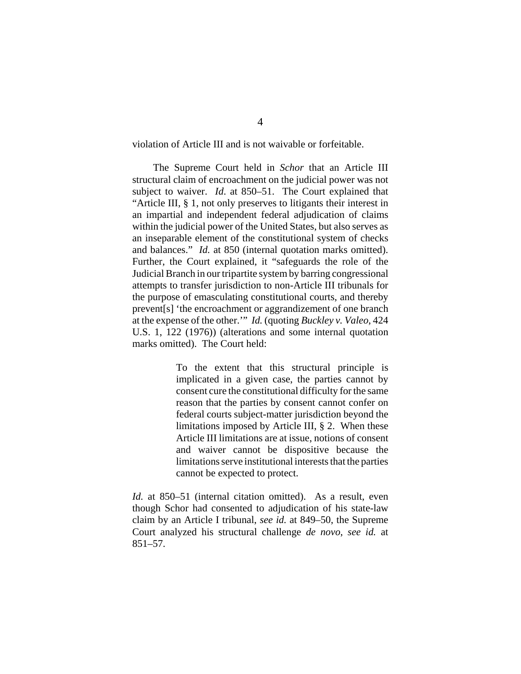violation of Article III and is not waivable or forfeitable.

The Supreme Court held in *Schor* that an Article III structural claim of encroachment on the judicial power was not subject to waiver. *Id*. at 850–51. The Court explained that "Article III, § 1, not only preserves to litigants their interest in an impartial and independent federal adjudication of claims within the judicial power of the United States, but also serves as an inseparable element of the constitutional system of checks and balances." *Id.* at 850 (internal quotation marks omitted). Further, the Court explained, it "safeguards the role of the Judicial Branch in our tripartite system by barring congressional attempts to transfer jurisdiction to non-Article III tribunals for the purpose of emasculating constitutional courts, and thereby prevent[s] 'the encroachment or aggrandizement of one branch at the expense of the other.'" *Id.* (quoting *Buckley v. Valeo*, 424 U.S. 1, 122 (1976)) (alterations and some internal quotation marks omitted). The Court held:

> To the extent that this structural principle is implicated in a given case, the parties cannot by consent cure the constitutional difficulty for the same reason that the parties by consent cannot confer on federal courts subject-matter jurisdiction beyond the limitations imposed by Article III, § 2. When these Article III limitations are at issue, notions of consent and waiver cannot be dispositive because the limitations serve institutional interests that the parties cannot be expected to protect.

*Id.* at 850–51 (internal citation omitted). As a result, even though Schor had consented to adjudication of his state-law claim by an Article I tribunal, *see id.* at 849–50, the Supreme Court analyzed his structural challenge *de novo*, *see id.* at 851–57.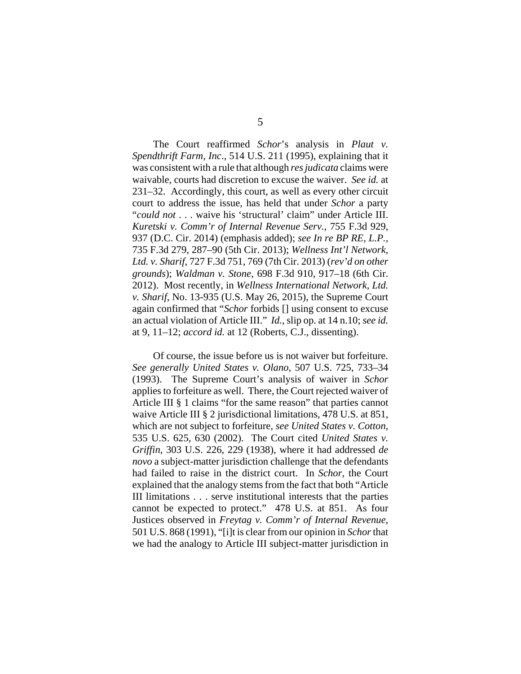The Court reaffirmed *Schor*'s analysis in *Plaut v. Spendthrift Farm, Inc*., 514 U.S. 211 (1995), explaining that it was consistent with a rule that although *res judicata* claims were waivable, courts had discretion to excuse the waiver. *See id.* at 231–32. Accordingly, this court, as well as every other circuit court to address the issue, has held that under *Schor* a party "*could not* . . . waive his 'structural' claim" under Article III. *Kuretski v. Comm'r of Internal Revenue Serv.*, 755 F.3d 929, 937 (D.C. Cir. 2014) (emphasis added); *see In re BP RE, L.P.*, 735 F.3d 279, 287–90 (5th Cir. 2013); *Wellness Int'l Network, Ltd. v. Sharif*, 727 F.3d 751, 769 (7th Cir. 2013) (*rev'd on other grounds*); *Waldman v. Stone*, 698 F.3d 910, 917–18 (6th Cir. 2012). Most recently, in *Wellness International Network, Ltd. v. Sharif*, No. 13-935 (U.S. May 26, 2015), the Supreme Court again confirmed that "*Schor* forbids [] using consent to excuse an actual violation of Article III." *Id.*, slip op. at 14 n.10; *see id.* at 9, 11–12; *accord id.* at 12 (Roberts, C.J., dissenting).

Of course, the issue before us is not waiver but forfeiture. *See generally United States v. Olano*, 507 U.S. 725, 733–34 (1993). The Supreme Court's analysis of waiver in *Schor* applies to forfeiture as well. There, the Court rejected waiver of Article III § 1 claims "for the same reason" that parties cannot waive Article III § 2 jurisdictional limitations, 478 U.S. at 851, which are not subject to forfeiture, *see United States v. Cotton*, 535 U.S. 625, 630 (2002). The Court cited *United States v. Griffin*, 303 U.S. 226, 229 (1938), where it had addressed *de novo* a subject-matter jurisdiction challenge that the defendants had failed to raise in the district court. In *Schor*, the Court explained that the analogy stems from the fact that both "Article III limitations . . . serve institutional interests that the parties cannot be expected to protect." 478 U.S. at 851. As four Justices observed in *Freytag v. Comm'r of Internal Revenue*, 501 U.S. 868 (1991), "[i]t is clear from our opinion in *Schor* that we had the analogy to Article III subject-matter jurisdiction in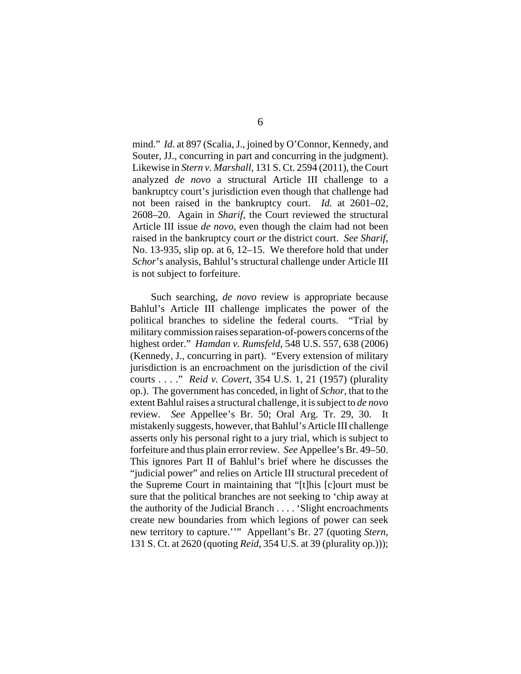mind." *Id*. at 897 (Scalia, J., joined by O'Connor, Kennedy, and Souter, JJ., concurring in part and concurring in the judgment). Likewise in *Stern v. Marshall*, 131 S. Ct. 2594 (2011), the Court analyzed *de novo* a structural Article III challenge to a bankruptcy court's jurisdiction even though that challenge had not been raised in the bankruptcy court. *Id.* at 2601–02, 2608–20. Again in *Sharif*, the Court reviewed the structural Article III issue *de novo*, even though the claim had not been raised in the bankruptcy court *or* the district court. *See Sharif*, No. 13-935, slip op. at 6, 12–15. We therefore hold that under *Schor*'s analysis, Bahlul's structural challenge under Article III is not subject to forfeiture.

Such searching, *de novo* review is appropriate because Bahlul's Article III challenge implicates the power of the political branches to sideline the federal courts. "Trial by military commission raises separation-of-powers concerns of the highest order." *Hamdan v. Rumsfeld*, 548 U.S. 557, 638 (2006) (Kennedy, J., concurring in part). "Every extension of military jurisdiction is an encroachment on the jurisdiction of the civil courts . . . ." *Reid v. Covert*, 354 U.S. 1, 21 (1957) (plurality op.). The government has conceded, in light of *Schor*, that to the extent Bahlul raises a structural challenge, it is subject to *de novo* review. *See* Appellee's Br. 50; Oral Arg. Tr. 29, 30. It mistakenly suggests, however, that Bahlul's Article III challenge asserts only his personal right to a jury trial, which is subject to forfeiture and thus plain error review. *See* Appellee's Br. 49–50. This ignores Part II of Bahlul's brief where he discusses the "judicial power" and relies on Article III structural precedent of the Supreme Court in maintaining that "[t]his [c]ourt must be sure that the political branches are not seeking to 'chip away at the authority of the Judicial Branch . . . . 'Slight encroachments create new boundaries from which legions of power can seek new territory to capture.''" Appellant's Br. 27 (quoting *Stern*, 131 S. Ct. at 2620 (quoting *Reid*, 354 U.S. at 39 (plurality op.)));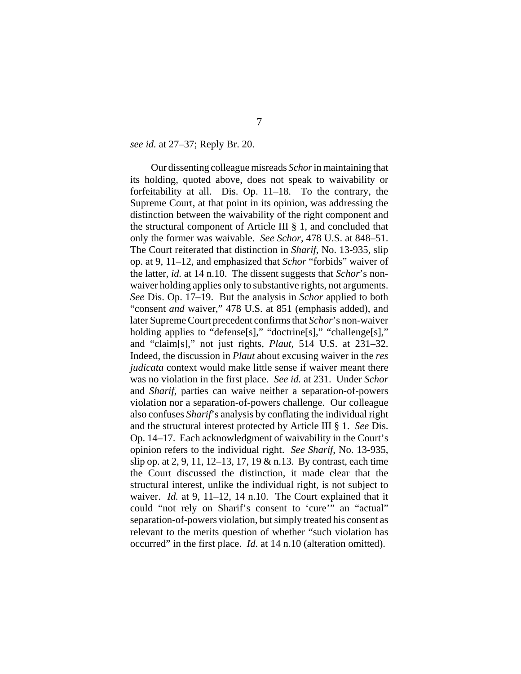#### *see id.* at 27–37; Reply Br. 20.

Our dissenting colleague misreads *Schor* in maintaining that its holding, quoted above, does not speak to waivability or forfeitability at all. Dis. Op. 11–18. To the contrary, the Supreme Court, at that point in its opinion, was addressing the distinction between the waivability of the right component and the structural component of Article III § 1, and concluded that only the former was waivable. *See Schor*, 478 U.S. at 848–51. The Court reiterated that distinction in *Sharif*, No. 13-935, slip op. at 9, 11–12, and emphasized that *Schor* "forbids" waiver of the latter, *id.* at 14 n.10. The dissent suggests that *Schor*'s nonwaiver holding applies only to substantive rights, not arguments. *See* Dis. Op. 17–19. But the analysis in *Schor* applied to both "consent *and* waiver," 478 U.S. at 851 (emphasis added), and later Supreme Court precedent confirms that *Schor*'s non-waiver holding applies to "defense[s]," "doctrine[s]," "challenge[s]," and "claim[s]," not just rights, *Plaut*, 514 U.S. at 231–32. Indeed, the discussion in *Plaut* about excusing waiver in the *res judicata* context would make little sense if waiver meant there was no violation in the first place. *See id.* at 231. Under *Schor* and *Sharif*, parties can waive neither a separation-of-powers violation nor a separation-of-powers challenge. Our colleague also confuses *Sharif*'s analysis by conflating the individual right and the structural interest protected by Article III § 1. *See* Dis. Op. 14–17. Each acknowledgment of waivability in the Court's opinion refers to the individual right. *See Sharif*, No. 13-935, slip op. at 2, 9, 11, 12–13, 17, 19 & n.13. By contrast, each time the Court discussed the distinction, it made clear that the structural interest, unlike the individual right, is not subject to waiver. *Id.* at 9, 11–12, 14 n.10. The Court explained that it could "not rely on Sharif's consent to 'cure'" an "actual" separation-of-powers violation, but simply treated his consent as relevant to the merits question of whether "such violation has occurred" in the first place. *Id*. at 14 n.10 (alteration omitted).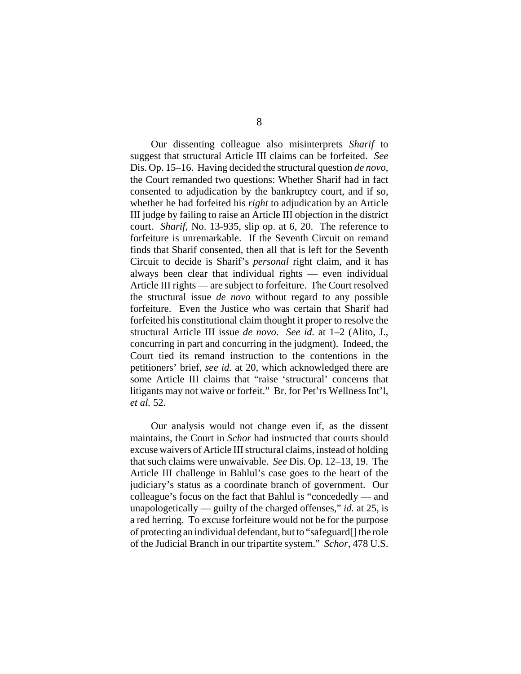Our dissenting colleague also misinterprets *Sharif* to suggest that structural Article III claims can be forfeited. *See* Dis. Op. 15–16. Having decided the structural question *de novo*, the Court remanded two questions: Whether Sharif had in fact consented to adjudication by the bankruptcy court, and if so, whether he had forfeited his *right* to adjudication by an Article III judge by failing to raise an Article III objection in the district court. *Sharif*, No. 13-935, slip op. at 6, 20. The reference to forfeiture is unremarkable. If the Seventh Circuit on remand finds that Sharif consented, then all that is left for the Seventh Circuit to decide is Sharif's *personal* right claim, and it has always been clear that individual rights — even individual Article III rights — are subject to forfeiture. The Court resolved the structural issue *de novo* without regard to any possible forfeiture. Even the Justice who was certain that Sharif had forfeited his constitutional claim thought it proper to resolve the structural Article III issue *de novo*. *See id.* at 1–2 (Alito, J., concurring in part and concurring in the judgment). Indeed, the Court tied its remand instruction to the contentions in the petitioners' brief, *see id.* at 20, which acknowledged there are some Article III claims that "raise 'structural' concerns that litigants may not waive or forfeit." Br. for Pet'rs Wellness Int'l, *et al.* 52.

Our analysis would not change even if, as the dissent maintains, the Court in *Schor* had instructed that courts should excuse waivers of Article III structural claims, instead of holding that such claims were unwaivable. *See* Dis. Op. 12–13, 19. The Article III challenge in Bahlul's case goes to the heart of the judiciary's status as a coordinate branch of government. Our colleague's focus on the fact that Bahlul is "concededly — and unapologetically — guilty of the charged offenses," *id.* at 25, is a red herring. To excuse forfeiture would not be for the purpose of protecting an individual defendant, but to "safeguard[] the role of the Judicial Branch in our tripartite system." *Schor*, 478 U.S.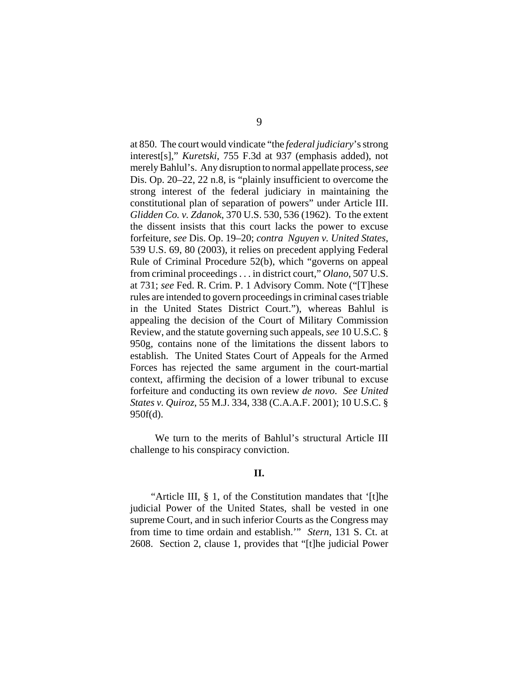at 850. The court would vindicate "the *federal judiciary*'s strong interest[s]," *Kuretski*, 755 F.3d at 937 (emphasis added), not merely Bahlul's. Any disruption to normal appellate process, *see* Dis. Op. 20–22, 22 n.8, is "plainly insufficient to overcome the strong interest of the federal judiciary in maintaining the constitutional plan of separation of powers" under Article III. *Glidden Co. v. Zdanok*, 370 U.S. 530, 536 (1962). To the extent the dissent insists that this court lacks the power to excuse forfeiture, *see* Dis. Op. 19–20; *contra Nguyen v. United States*, 539 U.S. 69, 80 (2003), it relies on precedent applying Federal Rule of Criminal Procedure 52(b), which "governs on appeal from criminal proceedings . . . in district court," *Olano*, 507 U.S. at 731; *see* Fed. R. Crim. P. 1 Advisory Comm. Note ("[T]hese rules are intended to govern proceedings in criminal cases triable in the United States District Court."), whereas Bahlul is appealing the decision of the Court of Military Commission Review, and the statute governing such appeals, *see* 10 U.S.C. § 950g, contains none of the limitations the dissent labors to establish. The United States Court of Appeals for the Armed Forces has rejected the same argument in the court-martial context, affirming the decision of a lower tribunal to excuse forfeiture and conducting its own review *de novo*. *See United States v. Quiroz*, 55 M.J. 334, 338 (C.A.A.F. 2001); 10 U.S.C. § 950f(d).

We turn to the merits of Bahlul's structural Article III challenge to his conspiracy conviction.

## **II.**

"Article III, § 1, of the Constitution mandates that '[t]he judicial Power of the United States, shall be vested in one supreme Court, and in such inferior Courts as the Congress may from time to time ordain and establish.'" *Stern*, 131 S. Ct. at 2608. Section 2, clause 1, provides that "[t]he judicial Power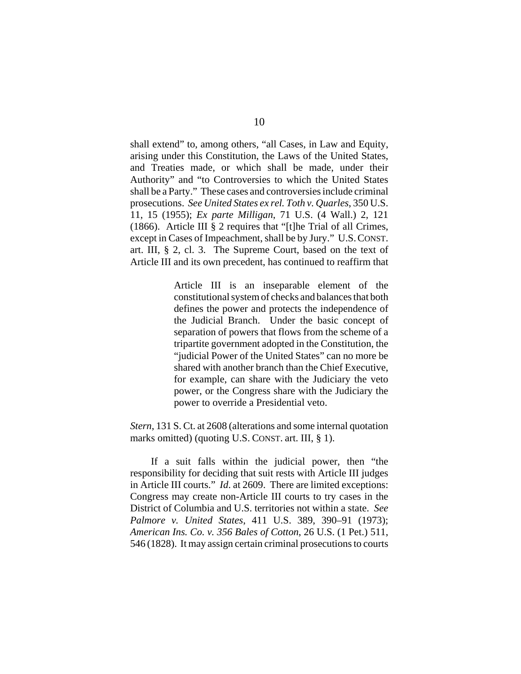shall extend" to, among others, "all Cases, in Law and Equity, arising under this Constitution, the Laws of the United States, and Treaties made, or which shall be made, under their Authority" and "to Controversies to which the United States shall be a Party." These cases and controversies include criminal prosecutions. *See United States ex rel. Toth v. Quarles*, 350 U.S. 11, 15 (1955); *Ex parte Milligan*, 71 U.S. (4 Wall.) 2, 121 (1866). Article III § 2 requires that "[t]he Trial of all Crimes, except in Cases of Impeachment, shall be by Jury." U.S.CONST. art. III, § 2, cl. 3. The Supreme Court, based on the text of Article III and its own precedent, has continued to reaffirm that

> Article III is an inseparable element of the constitutional system of checks and balances that both defines the power and protects the independence of the Judicial Branch. Under the basic concept of separation of powers that flows from the scheme of a tripartite government adopted in the Constitution, the "judicial Power of the United States" can no more be shared with another branch than the Chief Executive, for example, can share with the Judiciary the veto power, or the Congress share with the Judiciary the power to override a Presidential veto.

*Stern*, 131 S. Ct. at 2608 (alterations and some internal quotation marks omitted) (quoting U.S. CONST. art. III, § 1).

If a suit falls within the judicial power, then "the responsibility for deciding that suit rests with Article III judges in Article III courts." *Id*. at 2609. There are limited exceptions: Congress may create non-Article III courts to try cases in the District of Columbia and U.S. territories not within a state. *See Palmore v. United States*, 411 U.S. 389, 390–91 (1973); *American Ins. Co. v. 356 Bales of Cotton*, 26 U.S. (1 Pet.) 511, 546 (1828). It may assign certain criminal prosecutions to courts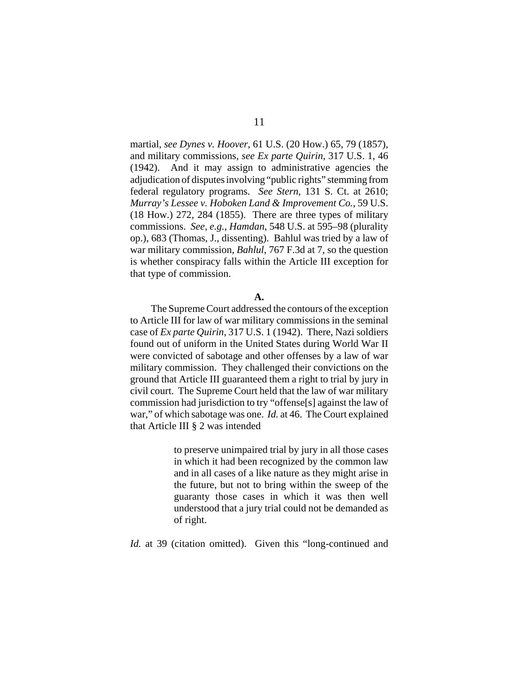martial, *see Dynes v. Hoover*, 61 U.S. (20 How.) 65, 79 (1857), and military commissions, *see Ex parte Quirin*, 317 U.S. 1, 46 (1942). And it may assign to administrative agencies the adjudication of disputes involving "public rights" stemming from federal regulatory programs. *See Stern*, 131 S. Ct. at 2610; *Murray's Lessee v. Hoboken Land & Improvement Co.*, 59 U.S. (18 How.) 272, 284 (1855). There are three types of military commissions. *See, e.g.*, *Hamdan*, 548 U.S. at 595–98 (plurality op.), 683 (Thomas, J., dissenting). Bahlul was tried by a law of war military commission, *Bahlul*, 767 F.3d at 7, so the question is whether conspiracy falls within the Article III exception for that type of commission.

## **A.**

The Supreme Court addressed the contours of the exception to Article III for law of war military commissions in the seminal case of *Ex parte Quirin*, 317 U.S. 1 (1942). There, Nazi soldiers found out of uniform in the United States during World War II were convicted of sabotage and other offenses by a law of war military commission. They challenged their convictions on the ground that Article III guaranteed them a right to trial by jury in civil court. The Supreme Court held that the law of war military commission had jurisdiction to try "offense[s] against the law of war," of which sabotage was one. *Id.* at 46. The Court explained that Article III § 2 was intended

> to preserve unimpaired trial by jury in all those cases in which it had been recognized by the common law and in all cases of a like nature as they might arise in the future, but not to bring within the sweep of the guaranty those cases in which it was then well understood that a jury trial could not be demanded as of right.

*Id.* at 39 (citation omitted). Given this "long-continued and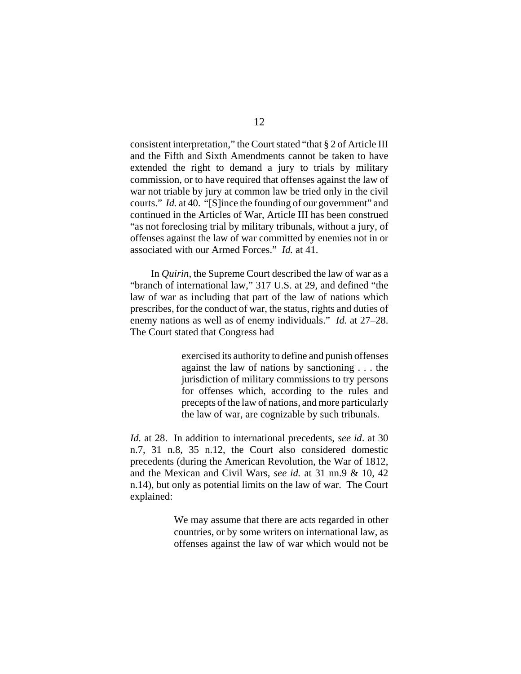consistent interpretation," the Court stated "that § 2 of Article III and the Fifth and Sixth Amendments cannot be taken to have extended the right to demand a jury to trials by military commission, or to have required that offenses against the law of war not triable by jury at common law be tried only in the civil courts." *Id.* at 40. "[S]ince the founding of our government" and continued in the Articles of War, Article III has been construed "as not foreclosing trial by military tribunals, without a jury, of offenses against the law of war committed by enemies not in or associated with our Armed Forces." *Id.* at 41.

In *Quirin*, the Supreme Court described the law of war as a "branch of international law," 317 U.S. at 29, and defined "the law of war as including that part of the law of nations which prescribes, for the conduct of war, the status, rights and duties of enemy nations as well as of enemy individuals." *Id.* at 27–28. The Court stated that Congress had

> exercised its authority to define and punish offenses against the law of nations by sanctioning . . . the jurisdiction of military commissions to try persons for offenses which, according to the rules and precepts of the law of nations, and more particularly the law of war, are cognizable by such tribunals.

*Id.* at 28. In addition to international precedents, *see id*. at 30 n.7, 31 n.8, 35 n.12, the Court also considered domestic precedents (during the American Revolution, the War of 1812, and the Mexican and Civil Wars, *see id.* at 31 nn.9 & 10, 42 n.14), but only as potential limits on the law of war. The Court explained:

> We may assume that there are acts regarded in other countries, or by some writers on international law, as offenses against the law of war which would not be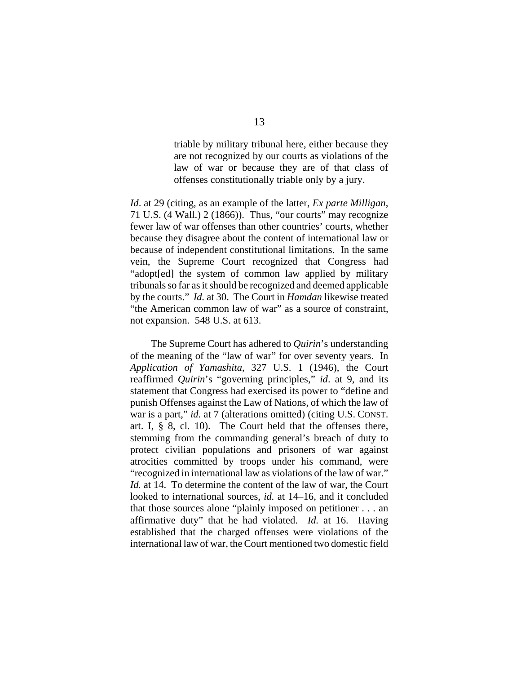triable by military tribunal here, either because they are not recognized by our courts as violations of the law of war or because they are of that class of offenses constitutionally triable only by a jury.

*Id*. at 29 (citing, as an example of the latter, *Ex parte Milligan*, 71 U.S. (4 Wall.) 2 (1866)). Thus, "our courts" may recognize fewer law of war offenses than other countries' courts, whether because they disagree about the content of international law or because of independent constitutional limitations. In the same vein, the Supreme Court recognized that Congress had "adopt[ed] the system of common law applied by military tribunals so far as it should be recognized and deemed applicable by the courts." *Id.* at 30. The Court in *Hamdan* likewise treated "the American common law of war" as a source of constraint, not expansion. 548 U.S. at 613.

The Supreme Court has adhered to *Quirin*'s understanding of the meaning of the "law of war" for over seventy years.In *Application of Yamashita*, 327 U.S. 1 (1946), the Court reaffirmed *Quirin*'s "governing principles," *id*. at 9, and its statement that Congress had exercised its power to "define and punish Offenses against the Law of Nations, of which the law of war is a part," *id.* at 7 (alterations omitted) (citing U.S. CONST. art. I, § 8, cl. 10). The Court held that the offenses there, stemming from the commanding general's breach of duty to protect civilian populations and prisoners of war against atrocities committed by troops under his command, were "recognized in international law as violations of the law of war." *Id.* at 14. To determine the content of the law of war, the Court looked to international sources, *id.* at 14–16, and it concluded that those sources alone "plainly imposed on petitioner . . . an affirmative duty" that he had violated. *Id.* at 16. Having established that the charged offenses were violations of the international law of war, the Court mentioned two domestic field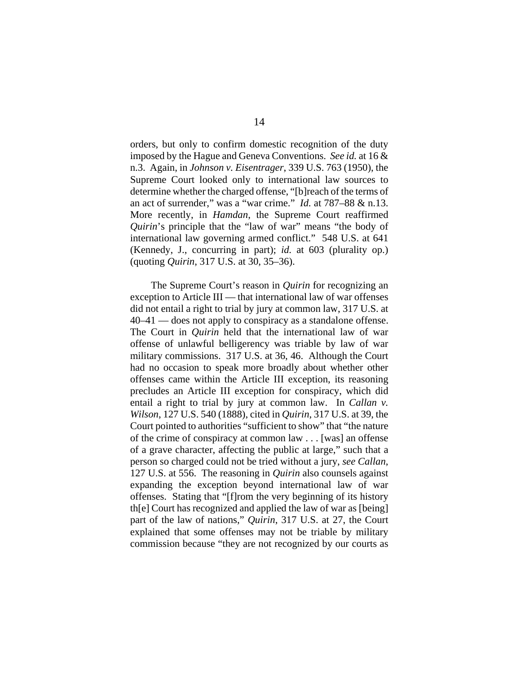orders, but only to confirm domestic recognition of the duty imposed by the Hague and Geneva Conventions. *See id.* at 16 & n.3. Again, in *Johnson v. Eisentrager*, 339 U.S. 763 (1950), the Supreme Court looked only to international law sources to determine whether the charged offense, "[b]reach of the terms of an act of surrender," was a "war crime." *Id.* at 787–88 & n.13. More recently, in *Hamdan*, the Supreme Court reaffirmed *Quirin*'s principle that the "law of war" means "the body of international law governing armed conflict." 548 U.S. at 641 (Kennedy, J., concurring in part); *id.* at 603 (plurality op.) (quoting *Quirin*, 317 U.S. at 30, 35–36).

The Supreme Court's reason in *Quirin* for recognizing an exception to Article III — that international law of war offenses did not entail a right to trial by jury at common law, 317 U.S. at 40–41 — does not apply to conspiracy as a standalone offense. The Court in *Quirin* held that the international law of war offense of unlawful belligerency was triable by law of war military commissions. 317 U.S. at 36, 46. Although the Court had no occasion to speak more broadly about whether other offenses came within the Article III exception, its reasoning precludes an Article III exception for conspiracy, which did entail a right to trial by jury at common law. In *Callan v. Wilson*, 127 U.S. 540 (1888), cited in *Quirin*, 317 U.S. at 39, the Court pointed to authorities "sufficient to show" that "the nature of the crime of conspiracy at common law . . . [was] an offense of a grave character, affecting the public at large," such that a person so charged could not be tried without a jury, *see Callan*, 127 U.S. at 556. The reasoning in *Quirin* also counsels against expanding the exception beyond international law of war offenses. Stating that "[f]rom the very beginning of its history th[e] Court has recognized and applied the law of war as [being] part of the law of nations," *Quirin*, 317 U.S. at 27, the Court explained that some offenses may not be triable by military commission because "they are not recognized by our courts as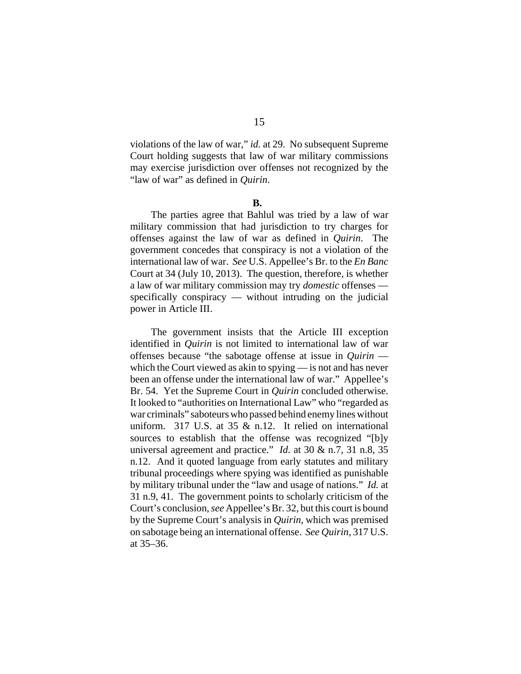violations of the law of war," *id.* at 29. No subsequent Supreme Court holding suggests that law of war military commissions may exercise jurisdiction over offenses not recognized by the "law of war" as defined in *Quirin*.

## **B.**

The parties agree that Bahlul was tried by a law of war military commission that had jurisdiction to try charges for offenses against the law of war as defined in *Quirin*. The government concedes that conspiracy is not a violation of the international law of war. *See* U.S. Appellee's Br. to the *En Banc* Court at 34 (July 10, 2013). The question, therefore, is whether a law of war military commission may try *domestic* offenses specifically conspiracy — without intruding on the judicial power in Article III.

The government insists that the Article III exception identified in *Quirin* is not limited to international law of war offenses because "the sabotage offense at issue in *Quirin*  which the Court viewed as akin to spying — is not and has never been an offense under the international law of war." Appellee's Br. 54. Yet the Supreme Court in *Quirin* concluded otherwise. It looked to "authorities on International Law" who "regarded as war criminals" saboteurs who passed behind enemy lines without uniform. 317 U.S. at 35 & n.12. It relied on international sources to establish that the offense was recognized "[b]y universal agreement and practice." *Id.* at 30 & n.7, 31 n.8, 35 n.12. And it quoted language from early statutes and military tribunal proceedings where spying was identified as punishable by military tribunal under the "law and usage of nations." *Id.* at 31 n.9, 41. The government points to scholarly criticism of the Court's conclusion, *see* Appellee's Br. 32, but this court is bound by the Supreme Court's analysis in *Quirin*, which was premised on sabotage being an international offense. *See Quirin*, 317 U.S. at 35–36.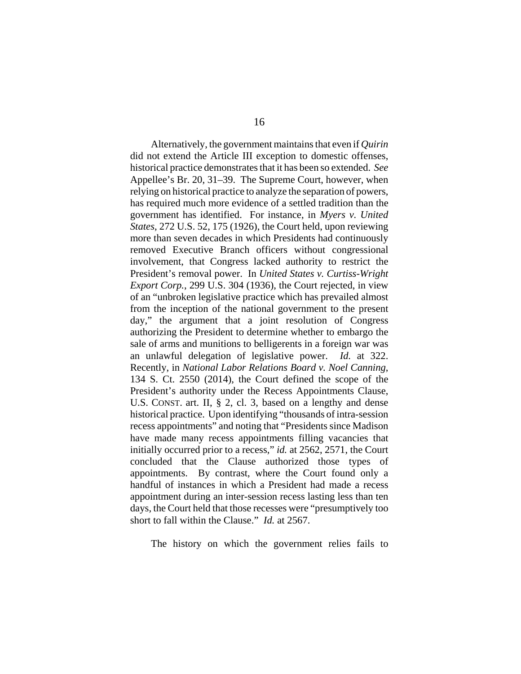Alternatively, the government maintains that even if *Quirin* did not extend the Article III exception to domestic offenses, historical practice demonstrates that it has been so extended. *See* Appellee's Br. 20, 31–39. The Supreme Court, however, when relying on historical practice to analyze the separation of powers, has required much more evidence of a settled tradition than the government has identified. For instance, in *Myers v. United States*, 272 U.S. 52, 175 (1926), the Court held, upon reviewing more than seven decades in which Presidents had continuously removed Executive Branch officers without congressional involvement, that Congress lacked authority to restrict the President's removal power. In *United States v. Curtiss-Wright Export Corp.*, 299 U.S. 304 (1936), the Court rejected, in view of an "unbroken legislative practice which has prevailed almost from the inception of the national government to the present day," the argument that a joint resolution of Congress authorizing the President to determine whether to embargo the sale of arms and munitions to belligerents in a foreign war was an unlawful delegation of legislative power. *Id.* at 322. Recently, in *National Labor Relations Board v. Noel Canning*, 134 S. Ct. 2550 (2014), the Court defined the scope of the President's authority under the Recess Appointments Clause, U.S. CONST. art. II, § 2, cl. 3, based on a lengthy and dense historical practice. Upon identifying "thousands of intra-session recess appointments" and noting that "Presidents since Madison have made many recess appointments filling vacancies that initially occurred prior to a recess," *id.* at 2562, 2571, the Court concluded that the Clause authorized those types of appointments. By contrast, where the Court found only a handful of instances in which a President had made a recess appointment during an inter-session recess lasting less than ten days, the Court held that those recesses were "presumptively too short to fall within the Clause." *Id.* at 2567.

The history on which the government relies fails to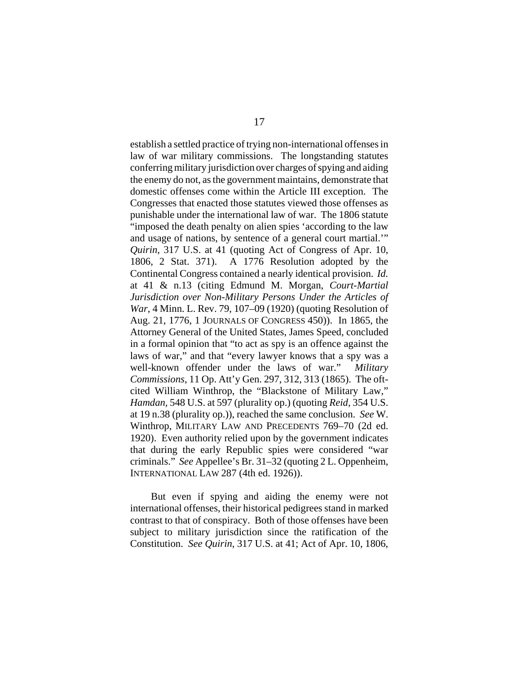establish a settled practice of trying non-international offenses in law of war military commissions. The longstanding statutes conferring military jurisdiction over charges of spying and aiding the enemy do not, as the government maintains, demonstrate that domestic offenses come within the Article III exception. The Congresses that enacted those statutes viewed those offenses as punishable under the international law of war. The 1806 statute "imposed the death penalty on alien spies 'according to the law and usage of nations, by sentence of a general court martial.'" *Quirin*, 317 U.S. at 41 (quoting Act of Congress of Apr. 10, 1806, 2 Stat. 371). A 1776 Resolution adopted by the Continental Congress contained a nearly identical provision. *Id.* at 41 & n.13 (citing Edmund M. Morgan, *Court-Martial Jurisdiction over Non-Military Persons Under the Articles of War*, 4 Minn. L. Rev. 79, 107–09 (1920) (quoting Resolution of Aug. 21, 1776, 1 JOURNALS OF CONGRESS 450)). In 1865, the Attorney General of the United States, James Speed, concluded in a formal opinion that "to act as spy is an offence against the laws of war," and that "every lawyer knows that a spy was a well-known offender under the laws of war." *Military Commissions*, 11 Op. Att'y Gen. 297, 312, 313 (1865). The oftcited William Winthrop, the "Blackstone of Military Law," *Hamdan,* 548 U.S. at 597 (plurality op.) (quoting *Reid,* 354 U.S. at 19 n.38 (plurality op.)), reached the same conclusion. *See* W. Winthrop, MILITARY LAW AND PRECEDENTS 769–70 (2d ed. 1920). Even authority relied upon by the government indicates that during the early Republic spies were considered "war criminals." *See* Appellee's Br. 31–32 (quoting 2 L. Oppenheim, INTERNATIONAL LAW 287 (4th ed. 1926)).

But even if spying and aiding the enemy were not international offenses, their historical pedigrees stand in marked contrast to that of conspiracy. Both of those offenses have been subject to military jurisdiction since the ratification of the Constitution. *See Quirin*, 317 U.S. at 41; Act of Apr. 10, 1806,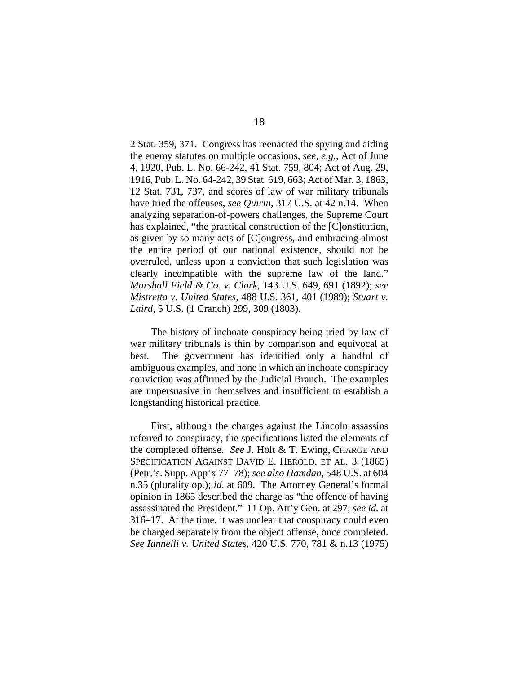2 Stat. 359, 371. Congress has reenacted the spying and aiding the enemy statutes on multiple occasions, *see, e.g.*, Act of June 4, 1920, Pub. L. No. 66-242, 41 Stat. 759, 804; Act of Aug. 29, 1916, Pub. L. No. 64-242, 39 Stat. 619, 663; Act of Mar. 3, 1863, 12 Stat. 731, 737, and scores of law of war military tribunals have tried the offenses, *see Quirin*, 317 U.S. at 42 n.14. When analyzing separation-of-powers challenges, the Supreme Court has explained, "the practical construction of the [C]onstitution, as given by so many acts of [C]ongress, and embracing almost the entire period of our national existence, should not be overruled, unless upon a conviction that such legislation was clearly incompatible with the supreme law of the land." *Marshall Field & Co. v. Clark*, 143 U.S. 649, 691 (1892); *see Mistretta v. United States*, 488 U.S. 361, 401 (1989); *Stuart v. Laird*, 5 U.S. (1 Cranch) 299, 309 (1803).

The history of inchoate conspiracy being tried by law of war military tribunals is thin by comparison and equivocal at best. The government has identified only a handful of ambiguous examples, and none in which an inchoate conspiracy conviction was affirmed by the Judicial Branch. The examples are unpersuasive in themselves and insufficient to establish a longstanding historical practice.

First, although the charges against the Lincoln assassins referred to conspiracy, the specifications listed the elements of the completed offense. *See* J. Holt & T. Ewing, CHARGE AND SPECIFICATION AGAINST DAVID E. HEROLD, ET AL. 3 (1865) (Petr.'s. Supp. App'x 77–78); *see also Hamdan*, 548 U.S. at 604 n.35 (plurality op.); *id.* at 609. The Attorney General's formal opinion in 1865 described the charge as "the offence of having assassinated the President." 11 Op. Att'y Gen. at 297; *see id.* at 316–17. At the time, it was unclear that conspiracy could even be charged separately from the object offense, once completed. *See Iannelli v. United States*, 420 U.S. 770, 781 & n.13 (1975)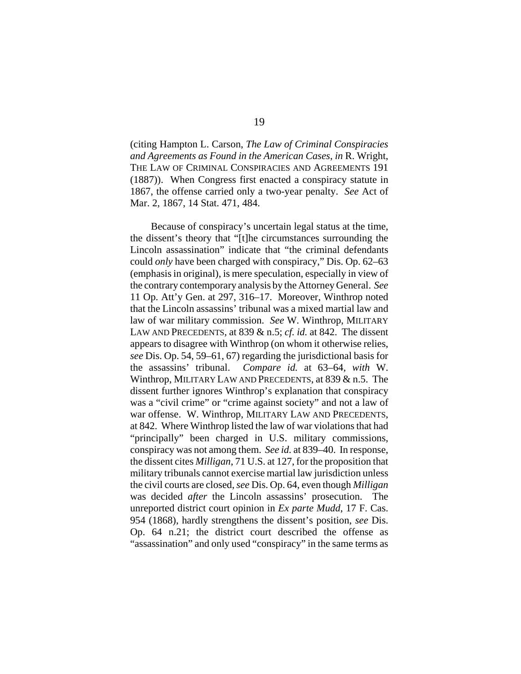(citing Hampton L. Carson, *The Law of Criminal Conspiracies and Agreements as Found in the American Cases*, *in* R. Wright, THE LAW OF CRIMINAL CONSPIRACIES AND AGREEMENTS 191 (1887)). When Congress first enacted a conspiracy statute in 1867, the offense carried only a two-year penalty. *See* Act of Mar. 2, 1867, 14 Stat. 471, 484.

Because of conspiracy's uncertain legal status at the time, the dissent's theory that "[t]he circumstances surrounding the Lincoln assassination" indicate that "the criminal defendants could *only* have been charged with conspiracy," Dis. Op. 62–63 (emphasis in original), is mere speculation, especially in view of the contrary contemporary analysis by the Attorney General. *See* 11 Op. Att'y Gen. at 297, 316–17. Moreover, Winthrop noted that the Lincoln assassins' tribunal was a mixed martial law and law of war military commission. *See* W. Winthrop, MILITARY LAW AND PRECEDENTS, at 839 & n.5; *cf. id.* at 842. The dissent appears to disagree with Winthrop (on whom it otherwise relies, *see* Dis. Op. 54, 59–61, 67) regarding the jurisdictional basis for the assassins' tribunal. *Compare id.* at 63–64, *with* W. Winthrop, MILITARY LAW AND PRECEDENTS, at 839 & n.5. The dissent further ignores Winthrop's explanation that conspiracy was a "civil crime" or "crime against society" and not a law of war offense. W. Winthrop, MILITARY LAW AND PRECEDENTS, at 842. Where Winthrop listed the law of war violations that had "principally" been charged in U.S. military commissions, conspiracy was not among them. *See id.* at 839–40. In response, the dissent cites *Milligan*, 71 U.S. at 127, for the proposition that military tribunals cannot exercise martial law jurisdiction unless the civil courts are closed, *see* Dis. Op. 64, even though *Milligan* was decided *after* the Lincoln assassins' prosecution. The unreported district court opinion in *Ex parte Mudd*, 17 F. Cas. 954 (1868), hardly strengthens the dissent's position, *see* Dis. Op. 64 n.21; the district court described the offense as "assassination" and only used "conspiracy" in the same terms as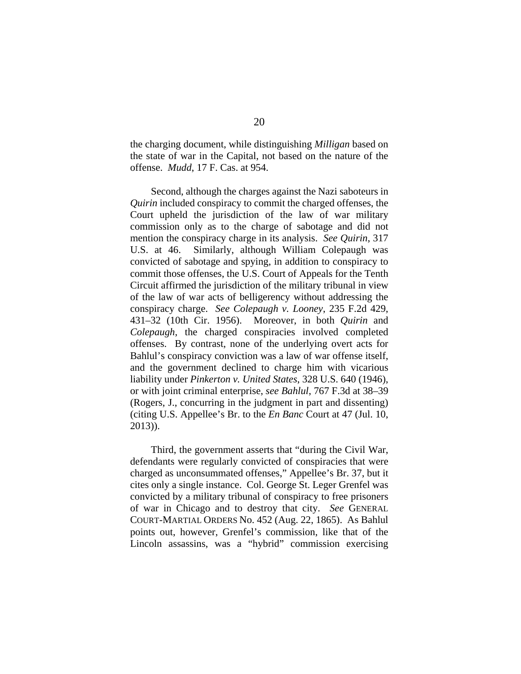the charging document, while distinguishing *Milligan* based on the state of war in the Capital, not based on the nature of the offense. *Mudd*, 17 F. Cas. at 954.

Second, although the charges against the Nazi saboteurs in *Quirin* included conspiracy to commit the charged offenses, the Court upheld the jurisdiction of the law of war military commission only as to the charge of sabotage and did not mention the conspiracy charge in its analysis. *See Quirin*, 317 U.S. at 46. Similarly, although William Colepaugh was convicted of sabotage and spying, in addition to conspiracy to commit those offenses, the U.S. Court of Appeals for the Tenth Circuit affirmed the jurisdiction of the military tribunal in view of the law of war acts of belligerency without addressing the conspiracy charge. *See Colepaugh v. Looney*, 235 F.2d 429, 431–32 (10th Cir. 1956). Moreover, in both *Quirin* and *Colepaugh*, the charged conspiracies involved completed offenses. By contrast, none of the underlying overt acts for Bahlul's conspiracy conviction was a law of war offense itself, and the government declined to charge him with vicarious liability under *Pinkerton v. United States*, 328 U.S. 640 (1946), or with joint criminal enterprise, *see Bahlul*, 767 F.3d at 38–39 (Rogers, J., concurring in the judgment in part and dissenting) (citing U.S. Appellee's Br. to the *En Banc* Court at 47 (Jul. 10, 2013)).

Third, the government asserts that "during the Civil War, defendants were regularly convicted of conspiracies that were charged as unconsummated offenses," Appellee's Br. 37, but it cites only a single instance. Col. George St. Leger Grenfel was convicted by a military tribunal of conspiracy to free prisoners of war in Chicago and to destroy that city. *See* GENERAL COURT-MARTIAL ORDERS No. 452 (Aug. 22, 1865). As Bahlul points out, however, Grenfel's commission, like that of the Lincoln assassins, was a "hybrid" commission exercising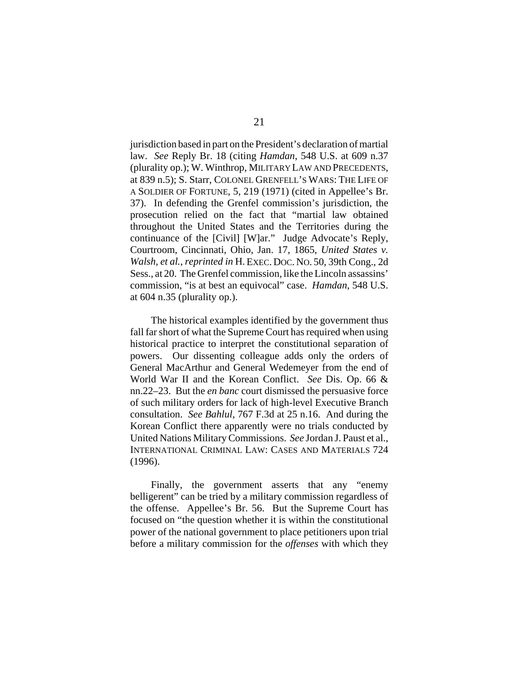jurisdiction based in part on the President's declaration of martial law. *See* Reply Br. 18 (citing *Hamdan*, 548 U.S. at 609 n.37 (plurality op.); W. Winthrop, MILITARY LAW AND PRECEDENTS, at 839 n.5); S. Starr, COLONEL GRENFELL'S WARS: THE LIFE OF A SOLDIER OF FORTUNE, 5, 219 (1971) (cited in Appellee's Br. 37). In defending the Grenfel commission's jurisdiction, the prosecution relied on the fact that "martial law obtained throughout the United States and the Territories during the continuance of the [Civil] [W]ar." Judge Advocate's Reply, Courtroom, Cincinnati, Ohio, Jan. 17, 1865, *United States v. Walsh, et al.*, *reprinted in* H. EXEC. DOC. NO. 50, 39th Cong., 2d Sess., at 20. The Grenfel commission, like the Lincoln assassins' commission, "is at best an equivocal" case. *Hamdan*, 548 U.S. at 604 n.35 (plurality op.).

The historical examples identified by the government thus fall far short of what the Supreme Court has required when using historical practice to interpret the constitutional separation of powers. Our dissenting colleague adds only the orders of General MacArthur and General Wedemeyer from the end of World War II and the Korean Conflict. *See* Dis. Op. 66 & nn.22–23. But the *en banc* court dismissed the persuasive force of such military orders for lack of high-level Executive Branch consultation. *See Bahlul*, 767 F.3d at 25 n.16. And during the Korean Conflict there apparently were no trials conducted by United Nations Military Commissions. *See* Jordan J. Paust et al., INTERNATIONAL CRIMINAL LAW: CASES AND MATERIALS 724 (1996).

Finally, the government asserts that any "enemy belligerent" can be tried by a military commission regardless of the offense. Appellee's Br. 56. But the Supreme Court has focused on "the question whether it is within the constitutional power of the national government to place petitioners upon trial before a military commission for the *offenses* with which they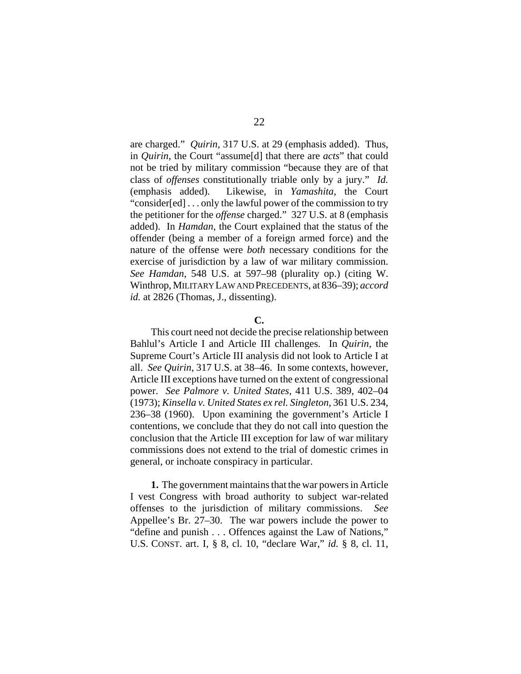are charged." *Quirin*, 317 U.S. at 29 (emphasis added). Thus, in *Quirin*, the Court "assume[d] that there are *acts*" that could not be tried by military commission "because they are of that class of *offenses* constitutionally triable only by a jury." *Id.* (emphasis added). Likewise, in *Yamashita*, the Court "consider[ed] . . . only the lawful power of the commission to try the petitioner for the *offense* charged." 327 U.S. at 8 (emphasis added). In *Hamdan*, the Court explained that the status of the offender (being a member of a foreign armed force) and the nature of the offense were *both* necessary conditions for the exercise of jurisdiction by a law of war military commission. *See Hamdan*, 548 U.S. at 597–98 (plurality op.) (citing W. Winthrop, MILITARY LAW AND PRECEDENTS, at 836–39); *accord* id. at 2826 (Thomas, J., dissenting).

### **C.**

This court need not decide the precise relationship between Bahlul's Article I and Article III challenges. In *Quirin*, the Supreme Court's Article III analysis did not look to Article I at all. *See Quirin*, 317 U.S. at 38–46. In some contexts, however, Article III exceptions have turned on the extent of congressional power. *See Palmore v. United States*, 411 U.S. 389, 402–04 (1973); *Kinsella v. United States ex rel. Singleton*, 361 U.S. 234, 236–38 (1960).Upon examining the government's Article I contentions, we conclude that they do not call into question the conclusion that the Article III exception for law of war military commissions does not extend to the trial of domestic crimes in general, or inchoate conspiracy in particular.

**1.** The government maintains that the war powers in Article I vest Congress with broad authority to subject war-related offenses to the jurisdiction of military commissions. *See* Appellee's Br. 27–30. The war powers include the power to "define and punish . . . Offences against the Law of Nations," U.S. CONST. art. I, § 8, cl. 10, "declare War," *id.* § 8, cl. 11,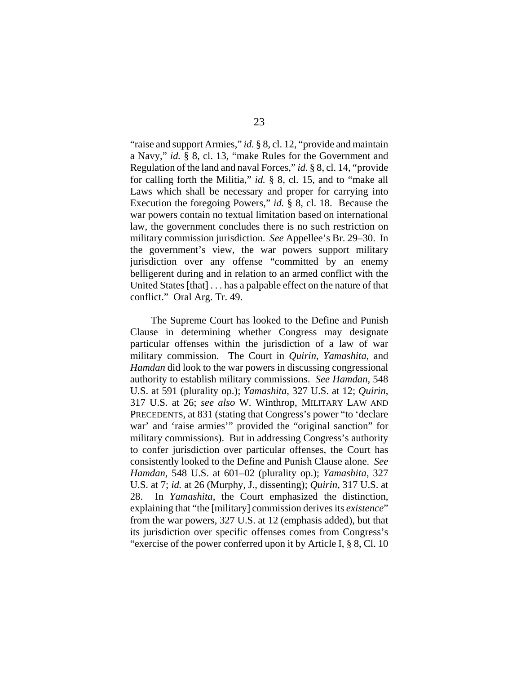"raise and support Armies," *id.* § 8, cl. 12, "provide and maintain a Navy," *id.* § 8, cl. 13, "make Rules for the Government and Regulation of the land and naval Forces," *id.* § 8, cl. 14, "provide for calling forth the Militia," *id.* § 8, cl. 15, and to "make all Laws which shall be necessary and proper for carrying into Execution the foregoing Powers," *id.* § 8, cl. 18. Because the war powers contain no textual limitation based on international law, the government concludes there is no such restriction on military commission jurisdiction. *See* Appellee's Br. 29–30. In the government's view, the war powers support military jurisdiction over any offense "committed by an enemy belligerent during and in relation to an armed conflict with the United States [that] . . . has a palpable effect on the nature of that conflict." Oral Arg. Tr. 49.

The Supreme Court has looked to the Define and Punish Clause in determining whether Congress may designate particular offenses within the jurisdiction of a law of war military commission. The Court in *Quirin*, *Yamashita*, and *Hamdan* did look to the war powers in discussing congressional authority to establish military commissions. *See Hamdan*, 548 U.S. at 591 (plurality op.); *Yamashita*, 327 U.S. at 12; *Quirin*, 317 U.S. at 26; *see also* W. Winthrop, MILITARY LAW AND PRECEDENTS, at 831 (stating that Congress's power "to 'declare war' and 'raise armies'" provided the "original sanction" for military commissions). But in addressing Congress's authority to confer jurisdiction over particular offenses, the Court has consistently looked to the Define and Punish Clause alone. *See Hamdan*, 548 U.S. at 601–02 (plurality op.); *Yamashita*, 327 U.S. at 7; *id.* at 26 (Murphy, J., dissenting); *Quirin*, 317 U.S. at 28. In *Yamashita*, the Court emphasized the distinction, explaining that "the [military] commission derives its *existence*" from the war powers, 327 U.S. at 12 (emphasis added), but that its jurisdiction over specific offenses comes from Congress's "exercise of the power conferred upon it by Article I, § 8, Cl. 10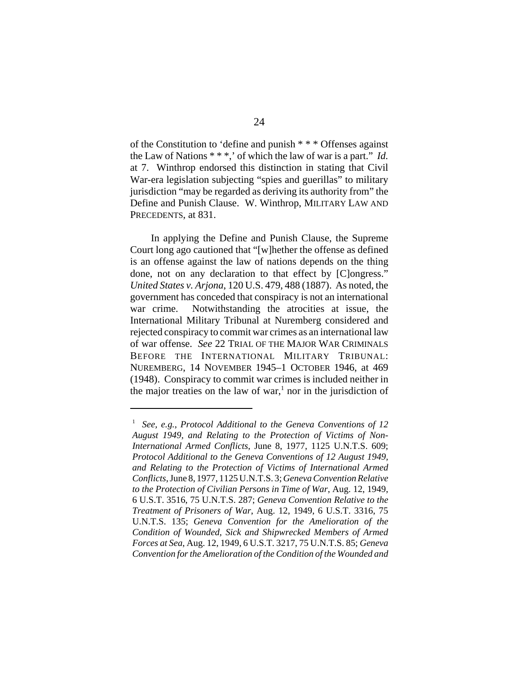of the Constitution to 'define and punish \* \* \* Offenses against the Law of Nations \* \* \*,' of which the law of war is a part." *Id.* at 7. Winthrop endorsed this distinction in stating that Civil War-era legislation subjecting "spies and guerillas" to military jurisdiction "may be regarded as deriving its authority from" the Define and Punish Clause. W. Winthrop, MILITARY LAW AND PRECEDENTS, at 831.

In applying the Define and Punish Clause, the Supreme Court long ago cautioned that "[w]hether the offense as defined is an offense against the law of nations depends on the thing done, not on any declaration to that effect by [C]ongress." *United States v. Arjona*, 120 U.S. 479, 488 (1887). As noted, the government has conceded that conspiracy is not an international war crime. Notwithstanding the atrocities at issue, the International Military Tribunal at Nuremberg considered and rejected conspiracy to commit war crimes as an international law of war offense. *See* 22 TRIAL OF THE MAJOR WAR CRIMINALS BEFORE THE INTERNATIONAL MILITARY TRIBUNAL: NUREMBERG, 14 NOVEMBER 1945–1 OCTOBER 1946, at 469 (1948). Conspiracy to commit war crimes is included neither in the major treaties on the law of war,<sup>1</sup> nor in the jurisdiction of

<sup>1</sup> *See, e.g.*, *Protocol Additional to the Geneva Conventions of 12 August 1949, and Relating to the Protection of Victims of Non-International Armed Conflicts*, June 8, 1977, 1125 U.N.T.S. 609; *Protocol Additional to the Geneva Conventions of 12 August 1949, and Relating to the Protection of Victims of International Armed Conflicts*, June 8, 1977, 1125 U.N.T.S. 3; *Geneva Convention Relative to the Protection of Civilian Persons in Time of War*, Aug. 12, 1949, 6 U.S.T. 3516, 75 U.N.T.S. 287; *Geneva Convention Relative to the Treatment of Prisoners of War*, Aug. 12, 1949, 6 U.S.T. 3316, 75 U.N.T.S. 135; *Geneva Convention for the Amelioration of the Condition of Wounded, Sick and Shipwrecked Members of Armed Forces at Sea*, Aug. 12, 1949, 6 U.S.T. 3217, 75 U.N.T.S. 85; *Geneva Convention for the Amelioration of the Condition of the Wounded and*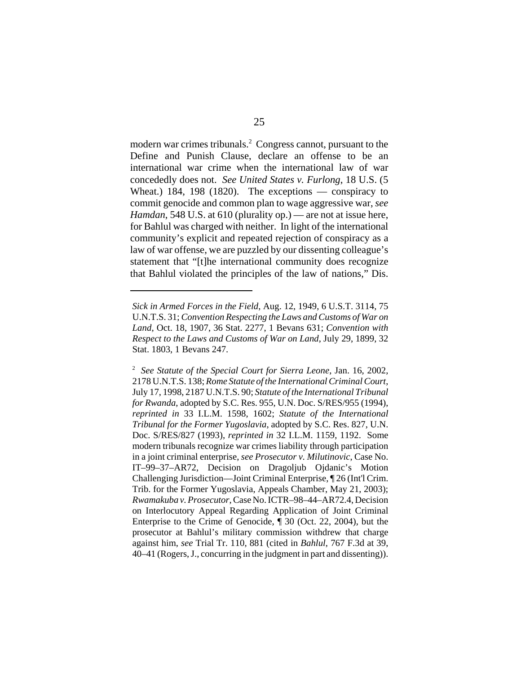modern war crimes tribunals.<sup>2</sup> Congress cannot, pursuant to the Define and Punish Clause, declare an offense to be an international war crime when the international law of war concededly does not. *See United States v. Furlong*, 18 U.S. (5 Wheat.) 184, 198 (1820). The exceptions — conspiracy to commit genocide and common plan to wage aggressive war, *see Hamdan*, 548 U.S. at 610 (plurality op.) — are not at issue here, for Bahlul was charged with neither. In light of the international community's explicit and repeated rejection of conspiracy as a law of war offense, we are puzzled by our dissenting colleague's statement that "[t]he international community does recognize that Bahlul violated the principles of the law of nations," Dis.

*Sick in Armed Forces in the Field*, Aug. 12, 1949, 6 U.S.T. 3114, 75 U.N.T.S. 31; *Convention Respecting the Laws and Customs of War on Land*, Oct. 18, 1907, 36 Stat. 2277, 1 Bevans 631; *Convention with Respect to the Laws and Customs of War on Land*, July 29, 1899, 32 Stat. 1803, 1 Bevans 247.

<sup>2</sup> *See Statute of the Special Court for Sierra Leone*, Jan. 16, 2002, 2178 U.N.T.S. 138; *Rome Statute of the International Criminal Court*, July 17, 1998, 2187 U.N.T.S. 90; *Statute of the International Tribunal for Rwanda*, adopted by S.C. Res. 955, U.N. Doc. S/RES/955 (1994), *reprinted in* 33 I.L.M. 1598, 1602; *Statute of the International Tribunal for the Former Yugoslavia*, adopted by S.C. Res. 827, U.N. Doc. S/RES/827 (1993), *reprinted in* 32 I.L.M. 1159, 1192. Some modern tribunals recognize war crimes liability through participation in a joint criminal enterprise, *see Prosecutor v. Milutinovic*, Case No. IT–99–37–AR72, Decision on Dragoljub Ojdanic's Motion Challenging Jurisdiction—Joint Criminal Enterprise, ¶ 26 (Int'l Crim. Trib. for the Former Yugoslavia, Appeals Chamber, May 21, 2003); *Rwamakuba v. Prosecutor*, Case No. ICTR–98–44–AR72.4, Decision on Interlocutory Appeal Regarding Application of Joint Criminal Enterprise to the Crime of Genocide, ¶ 30 (Oct. 22, 2004), but the prosecutor at Bahlul's military commission withdrew that charge against him, *see* Trial Tr. 110, 881 (cited in *Bahlul*, 767 F.3d at 39, 40–41 (Rogers, J., concurring in the judgment in part and dissenting)).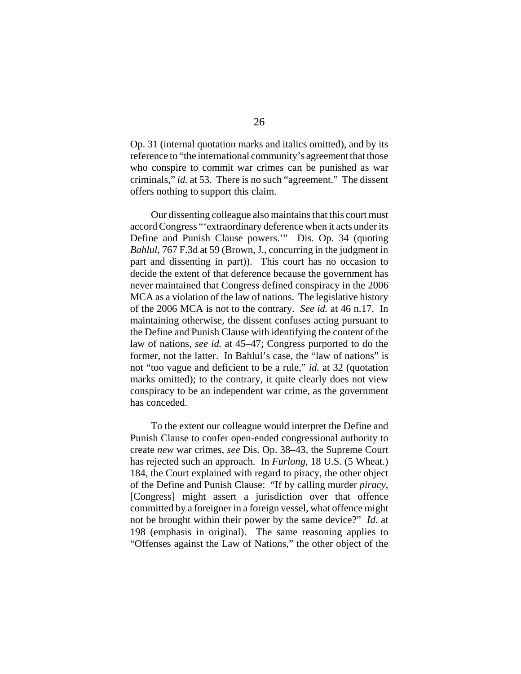Op. 31 (internal quotation marks and italics omitted), and by its reference to "the international community's agreement that those who conspire to commit war crimes can be punished as war criminals," *id.* at 53. There is no such "agreement." The dissent offers nothing to support this claim.

Our dissenting colleague also maintains that this court must accord Congress "'extraordinary deference when it acts under its Define and Punish Clause powers.'" Dis. Op. 34 (quoting *Bahlul*, 767 F.3d at 59 (Brown, J., concurring in the judgment in part and dissenting in part)). This court has no occasion to decide the extent of that deference because the government has never maintained that Congress defined conspiracy in the 2006 MCA as a violation of the law of nations. The legislative history of the 2006 MCA is not to the contrary. *See id.* at 46 n.17. In maintaining otherwise, the dissent confuses acting pursuant to the Define and Punish Clause with identifying the content of the law of nations, *see id.* at 45–47; Congress purported to do the former, not the latter. In Bahlul's case, the "law of nations" is not "too vague and deficient to be a rule," *id.* at 32 (quotation marks omitted); to the contrary, it quite clearly does not view conspiracy to be an independent war crime, as the government has conceded.

To the extent our colleague would interpret the Define and Punish Clause to confer open-ended congressional authority to create *new* war crimes, *see* Dis. Op. 38–43, the Supreme Court has rejected such an approach. In *Furlong*, 18 U.S. (5 Wheat.) 184, the Court explained with regard to piracy, the other object of the Define and Punish Clause: "If by calling murder *piracy*, [Congress] might assert a jurisdiction over that offence committed by a foreigner in a foreign vessel, what offence might not be brought within their power by the same device?" *Id*. at 198 (emphasis in original). The same reasoning applies to "Offenses against the Law of Nations," the other object of the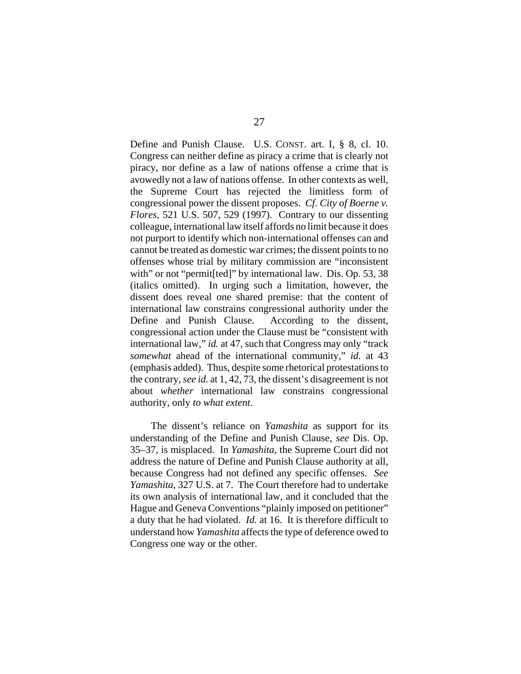Define and Punish Clause. U.S. CONST. art. I, § 8, cl. 10. Congress can neither define as piracy a crime that is clearly not piracy, nor define as a law of nations offense a crime that is avowedly not a law of nations offense. In other contexts as well, the Supreme Court has rejected the limitless form of congressional power the dissent proposes. *Cf. City of Boerne v. Flores*, 521 U.S. 507, 529 (1997). Contrary to our dissenting colleague, international law itself affords no limit because it does not purport to identify which non-international offenses can and cannot be treated as domestic war crimes; the dissent points to no offenses whose trial by military commission are "inconsistent with" or not "permit[ted]" by international law. Dis. Op. 53, 38 (italics omitted). In urging such a limitation, however, the dissent does reveal one shared premise: that the content of international law constrains congressional authority under the Define and Punish Clause. According to the dissent, congressional action under the Clause must be "consistent with international law," *id.* at 47, such that Congress may only "track *somewhat* ahead of the international community," *id.* at 43 (emphasis added). Thus, despite some rhetorical protestations to the contrary, *see id.* at 1, 42, 73, the dissent's disagreement is not about *whether* international law constrains congressional authority, only *to what extent*.

The dissent's reliance on *Yamashita* as support for its understanding of the Define and Punish Clause, *see* Dis. Op. 35–37, is misplaced. In *Yamashita*, the Supreme Court did not address the nature of Define and Punish Clause authority at all, because Congress had not defined any specific offenses. *See Yamashita*, 327 U.S. at 7. The Court therefore had to undertake its own analysis of international law, and it concluded that the Hague and Geneva Conventions "plainly imposed on petitioner" a duty that he had violated. *Id.* at 16. It is therefore difficult to understand how *Yamashita* affects the type of deference owed to Congress one way or the other.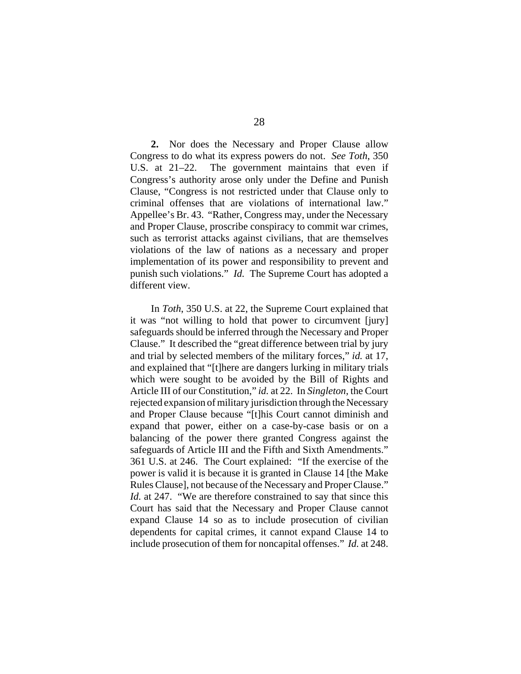**2.** Nor does the Necessary and Proper Clause allow Congress to do what its express powers do not. *See Toth*, 350 U.S. at 21–22. The government maintains that even if Congress's authority arose only under the Define and Punish Clause, "Congress is not restricted under that Clause only to criminal offenses that are violations of international law." Appellee's Br. 43. "Rather, Congress may, under the Necessary and Proper Clause, proscribe conspiracy to commit war crimes, such as terrorist attacks against civilians, that are themselves violations of the law of nations as a necessary and proper implementation of its power and responsibility to prevent and punish such violations." *Id.* The Supreme Court has adopted a different view.

In *Toth*, 350 U.S. at 22, the Supreme Court explained that it was "not willing to hold that power to circumvent [jury] safeguards should be inferred through the Necessary and Proper Clause." It described the "great difference between trial by jury and trial by selected members of the military forces," *id.* at 17, and explained that "[t]here are dangers lurking in military trials which were sought to be avoided by the Bill of Rights and Article III of our Constitution," *id.* at 22. In *Singleton*, the Court rejected expansion of military jurisdiction through the Necessary and Proper Clause because "[t]his Court cannot diminish and expand that power, either on a case-by-case basis or on a balancing of the power there granted Congress against the safeguards of Article III and the Fifth and Sixth Amendments." 361 U.S. at 246. The Court explained: "If the exercise of the power is valid it is because it is granted in Clause 14 [the Make Rules Clause], not because of the Necessary and Proper Clause." *Id.* at 247. "We are therefore constrained to say that since this Court has said that the Necessary and Proper Clause cannot expand Clause 14 so as to include prosecution of civilian dependents for capital crimes, it cannot expand Clause 14 to include prosecution of them for noncapital offenses." *Id.* at 248.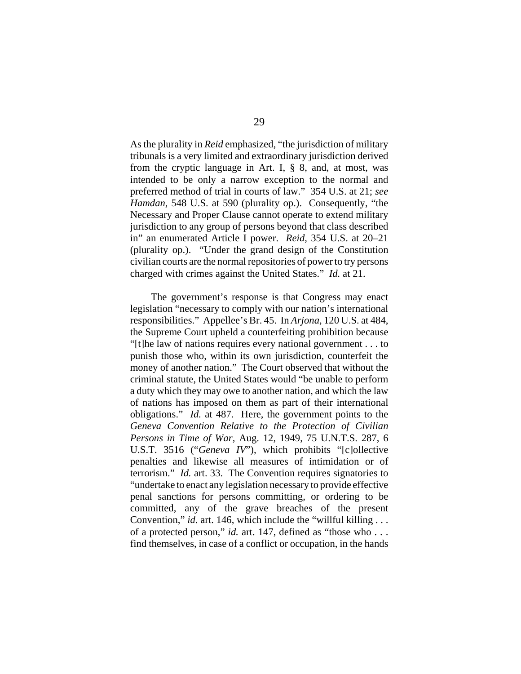As the plurality in *Reid* emphasized, "the jurisdiction of military tribunals is a very limited and extraordinary jurisdiction derived from the cryptic language in Art. I,  $\S$  8, and, at most, was intended to be only a narrow exception to the normal and preferred method of trial in courts of law." 354 U.S. at 21; *see Hamdan*, 548 U.S. at 590 (plurality op.). Consequently, "the Necessary and Proper Clause cannot operate to extend military jurisdiction to any group of persons beyond that class described in" an enumerated Article I power. *Reid*, 354 U.S. at 20–21 (plurality op.). "Under the grand design of the Constitution civilian courts are the normal repositories of power to try persons charged with crimes against the United States." *Id.* at 21.

The government's response is that Congress may enact legislation "necessary to comply with our nation's international responsibilities." Appellee's Br. 45. In *Arjona*, 120 U.S. at 484, the Supreme Court upheld a counterfeiting prohibition because "[t]he law of nations requires every national government . . . to punish those who, within its own jurisdiction, counterfeit the money of another nation." The Court observed that without the criminal statute, the United States would "be unable to perform a duty which they may owe to another nation, and which the law of nations has imposed on them as part of their international obligations." *Id.* at 487. Here, the government points to the *Geneva Convention Relative to the Protection of Civilian Persons in Time of War*, Aug. 12, 1949, 75 U.N.T.S. 287, 6 U.S.T. 3516 ("*Geneva IV*"), which prohibits "[c]ollective penalties and likewise all measures of intimidation or of terrorism." *Id.* art. 33. The Convention requires signatories to "undertake to enact any legislation necessary to provide effective penal sanctions for persons committing, or ordering to be committed, any of the grave breaches of the present Convention," *id.* art. 146, which include the "willful killing . . . of a protected person," *id.* art. 147, defined as "those who . . . find themselves, in case of a conflict or occupation, in the hands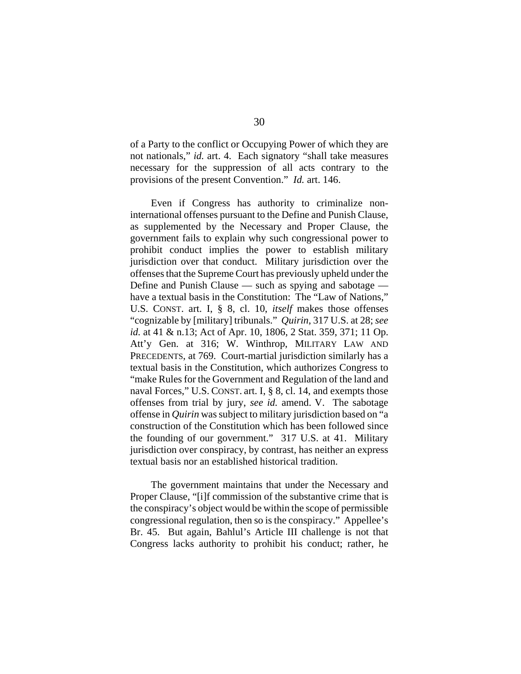of a Party to the conflict or Occupying Power of which they are not nationals," *id.* art. 4. Each signatory "shall take measures necessary for the suppression of all acts contrary to the provisions of the present Convention." *Id.* art. 146.

Even if Congress has authority to criminalize noninternational offenses pursuant to the Define and Punish Clause, as supplemented by the Necessary and Proper Clause, the government fails to explain why such congressional power to prohibit conduct implies the power to establish military jurisdiction over that conduct. Military jurisdiction over the offenses that the Supreme Court has previously upheld under the Define and Punish Clause — such as spying and sabotage have a textual basis in the Constitution: The "Law of Nations," U.S. CONST. art. I, § 8, cl. 10, *itself* makes those offenses "cognizable by [military] tribunals." *Quirin*, 317 U.S. at 28; *see id.* at 41 & n.13; Act of Apr. 10, 1806, 2 Stat. 359, 371; 11 Op. Att'y Gen. at 316; W. Winthrop, MILITARY LAW AND PRECEDENTS, at 769. Court-martial jurisdiction similarly has a textual basis in the Constitution, which authorizes Congress to "make Rules for the Government and Regulation of the land and naval Forces," U.S. CONST. art. I, § 8, cl. 14, and exempts those offenses from trial by jury, *see id.* amend. V. The sabotage offense in *Quirin* was subject to military jurisdiction based on "a construction of the Constitution which has been followed since the founding of our government." 317 U.S. at 41. Military jurisdiction over conspiracy, by contrast, has neither an express textual basis nor an established historical tradition.

The government maintains that under the Necessary and Proper Clause, "[i]f commission of the substantive crime that is the conspiracy's object would be within the scope of permissible congressional regulation, then so is the conspiracy." Appellee's Br. 45. But again, Bahlul's Article III challenge is not that Congress lacks authority to prohibit his conduct; rather, he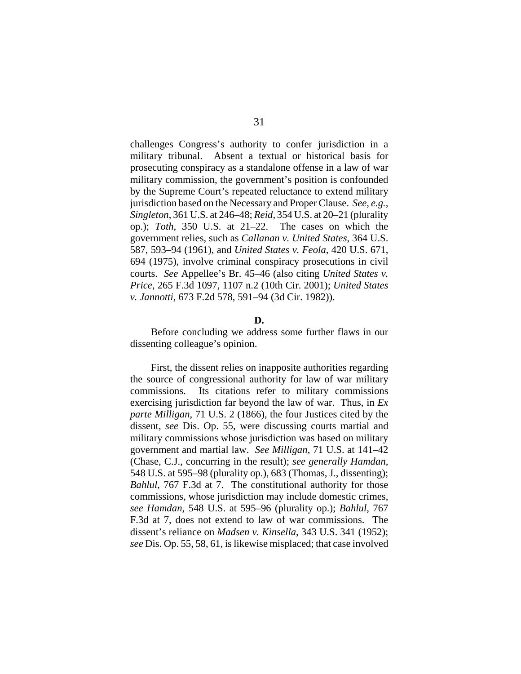challenges Congress's authority to confer jurisdiction in a military tribunal. Absent a textual or historical basis for prosecuting conspiracy as a standalone offense in a law of war military commission, the government's position is confounded by the Supreme Court's repeated reluctance to extend military jurisdiction based on the Necessary and Proper Clause. *See, e.g., Singleton*, 361 U.S. at 246–48; *Reid*, 354 U.S. at 20–21 (plurality op.); *Toth*, 350 U.S. at 21–22. The cases on which the government relies, such as *Callanan v. United States*, 364 U.S. 587, 593–94 (1961), and *United States v. Feola*, 420 U.S. 671, 694 (1975), involve criminal conspiracy prosecutions in civil courts. *See* Appellee's Br. 45–46 (also citing *United States v. Price*, 265 F.3d 1097, 1107 n.2 (10th Cir. 2001); *United States v. Jannotti*, 673 F.2d 578, 591–94 (3d Cir. 1982)).

### **D.**

Before concluding we address some further flaws in our dissenting colleague's opinion.

First, the dissent relies on inapposite authorities regarding the source of congressional authority for law of war military commissions. Its citations refer to military commissions exercising jurisdiction far beyond the law of war. Thus, in *Ex parte Milligan*, 71 U.S. 2 (1866), the four Justices cited by the dissent, *see* Dis. Op. 55, were discussing courts martial and military commissions whose jurisdiction was based on military government and martial law. *See Milligan*, 71 U.S. at 141–42 (Chase, C.J., concurring in the result); *see generally Hamdan*, 548 U.S. at 595–98 (plurality op.), 683 (Thomas, J., dissenting); *Bahlul*, 767 F.3d at 7. The constitutional authority for those commissions, whose jurisdiction may include domestic crimes, *see Hamdan*, 548 U.S. at 595–96 (plurality op.); *Bahlul*, 767 F.3d at 7, does not extend to law of war commissions. The dissent's reliance on *Madsen v. Kinsella*, 343 U.S. 341 (1952); *see* Dis. Op. 55, 58, 61, is likewise misplaced; that case involved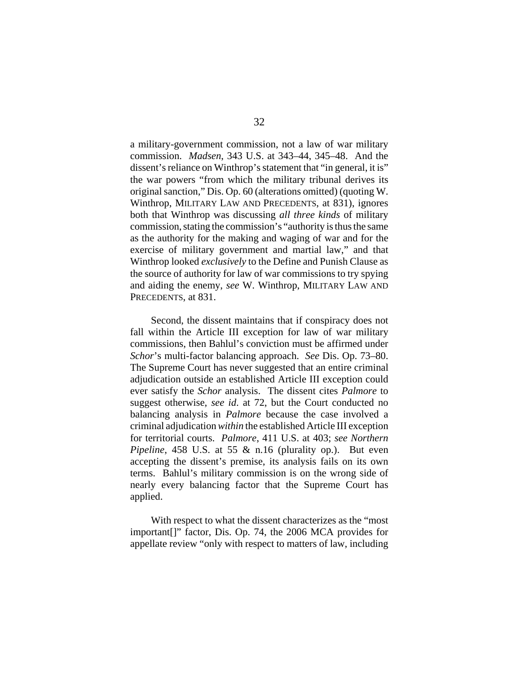a military-government commission, not a law of war military commission. *Madsen*, 343 U.S. at 343–44, 345–48. And the dissent's reliance on Winthrop's statement that "in general, it is" the war powers "from which the military tribunal derives its original sanction," Dis. Op. 60 (alterations omitted) (quoting W. Winthrop, MILITARY LAW AND PRECEDENTS, at 831), ignores both that Winthrop was discussing *all three kinds* of military commission, stating the commission's "authority is thus the same as the authority for the making and waging of war and for the exercise of military government and martial law," and that Winthrop looked *exclusively* to the Define and Punish Clause as the source of authority for law of war commissions to try spying and aiding the enemy, *see* W. Winthrop, MILITARY LAW AND PRECEDENTS, at 831.

Second, the dissent maintains that if conspiracy does not fall within the Article III exception for law of war military commissions, then Bahlul's conviction must be affirmed under *Schor*'s multi-factor balancing approach. *See* Dis. Op. 73–80. The Supreme Court has never suggested that an entire criminal adjudication outside an established Article III exception could ever satisfy the *Schor* analysis. The dissent cites *Palmore* to suggest otherwise, *see id*. at 72, but the Court conducted no balancing analysis in *Palmore* because the case involved a criminal adjudication *within* the established Article III exception for territorial courts. *Palmore*, 411 U.S. at 403; *see Northern Pipeline*, 458 U.S. at 55 & n.16 (plurality op.). But even accepting the dissent's premise, its analysis fails on its own terms. Bahlul's military commission is on the wrong side of nearly every balancing factor that the Supreme Court has applied.

With respect to what the dissent characterizes as the "most important[]" factor, Dis. Op. 74, the 2006 MCA provides for appellate review "only with respect to matters of law, including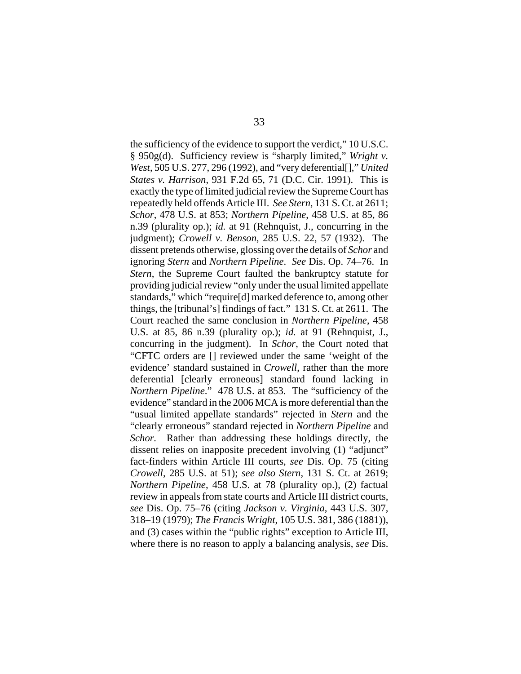the sufficiency of the evidence to support the verdict," 10 U.S.C. § 950g(d). Sufficiency review is "sharply limited," *Wright v. West*, 505 U.S. 277, 296 (1992), and "very deferential[]," *United States v. Harrison*, 931 F.2d 65, 71 (D.C. Cir. 1991). This is exactly the type of limited judicial review the Supreme Court has repeatedly held offends Article III. *See Stern*, 131 S. Ct. at 2611; *Schor*, 478 U.S. at 853; *Northern Pipeline*, 458 U.S. at 85, 86 n.39 (plurality op.); *id.* at 91 (Rehnquist, J., concurring in the judgment); *Crowell v. Benson*, 285 U.S. 22, 57 (1932). The dissent pretends otherwise, glossing over the details of *Schor* and ignoring *Stern* and *Northern Pipeline*. *See* Dis. Op. 74–76. In *Stern*, the Supreme Court faulted the bankruptcy statute for providing judicial review "only under the usual limited appellate standards," which "require[d] marked deference to, among other things, the [tribunal's] findings of fact." 131 S. Ct. at 2611. The Court reached the same conclusion in *Northern Pipeline*, 458 U.S. at 85, 86 n.39 (plurality op.); *id.* at 91 (Rehnquist, J., concurring in the judgment). In *Schor*, the Court noted that "CFTC orders are [] reviewed under the same 'weight of the evidence' standard sustained in *Crowell*, rather than the more deferential [clearly erroneous] standard found lacking in *Northern Pipeline*." 478 U.S. at 853. The "sufficiency of the evidence" standard in the 2006 MCA is more deferential than the "usual limited appellate standards" rejected in *Stern* and the "clearly erroneous" standard rejected in *Northern Pipeline* and *Schor.* Rather than addressing these holdings directly, the dissent relies on inapposite precedent involving (1) "adjunct" fact-finders within Article III courts, *see* Dis. Op. 75 (citing *Crowell*, 285 U.S. at 51); *see also Stern*, 131 S. Ct. at 2619; *Northern Pipeline*, 458 U.S. at 78 (plurality op.), (2) factual review in appeals from state courts and Article III district courts, *see* Dis. Op. 75–76 (citing *Jackson v. Virginia*, 443 U.S. 307, 318–19 (1979); *The Francis Wright*, 105 U.S. 381, 386 (1881)), and (3) cases within the "public rights" exception to Article III, where there is no reason to apply a balancing analysis, *see* Dis.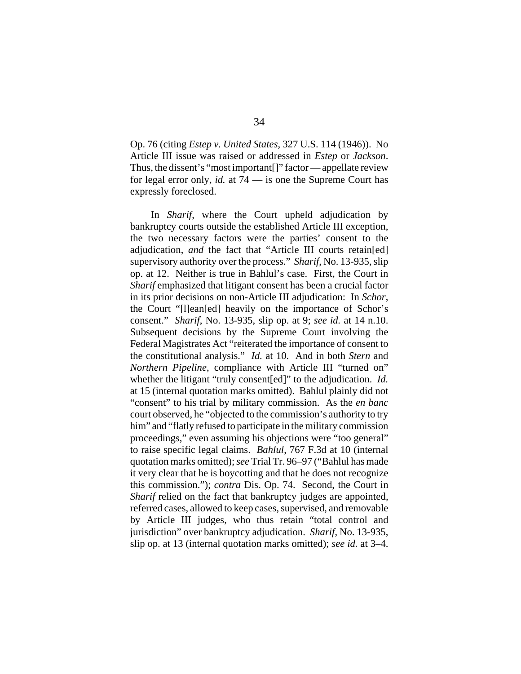Op. 76 (citing *Estep v. United States*, 327 U.S. 114 (1946)). No Article III issue was raised or addressed in *Estep* or *Jackson*. Thus, the dissent's "most important[]" factor — appellate review for legal error only, *id.* at 74 — is one the Supreme Court has expressly foreclosed.

In *Sharif*, where the Court upheld adjudication by bankruptcy courts outside the established Article III exception, the two necessary factors were the parties' consent to the adjudication, *and* the fact that "Article III courts retain[ed] supervisory authority over the process." *Sharif*, No. 13-935, slip op. at 12. Neither is true in Bahlul's case. First, the Court in *Sharif* emphasized that litigant consent has been a crucial factor in its prior decisions on non-Article III adjudication: In *Schor*, the Court "[l]ean[ed] heavily on the importance of Schor's consent." *Sharif*, No. 13-935, slip op. at 9; *see id.* at 14 n.10. Subsequent decisions by the Supreme Court involving the Federal Magistrates Act "reiterated the importance of consent to the constitutional analysis." *Id.* at 10. And in both *Stern* and *Northern Pipeline*, compliance with Article III "turned on" whether the litigant "truly consent[ed]" to the adjudication. *Id.* at 15 (internal quotation marks omitted). Bahlul plainly did not "consent" to his trial by military commission. As the *en banc* court observed, he "objected to the commission's authority to try him" and "flatly refused to participate in the military commission proceedings," even assuming his objections were "too general" to raise specific legal claims. *Bahlul*, 767 F.3d at 10 (internal quotation marks omitted); *see* Trial Tr. 96–97 ("Bahlul has made it very clear that he is boycotting and that he does not recognize this commission."); *contra* Dis. Op. 74. Second, the Court in *Sharif* relied on the fact that bankruptcy judges are appointed, referred cases, allowed to keep cases, supervised, and removable by Article III judges, who thus retain "total control and jurisdiction" over bankruptcy adjudication. *Sharif*, No. 13-935, slip op. at 13 (internal quotation marks omitted); *see id.* at 3–4.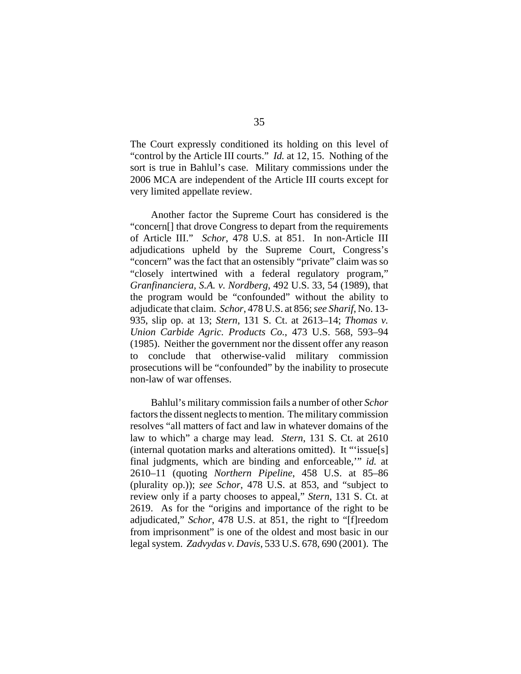The Court expressly conditioned its holding on this level of "control by the Article III courts." *Id.* at 12, 15. Nothing of the sort is true in Bahlul's case. Military commissions under the 2006 MCA are independent of the Article III courts except for very limited appellate review.

Another factor the Supreme Court has considered is the "concern[] that drove Congress to depart from the requirements of Article III." *Schor*, 478 U.S. at 851. In non-Article III adjudications upheld by the Supreme Court, Congress's "concern" was the fact that an ostensibly "private" claim was so "closely intertwined with a federal regulatory program," *Granfinanciera, S.A. v. Nordberg*, 492 U.S. 33, 54 (1989), that the program would be "confounded" without the ability to adjudicate that claim. *Schor*, 478 U.S. at 856; *see Sharif*, No. 13- 935, slip op. at 13; *Stern*, 131 S. Ct. at 2613–14; *Thomas v. Union Carbide Agric. Products Co.*, 473 U.S. 568, 593–94 (1985). Neither the government nor the dissent offer any reason to conclude that otherwise-valid military commission prosecutions will be "confounded" by the inability to prosecute non-law of war offenses.

Bahlul's military commission fails a number of other *Schor* factors the dissent neglects to mention. The military commission resolves "all matters of fact and law in whatever domains of the law to which" a charge may lead. *Stern*, 131 S. Ct. at 2610 (internal quotation marks and alterations omitted). It "'issue[s] final judgments, which are binding and enforceable,'" *id.* at 2610–11 (quoting *Northern Pipeline*, 458 U.S. at 85–86 (plurality op.)); *see Schor*, 478 U.S. at 853, and "subject to review only if a party chooses to appeal," *Stern*, 131 S. Ct. at 2619. As for the "origins and importance of the right to be adjudicated," *Schor*, 478 U.S. at 851, the right to "[f]reedom from imprisonment" is one of the oldest and most basic in our legal system. *Zadvydas v. Davis*, 533 U.S. 678, 690 (2001). The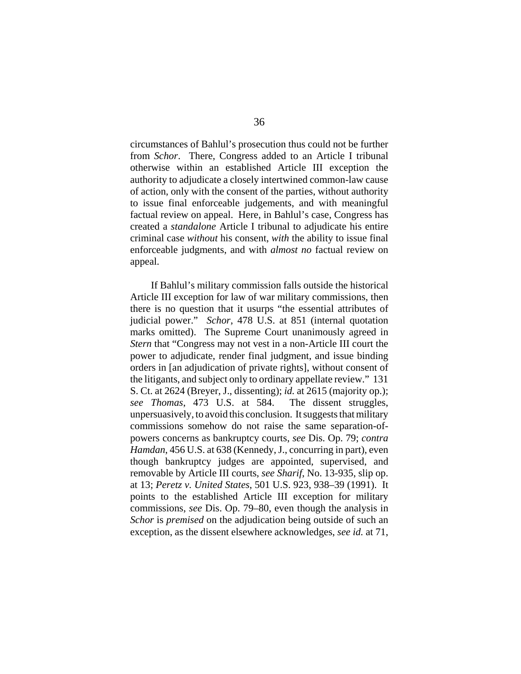circumstances of Bahlul's prosecution thus could not be further from *Schor*. There, Congress added to an Article I tribunal otherwise within an established Article III exception the authority to adjudicate a closely intertwined common-law cause of action, only with the consent of the parties, without authority to issue final enforceable judgements, and with meaningful factual review on appeal. Here, in Bahlul's case, Congress has created a *standalone* Article I tribunal to adjudicate his entire criminal case *without* his consent, *with* the ability to issue final enforceable judgments, and with *almost no* factual review on appeal.

If Bahlul's military commission falls outside the historical Article III exception for law of war military commissions, then there is no question that it usurps "the essential attributes of judicial power." *Schor*, 478 U.S. at 851 (internal quotation marks omitted). The Supreme Court unanimously agreed in *Stern* that "Congress may not vest in a non-Article III court the power to adjudicate, render final judgment, and issue binding orders in [an adjudication of private rights], without consent of the litigants, and subject only to ordinary appellate review." 131 S. Ct. at 2624 (Breyer, J., dissenting); *id.* at 2615 (majority op.); *see Thomas*, 473 U.S. at 584. The dissent struggles, unpersuasively, to avoid this conclusion. It suggests that military commissions somehow do not raise the same separation-ofpowers concerns as bankruptcy courts, *see* Dis. Op. 79; *contra Hamdan*, 456 U.S. at 638 (Kennedy, J., concurring in part), even though bankruptcy judges are appointed, supervised, and removable by Article III courts, *see Sharif*, No. 13-935, slip op. at 13; *Peretz v. United States*, 501 U.S. 923, 938–39 (1991). It points to the established Article III exception for military commissions, *see* Dis. Op. 79–80, even though the analysis in *Schor* is *premised* on the adjudication being outside of such an exception, as the dissent elsewhere acknowledges, *see id.* at 71,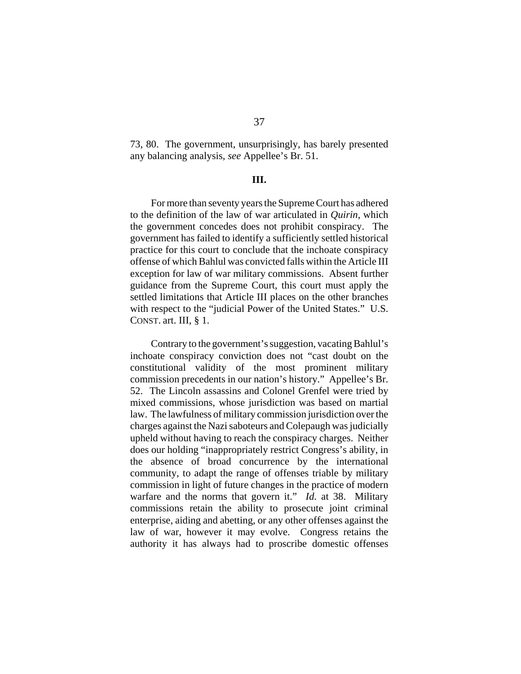73, 80. The government, unsurprisingly, has barely presented any balancing analysis, *see* Appellee's Br. 51.

## **III.**

For more than seventy years the Supreme Court has adhered to the definition of the law of war articulated in *Quirin*, which the government concedes does not prohibit conspiracy. The government has failed to identify a sufficiently settled historical practice for this court to conclude that the inchoate conspiracy offense of which Bahlul was convicted falls within the Article III exception for law of war military commissions. Absent further guidance from the Supreme Court, this court must apply the settled limitations that Article III places on the other branches with respect to the "judicial Power of the United States." U.S. CONST. art. III, § 1.

Contrary to the government's suggestion, vacating Bahlul's inchoate conspiracy conviction does not "cast doubt on the constitutional validity of the most prominent military commission precedents in our nation's history." Appellee's Br. 52. The Lincoln assassins and Colonel Grenfel were tried by mixed commissions, whose jurisdiction was based on martial law. The lawfulness of military commission jurisdiction over the charges against the Nazi saboteurs and Colepaugh was judicially upheld without having to reach the conspiracy charges. Neither does our holding "inappropriately restrict Congress's ability, in the absence of broad concurrence by the international community, to adapt the range of offenses triable by military commission in light of future changes in the practice of modern warfare and the norms that govern it." *Id.* at 38. Military commissions retain the ability to prosecute joint criminal enterprise, aiding and abetting, or any other offenses against the law of war, however it may evolve. Congress retains the authority it has always had to proscribe domestic offenses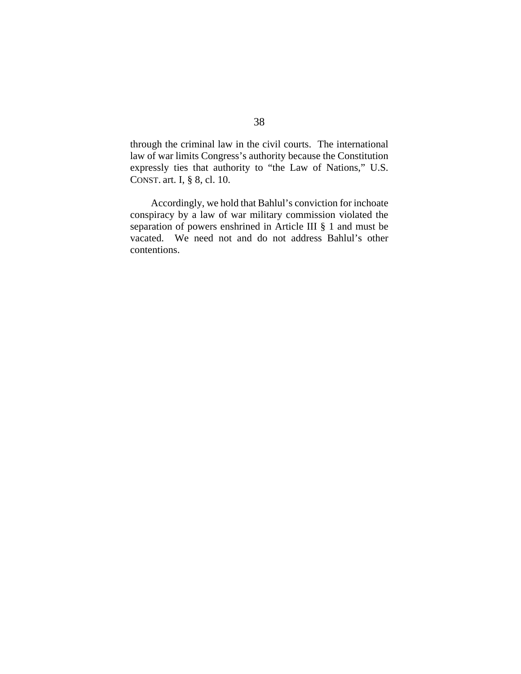through the criminal law in the civil courts. The international law of war limits Congress's authority because the Constitution expressly ties that authority to "the Law of Nations," U.S. CONST. art. I, § 8, cl. 10.

Accordingly, we hold that Bahlul's conviction for inchoate conspiracy by a law of war military commission violated the separation of powers enshrined in Article III § 1 and must be vacated. We need not and do not address Bahlul's other contentions.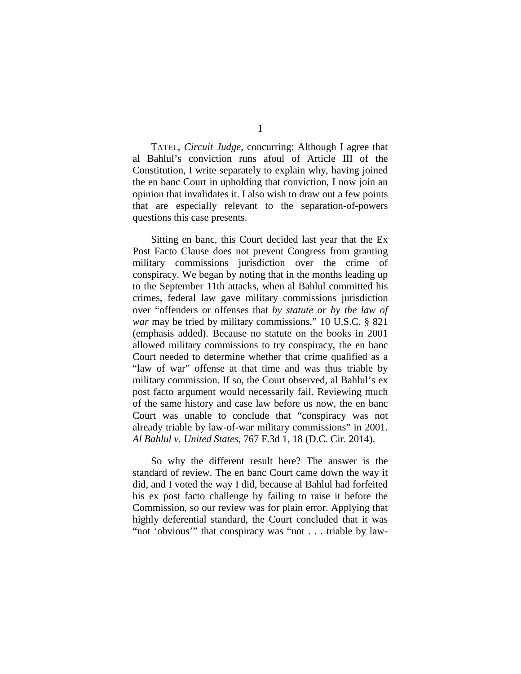TATEL, *Circuit Judge*, concurring: Although I agree that al Bahlul's conviction runs afoul of Article III of the Constitution, I write separately to explain why, having joined the en banc Court in upholding that conviction, I now join an opinion that invalidates it. I also wish to draw out a few points that are especially relevant to the separation-of-powers questions this case presents.

Sitting en banc, this Court decided last year that the Ex Post Facto Clause does not prevent Congress from granting military commissions jurisdiction over the crime of conspiracy. We began by noting that in the months leading up to the September 11th attacks, when al Bahlul committed his crimes, federal law gave military commissions jurisdiction over "offenders or offenses that *by statute or by the law of war* may be tried by military commissions." 10 U.S.C. § 821 (emphasis added). Because no statute on the books in 2001 allowed military commissions to try conspiracy, the en banc Court needed to determine whether that crime qualified as a "law of war" offense at that time and was thus triable by military commission. If so, the Court observed, al Bahlul's ex post facto argument would necessarily fail. Reviewing much of the same history and case law before us now, the en banc Court was unable to conclude that "conspiracy was not already triable by law-of-war military commissions" in 2001. *Al Bahlul v. United States*, 767 F.3d 1, 18 (D.C. Cir. 2014).

So why the different result here? The answer is the standard of review. The en banc Court came down the way it did, and I voted the way I did, because al Bahlul had forfeited his ex post facto challenge by failing to raise it before the Commission, so our review was for plain error. Applying that highly deferential standard, the Court concluded that it was "not 'obvious'" that conspiracy was "not . . . triable by law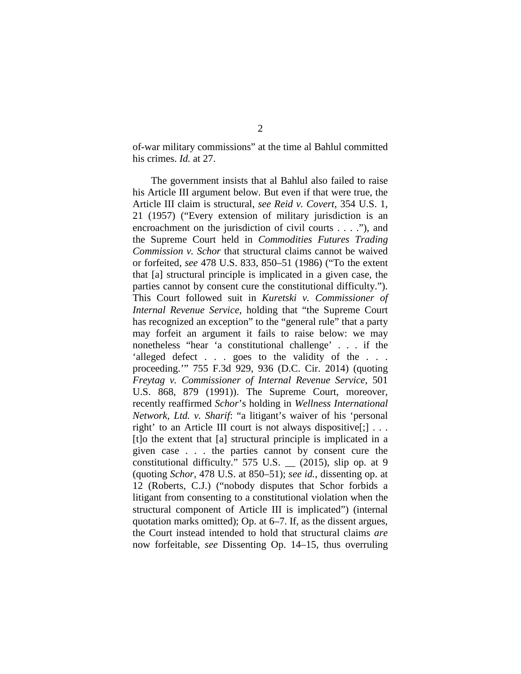of-war military commissions" at the time al Bahlul committed his crimes. *Id.* at 27.

The government insists that al Bahlul also failed to raise his Article III argument below. But even if that were true, the Article III claim is structural, *see Reid v. Covert*, 354 U.S. 1, 21 (1957) ("Every extension of military jurisdiction is an encroachment on the jurisdiction of civil courts . . . ."), and the Supreme Court held in *Commodities Futures Trading Commission v. Schor* that structural claims cannot be waived or forfeited, *see* 478 U.S. 833, 850–51 (1986) ("To the extent that [a] structural principle is implicated in a given case, the parties cannot by consent cure the constitutional difficulty."). This Court followed suit in *Kuretski v. Commissioner of Internal Revenue Service*, holding that "the Supreme Court has recognized an exception" to the "general rule" that a party may forfeit an argument it fails to raise below: we may nonetheless "hear 'a constitutional challenge' . . . if the 'alleged defect . . . goes to the validity of the . . . proceeding.'" 755 F.3d 929, 936 (D.C. Cir. 2014) (quoting *Freytag v. Commissioner of Internal Revenue Service*, 501 U.S. 868, 879 (1991)). The Supreme Court, moreover, recently reaffirmed *Schor*'s holding in *Wellness International Network, Ltd. v. Sharif*: "a litigant's waiver of his 'personal right' to an Article III court is not always dispositive[;] . . . [t]o the extent that [a] structural principle is implicated in a given case . . . the parties cannot by consent cure the constitutional difficulty." 575 U.S. \_\_ (2015), slip op. at 9 (quoting *Schor*, 478 U.S. at 850–51); *see id.*, dissenting op. at 12 (Roberts, C.J.) ("nobody disputes that Schor forbids a litigant from consenting to a constitutional violation when the structural component of Article III is implicated") (internal quotation marks omitted); Op. at 6–7. If, as the dissent argues, the Court instead intended to hold that structural claims *are* now forfeitable, *see* Dissenting Op. 14–15, thus overruling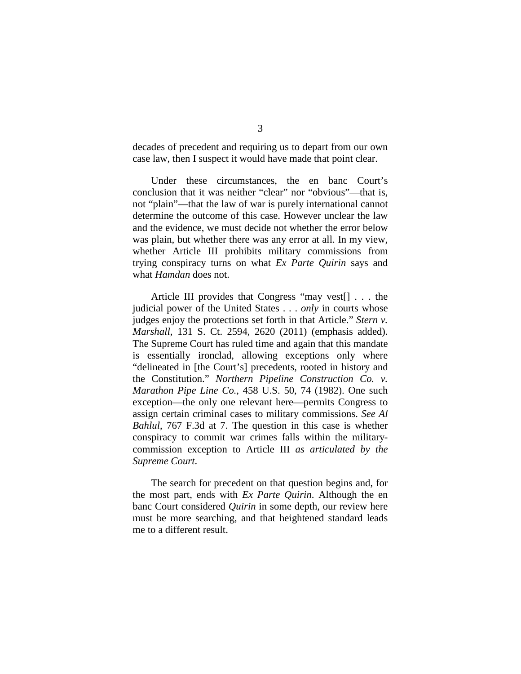decades of precedent and requiring us to depart from our own case law, then I suspect it would have made that point clear.

Under these circumstances, the en banc Court's conclusion that it was neither "clear" nor "obvious"—that is, not "plain"—that the law of war is purely international cannot determine the outcome of this case. However unclear the law and the evidence, we must decide not whether the error below was plain, but whether there was any error at all. In my view, whether Article III prohibits military commissions from trying conspiracy turns on what *Ex Parte Quirin* says and what *Hamdan* does not.

Article III provides that Congress "may vest[] . . . the judicial power of the United States . . . *only* in courts whose judges enjoy the protections set forth in that Article." *Stern v. Marshall*, 131 S. Ct. 2594, 2620 (2011) (emphasis added). The Supreme Court has ruled time and again that this mandate is essentially ironclad, allowing exceptions only where "delineated in [the Court's] precedents, rooted in history and the Constitution." *Northern Pipeline Construction Co. v. Marathon Pipe Line Co.*, 458 U.S. 50, 74 (1982). One such exception—the only one relevant here—permits Congress to assign certain criminal cases to military commissions. *See Al Bahlul*, 767 F.3d at 7. The question in this case is whether conspiracy to commit war crimes falls within the militarycommission exception to Article III *as articulated by the Supreme Court*.

The search for precedent on that question begins and, for the most part, ends with *Ex Parte Quirin*. Although the en banc Court considered *Quirin* in some depth, our review here must be more searching, and that heightened standard leads me to a different result.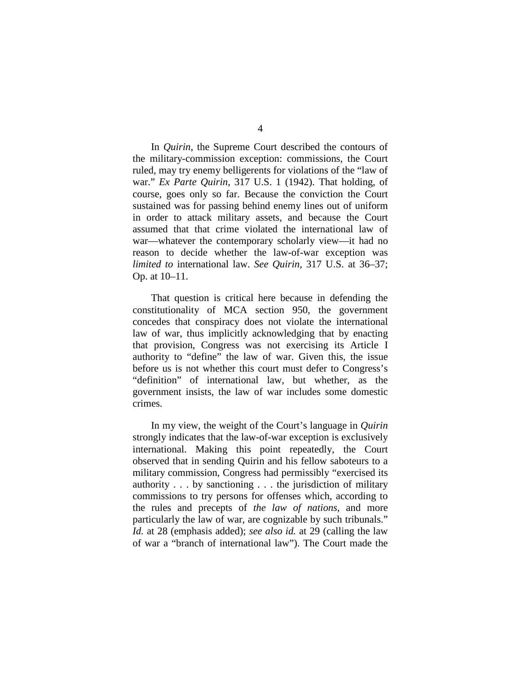In *Quirin*, the Supreme Court described the contours of the military-commission exception: commissions, the Court ruled, may try enemy belligerents for violations of the "law of war." *Ex Parte Quirin*, 317 U.S. 1 (1942). That holding, of course, goes only so far. Because the conviction the Court sustained was for passing behind enemy lines out of uniform in order to attack military assets, and because the Court assumed that that crime violated the international law of war—whatever the contemporary scholarly view—it had no reason to decide whether the law-of-war exception was *limited to* international law. *See Quirin*, 317 U.S. at 36–37; Op. at 10–11.

That question is critical here because in defending the constitutionality of MCA section 950, the government concedes that conspiracy does not violate the international law of war, thus implicitly acknowledging that by enacting that provision, Congress was not exercising its Article I authority to "define" the law of war. Given this, the issue before us is not whether this court must defer to Congress's "definition" of international law, but whether, as the government insists, the law of war includes some domestic crimes.

In my view, the weight of the Court's language in *Quirin*  strongly indicates that the law-of-war exception is exclusively international. Making this point repeatedly, the Court observed that in sending Quirin and his fellow saboteurs to a military commission, Congress had permissibly "exercised its authority . . . by sanctioning . . . the jurisdiction of military commissions to try persons for offenses which, according to the rules and precepts of *the law of nations*, and more particularly the law of war, are cognizable by such tribunals." *Id.* at 28 (emphasis added); *see also id.* at 29 (calling the law of war a "branch of international law"). The Court made the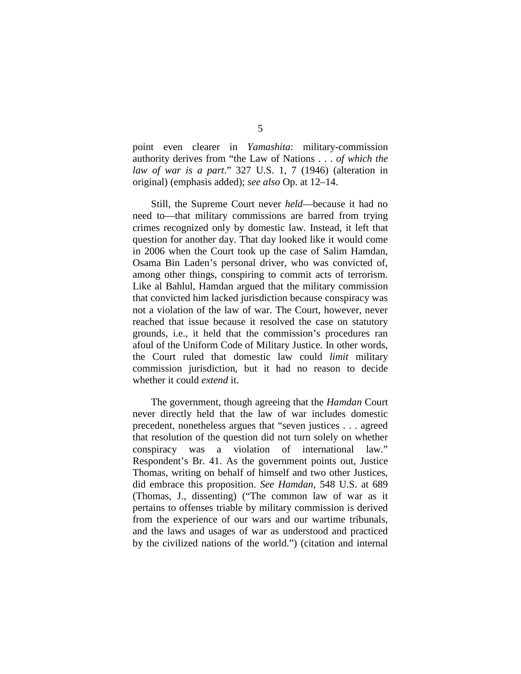point even clearer in *Yamashita*: military-commission authority derives from "the Law of Nations . . . *of which the law of war is a part*." 327 U.S. 1, 7 (1946) (alteration in original) (emphasis added); *see also* Op. at 12–14.

Still, the Supreme Court never *held*—because it had no need to—that military commissions are barred from trying crimes recognized only by domestic law. Instead, it left that question for another day. That day looked like it would come in 2006 when the Court took up the case of Salim Hamdan, Osama Bin Laden's personal driver, who was convicted of, among other things, conspiring to commit acts of terrorism. Like al Bahlul, Hamdan argued that the military commission that convicted him lacked jurisdiction because conspiracy was not a violation of the law of war. The Court, however, never reached that issue because it resolved the case on statutory grounds, i.e., it held that the commission's procedures ran afoul of the Uniform Code of Military Justice. In other words, the Court ruled that domestic law could *limit* military commission jurisdiction, but it had no reason to decide whether it could *extend* it.

The government, though agreeing that the *Hamdan* Court never directly held that the law of war includes domestic precedent, nonetheless argues that "seven justices . . . agreed that resolution of the question did not turn solely on whether conspiracy was a violation of international law." Respondent's Br. 41. As the government points out, Justice Thomas, writing on behalf of himself and two other Justices, did embrace this proposition. *See Hamdan*, 548 U.S. at 689 (Thomas, J., dissenting) ("The common law of war as it pertains to offenses triable by military commission is derived from the experience of our wars and our wartime tribunals, and the laws and usages of war as understood and practiced by the civilized nations of the world.") (citation and internal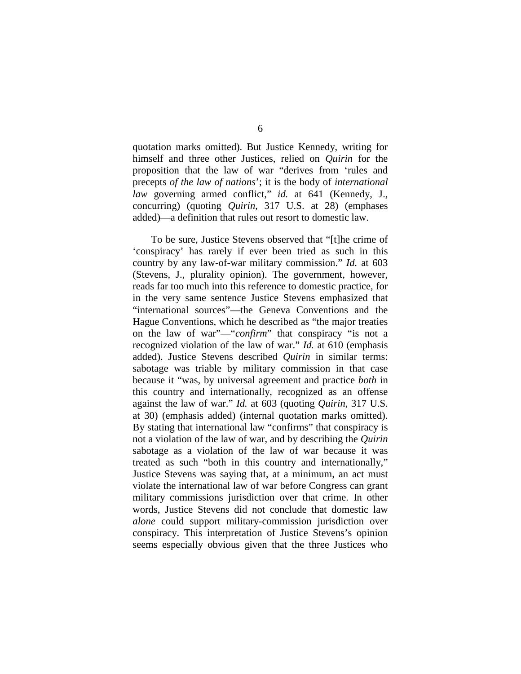quotation marks omitted). But Justice Kennedy, writing for himself and three other Justices, relied on *Quirin* for the proposition that the law of war "derives from 'rules and precepts *of the law of nations*'; it is the body of *international law* governing armed conflict," *id.* at 641 (Kennedy, J., concurring) (quoting *Quirin*, 317 U.S. at 28) (emphases added)—a definition that rules out resort to domestic law.

To be sure, Justice Stevens observed that "[t]he crime of 'conspiracy' has rarely if ever been tried as such in this country by any law-of-war military commission." *Id.* at 603 (Stevens, J., plurality opinion). The government, however, reads far too much into this reference to domestic practice, for in the very same sentence Justice Stevens emphasized that "international sources"—the Geneva Conventions and the Hague Conventions, which he described as "the major treaties on the law of war"—"*confirm*" that conspiracy "is not a recognized violation of the law of war." *Id.* at 610 (emphasis added). Justice Stevens described *Quirin* in similar terms: sabotage was triable by military commission in that case because it "was, by universal agreement and practice *both* in this country and internationally, recognized as an offense against the law of war." *Id.* at 603 (quoting *Quirin*, 317 U.S. at 30) (emphasis added) (internal quotation marks omitted). By stating that international law "confirms" that conspiracy is not a violation of the law of war, and by describing the *Quirin*  sabotage as a violation of the law of war because it was treated as such "both in this country and internationally," Justice Stevens was saying that, at a minimum, an act must violate the international law of war before Congress can grant military commissions jurisdiction over that crime. In other words, Justice Stevens did not conclude that domestic law *alone* could support military-commission jurisdiction over conspiracy. This interpretation of Justice Stevens's opinion seems especially obvious given that the three Justices who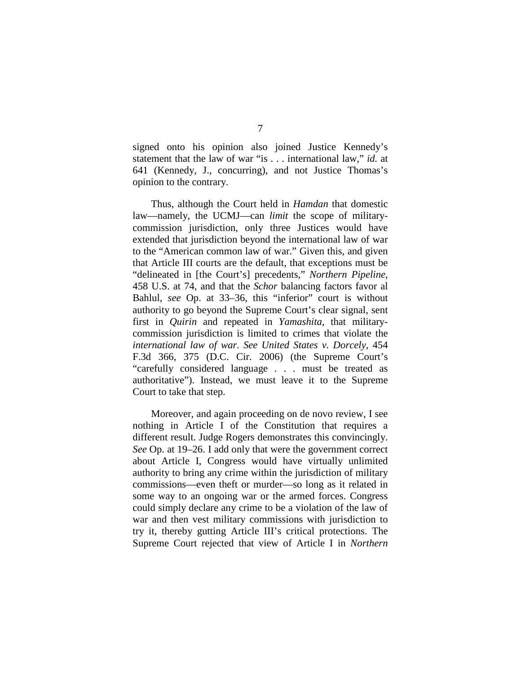signed onto his opinion also joined Justice Kennedy's statement that the law of war "is . . . international law," *id.* at 641 (Kennedy, J., concurring), and not Justice Thomas's opinion to the contrary.

Thus, although the Court held in *Hamdan* that domestic law—namely, the UCMJ—can *limit* the scope of militarycommission jurisdiction, only three Justices would have extended that jurisdiction beyond the international law of war to the "American common law of war." Given this, and given that Article III courts are the default, that exceptions must be "delineated in [the Court's] precedents," *Northern Pipeline*, 458 U.S. at 74, and that the *Schor* balancing factors favor al Bahlul, *see* Op. at 33–36, this "inferior" court is without authority to go beyond the Supreme Court's clear signal, sent first in *Quirin* and repeated in *Yamashita*, that militarycommission jurisdiction is limited to crimes that violate the *international law of war*. *See United States v. Dorcely*, 454 F.3d 366, 375 (D.C. Cir. 2006) (the Supreme Court's "carefully considered language . . . must be treated as authoritative"). Instead, we must leave it to the Supreme Court to take that step.

Moreover, and again proceeding on de novo review, I see nothing in Article I of the Constitution that requires a different result. Judge Rogers demonstrates this convincingly. *See* Op. at 19–26. I add only that were the government correct about Article I, Congress would have virtually unlimited authority to bring any crime within the jurisdiction of military commissions—even theft or murder—so long as it related in some way to an ongoing war or the armed forces. Congress could simply declare any crime to be a violation of the law of war and then vest military commissions with jurisdiction to try it, thereby gutting Article III's critical protections. The Supreme Court rejected that view of Article I in *Northern*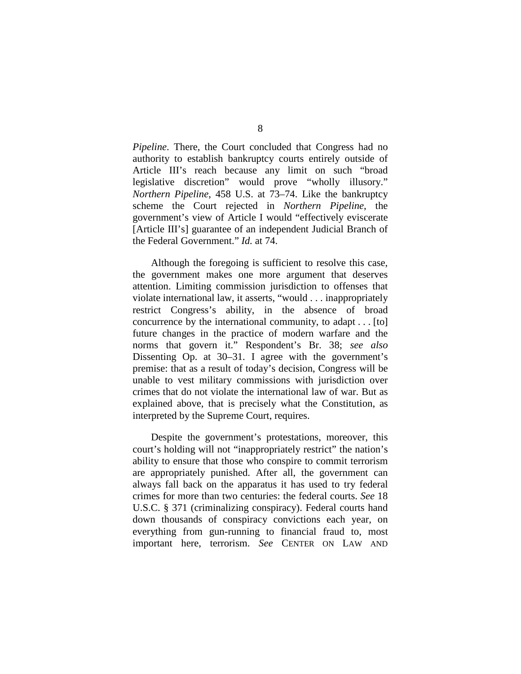*Pipeline*. There, the Court concluded that Congress had no authority to establish bankruptcy courts entirely outside of Article III's reach because any limit on such "broad legislative discretion" would prove "wholly illusory." *Northern Pipeline*, 458 U.S. at 73–74. Like the bankruptcy scheme the Court rejected in *Northern Pipeline*, the government's view of Article I would "effectively eviscerate [Article III's] guarantee of an independent Judicial Branch of the Federal Government." *Id.* at 74.

Although the foregoing is sufficient to resolve this case, the government makes one more argument that deserves attention. Limiting commission jurisdiction to offenses that violate international law, it asserts, "would . . . inappropriately restrict Congress's ability, in the absence of broad concurrence by the international community, to adapt . . . [to] future changes in the practice of modern warfare and the norms that govern it." Respondent's Br. 38; *see also*  Dissenting Op. at 30–31. I agree with the government's premise: that as a result of today's decision, Congress will be unable to vest military commissions with jurisdiction over crimes that do not violate the international law of war. But as explained above, that is precisely what the Constitution, as interpreted by the Supreme Court, requires.

Despite the government's protestations, moreover, this court's holding will not "inappropriately restrict" the nation's ability to ensure that those who conspire to commit terrorism are appropriately punished. After all, the government can always fall back on the apparatus it has used to try federal crimes for more than two centuries: the federal courts. *See* 18 U.S.C. § 371 (criminalizing conspiracy). Federal courts hand down thousands of conspiracy convictions each year, on everything from gun-running to financial fraud to, most important here, terrorism. *See* CENTER ON LAW AND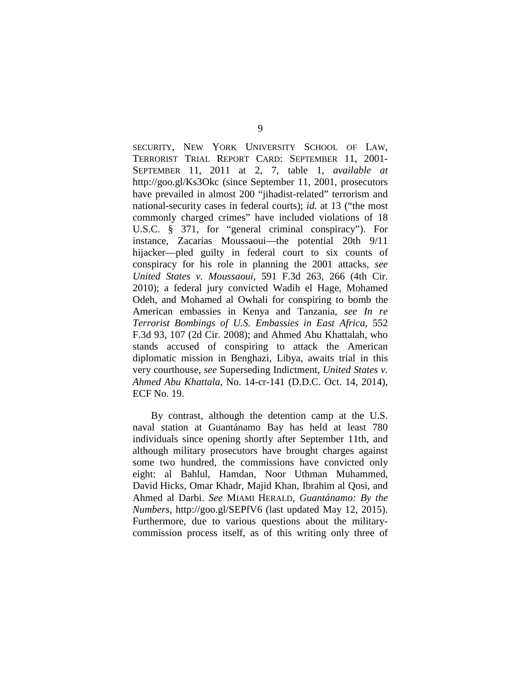SECURITY, NEW YORK UNIVERSITY SCHOOL OF LAW, TERRORIST TRIAL REPORT CARD: SEPTEMBER 11, 2001- SEPTEMBER 11, 2011 at 2, 7, table 1, *available at*  http://goo.gl/Ks3Okc (since September 11, 2001, prosecutors have prevailed in almost 200 "jihadist-related" terrorism and national-security cases in federal courts); *id.* at 13 ("the most commonly charged crimes" have included violations of 18 U.S.C. § 371, for "general criminal conspiracy"). For instance, Zacarias Moussaoui—the potential 20th 9/11 hijacker—pled guilty in federal court to six counts of conspiracy for his role in planning the 2001 attacks, *see United States v. Moussaoui*, 591 F.3d 263, 266 (4th Cir. 2010); a federal jury convicted Wadih el Hage, Mohamed Odeh, and Mohamed al Owhali for conspiring to bomb the American embassies in Kenya and Tanzania, *see In re Terrorist Bombings of U.S. Embassies in East Africa*, 552 F.3d 93, 107 (2d Cir. 2008); and Ahmed Abu Khattalah, who stands accused of conspiring to attack the American diplomatic mission in Benghazi, Libya, awaits trial in this very courthouse, *see* Superseding Indictment, *United States v. Ahmed Abu Khattala*, No. 14-cr-141 (D.D.C. Oct. 14, 2014), ECF No. 19.

By contrast, although the detention camp at the U.S. naval station at Guantánamo Bay has held at least 780 individuals since opening shortly after September 11th, and although military prosecutors have brought charges against some two hundred, the commissions have convicted only eight: al Bahlul, Hamdan, Noor Uthman Muhammed, David Hicks, Omar Khadr, Majid Khan, Ibrahim al Qosi, and Ahmed al Darbi. *See* MIAMI HERALD, *Guantánamo: By the Numbers*, http://goo.gl/SEPfV6 (last updated May 12, 2015). Furthermore, due to various questions about the militarycommission process itself, as of this writing only three of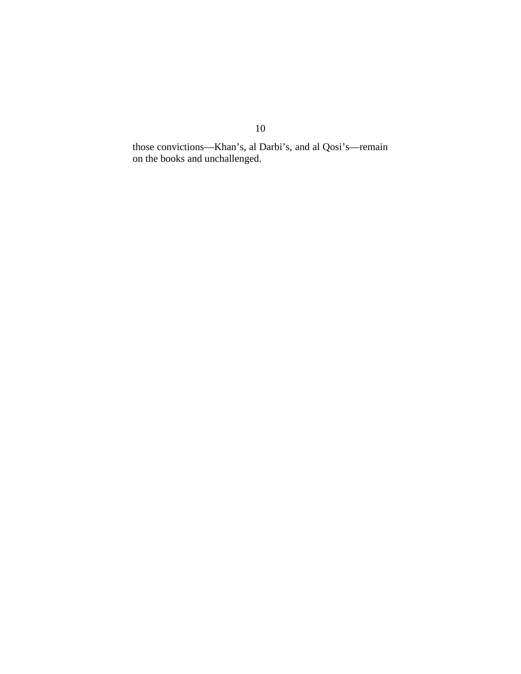those convictions—Khan's, al Darbi's, and al Qosi's—remain on the books and unchallenged.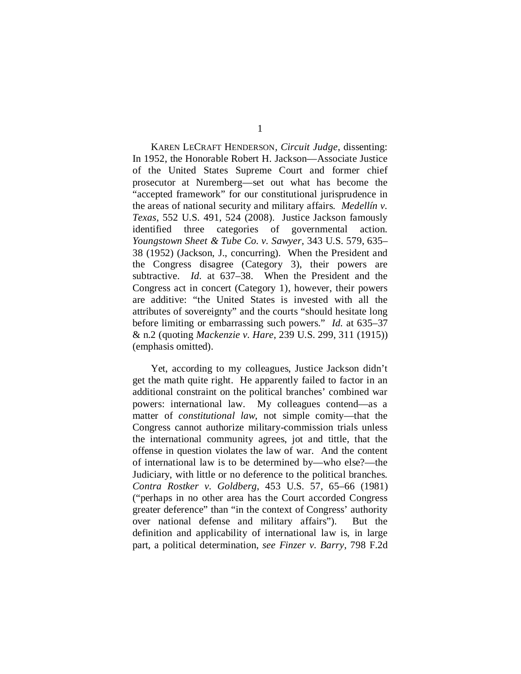KAREN LECRAFT HENDERSON, *Circuit Judge*, dissenting: In 1952, the Honorable Robert H. Jackson—Associate Justice of the United States Supreme Court and former chief prosecutor at Nuremberg—set out what has become the "accepted framework" for our constitutional jurisprudence in the areas of national security and military affairs. *Medellín v. Texas*, 552 U.S. 491, 524 (2008). Justice Jackson famously identified three categories of governmental action. *Youngstown Sheet & Tube Co. v. Sawyer*, 343 U.S. 579, 635– 38 (1952) (Jackson, J., concurring). When the President and the Congress disagree (Category 3), their powers are subtractive. *Id.* at 637–38. When the President and the Congress act in concert (Category 1), however, their powers are additive: "the United States is invested with all the attributes of sovereignty" and the courts "should hesitate long before limiting or embarrassing such powers." *Id.* at 635–37 & n.2 (quoting *Mackenzie v. Hare*, 239 U.S. 299, 311 (1915)) (emphasis omitted).

Yet, according to my colleagues, Justice Jackson didn't get the math quite right. He apparently failed to factor in an additional constraint on the political branches' combined war powers: international law. My colleagues contend—as a matter of *constitutional law*, not simple comity—that the Congress cannot authorize military-commission trials unless the international community agrees, jot and tittle, that the offense in question violates the law of war. And the content of international law is to be determined by—who else?—the Judiciary, with little or no deference to the political branches. *Contra Rostker v. Goldberg*, 453 U.S. 57, 65–66 (1981) ("perhaps in no other area has the Court accorded Congress greater deference" than "in the context of Congress' authority over national defense and military affairs"). But the definition and applicability of international law is, in large part, a political determination, *see Finzer v. Barry*, 798 F.2d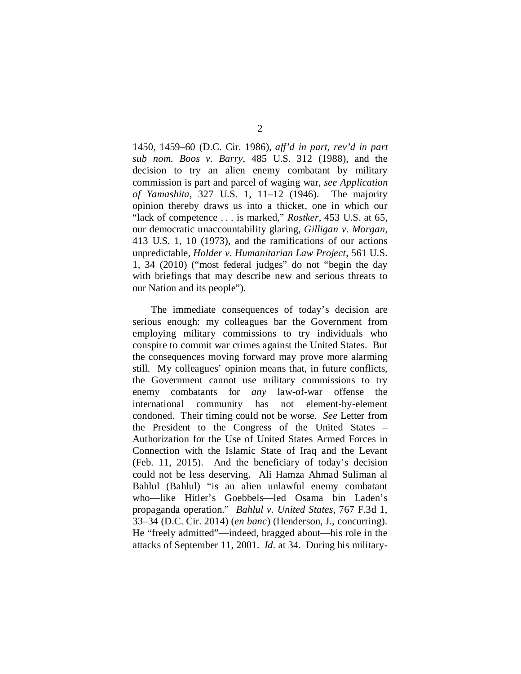1450, 1459–60 (D.C. Cir. 1986), *aff'd in part, rev'd in part sub nom. Boos v. Barry*, 485 U.S. 312 (1988), and the decision to try an alien enemy combatant by military commission is part and parcel of waging war, *see Application of Yamashita*, 327 U.S. 1, 11–12 (1946). The majority opinion thereby draws us into a thicket, one in which our "lack of competence . . . is marked," *Rostker*, 453 U.S. at 65, our democratic unaccountability glaring, *Gilligan v. Morgan*, 413 U.S. 1, 10 (1973), and the ramifications of our actions unpredictable, *Holder v. Humanitarian Law Project*, 561 U.S. 1, 34 (2010) ("most federal judges" do not "begin the day with briefings that may describe new and serious threats to our Nation and its people").

The immediate consequences of today's decision are serious enough: my colleagues bar the Government from employing military commissions to try individuals who conspire to commit war crimes against the United States. But the consequences moving forward may prove more alarming still. My colleagues' opinion means that, in future conflicts, the Government cannot use military commissions to try enemy combatants for *any* law-of-war offense the international community has not element-by-element condoned. Their timing could not be worse. *See* Letter from the President to the Congress of the United States – Authorization for the Use of United States Armed Forces in Connection with the Islamic State of Iraq and the Levant (Feb. 11, 2015). And the beneficiary of today's decision could not be less deserving. Ali Hamza Ahmad Suliman al Bahlul (Bahlul) "is an alien unlawful enemy combatant who—like Hitler's Goebbels—led Osama bin Laden's propaganda operation." *Bahlul v. United States*, 767 F.3d 1, 33–34 (D.C. Cir. 2014) (*en banc*) (Henderson, J., concurring). He "freely admitted"—indeed, bragged about—his role in the attacks of September 11, 2001. *Id.* at 34. During his military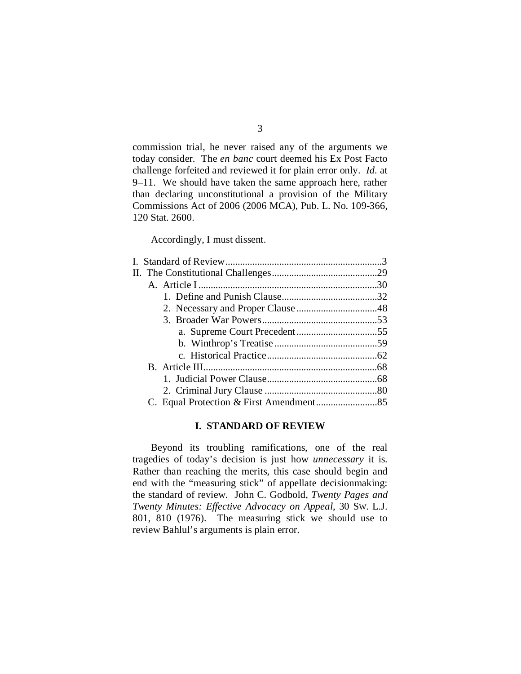commission trial, he never raised any of the arguments we today consider. The *en banc* court deemed his Ex Post Facto challenge forfeited and reviewed it for plain error only. *Id.* at 9–11. We should have taken the same approach here, rather than declaring unconstitutional a provision of the Military Commissions Act of 2006 (2006 MCA), Pub. L. No. 109-366, 120 Stat. 2600.

Accordingly, I must dissent.

## **I. STANDARD OF REVIEW**

<span id="page-50-0"></span>Beyond its troubling ramifications, one of the real tragedies of today's decision is just how *unnecessary* it is. Rather than reaching the merits, this case should begin and end with the "measuring stick" of appellate decisionmaking: the standard of review. John C. Godbold, *Twenty Pages and Twenty Minutes: Effective Advocacy on Appeal*, 30 SW. L.J. 801, 810 (1976). The measuring stick we should use to review Bahlul's arguments is plain error.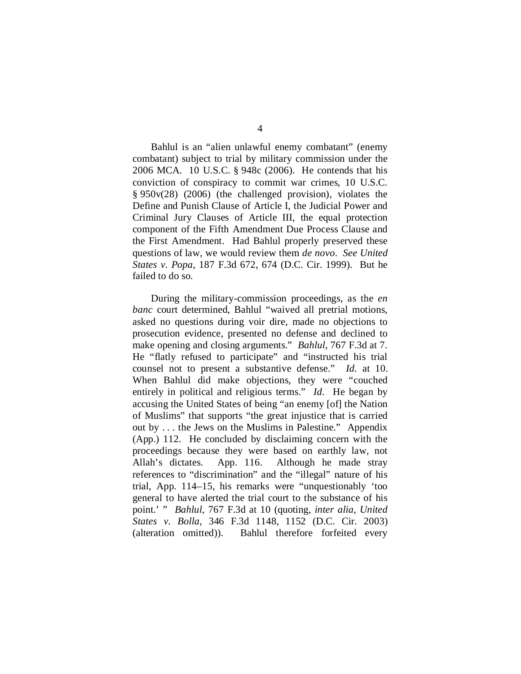Bahlul is an "alien unlawful enemy combatant" (enemy combatant) subject to trial by military commission under the 2006 MCA. 10 U.S.C. § 948c (2006). He contends that his conviction of conspiracy to commit war crimes, 10 U.S.C. § 950v(28) (2006) (the challenged provision), violates the Define and Punish Clause of Article I, the Judicial Power and Criminal Jury Clauses of Article III, the equal protection component of the Fifth Amendment Due Process Clause and the First Amendment. Had Bahlul properly preserved these questions of law, we would review them *de novo*. *See United States v. Popa*, 187 F.3d 672, 674 (D.C. Cir. 1999). But he failed to do so.

During the military-commission proceedings, as the *en banc* court determined, Bahlul "waived all pretrial motions, asked no questions during voir dire, made no objections to prosecution evidence, presented no defense and declined to make opening and closing arguments." *Bahlul*, 767 F.3d at 7. He "flatly refused to participate" and "instructed his trial counsel not to present a substantive defense." *Id.* at 10. When Bahlul did make objections, they were "couched entirely in political and religious terms." *Id.* He began by accusing the United States of being "an enemy [of] the Nation of Muslims" that supports "the great injustice that is carried out by . . . the Jews on the Muslims in Palestine." Appendix (App.) 112. He concluded by disclaiming concern with the proceedings because they were based on earthly law, not Allah's dictates. App. 116. Although he made stray references to "discrimination" and the "illegal" nature of his trial, App. 114–15, his remarks were "unquestionably 'too general to have alerted the trial court to the substance of his point.' " *Bahlul*, 767 F.3d at 10 (quoting, *inter alia*, *United States v. Bolla*, 346 F.3d 1148, 1152 (D.C. Cir. 2003) (alteration omitted)). Bahlul therefore forfeited every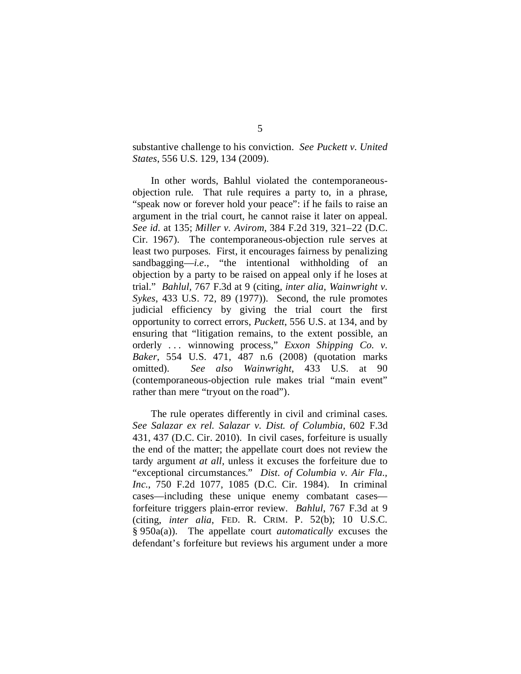substantive challenge to his conviction. *See Puckett v. United States*, 556 U.S. 129, 134 (2009).

In other words, Bahlul violated the contemporaneousobjection rule. That rule requires a party to, in a phrase, "speak now or forever hold your peace": if he fails to raise an argument in the trial court, he cannot raise it later on appeal. *See id.* at 135; *Miller v. Avirom*, 384 F.2d 319, 321–22 (D.C. Cir. 1967). The contemporaneous-objection rule serves at least two purposes. First, it encourages fairness by penalizing sandbagging—*i.e.*, "the intentional withholding of an objection by a party to be raised on appeal only if he loses at trial." *Bahlul*, 767 F.3d at 9 (citing, *inter alia*, *Wainwright v. Sykes*, 433 U.S. 72, 89 (1977)). Second, the rule promotes judicial efficiency by giving the trial court the first opportunity to correct errors, *Puckett*, 556 U.S. at 134, and by ensuring that "litigation remains, to the extent possible, an orderly . . . winnowing process," *Exxon Shipping Co. v. Baker*, 554 U.S. 471, 487 n.6 (2008) (quotation marks omitted). *See also Wainwright*, 433 U.S. at 90 (contemporaneous-objection rule makes trial "main event" rather than mere "tryout on the road").

The rule operates differently in civil and criminal cases. *See Salazar ex rel. Salazar v. Dist. of Columbia*, 602 F.3d 431, 437 (D.C. Cir. 2010). In civil cases, forfeiture is usually the end of the matter; the appellate court does not review the tardy argument *at all*, unless it excuses the forfeiture due to "exceptional circumstances." *Dist. of Columbia v. Air Fla., Inc.*, 750 F.2d 1077, 1085 (D.C. Cir. 1984). In criminal cases—including these unique enemy combatant cases forfeiture triggers plain-error review. *Bahlul*, 767 F.3d at 9 (citing, *inter alia*, FED. R. CRIM. P. 52(b); 10 U.S.C. § 950a(a)). The appellate court *automatically* excuses the defendant's forfeiture but reviews his argument under a more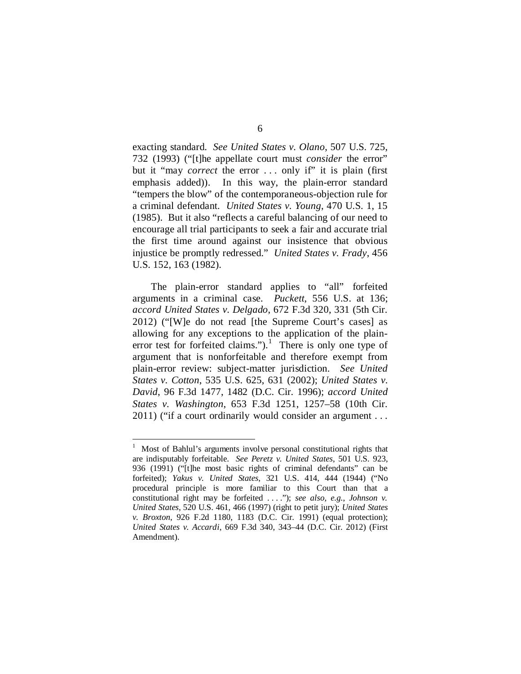exacting standard. *See United States v. Olano*, 507 U.S. 725, 732 (1993) ("[t]he appellate court must *consider* the error" but it "may *correct* the error ... only if" it is plain (first emphasis added)). In this way, the plain-error standard "tempers the blow" of the contemporaneous-objection rule for a criminal defendant. *United States v. Young*, 470 U.S. 1, 15 (1985). But it also "reflects a careful balancing of our need to encourage all trial participants to seek a fair and accurate trial the first time around against our insistence that obvious injustice be promptly redressed." *United States v. Frady*, 456 U.S. 152, 163 (1982).

The plain-error standard applies to "all" forfeited arguments in a criminal case. *Puckett*, 556 U.S. at 136; *accord United States v. Delgado*, 672 F.3d 320, 331 (5th Cir. 2012) ("[W]e do not read [the Supreme Court's cases] as allowing for any exceptions to the application of the plain-error test for forfeited claims.").<sup>[1](#page-53-0)</sup> There is only one type of argument that is nonforfeitable and therefore exempt from plain-error review: subject-matter jurisdiction. *See United States v. Cotton*, 535 U.S. 625, 631 (2002); *United States v. David*, 96 F.3d 1477, 1482 (D.C. Cir. 1996); *accord United States v. Washington*, 653 F.3d 1251, 1257–58 (10th Cir. 2011) ("if a court ordinarily would consider an argument . . .

<span id="page-53-0"></span> $\frac{1}{1}$  Most of Bahlul's arguments involve personal constitutional rights that are indisputably forfeitable. *See Peretz v. United States*, 501 U.S. 923, 936 (1991) ("[t]he most basic rights of criminal defendants" can be forfeited); *Yakus v. United States*, 321 U.S. 414, 444 (1944) ("No procedural principle is more familiar to this Court than that a constitutional right may be forfeited . . . ."); *see also, e.g.*, *Johnson v. United States*, 520 U.S. 461, 466 (1997) (right to petit jury); *United States v. Broxton*, 926 F.2d 1180, 1183 (D.C. Cir. 1991) (equal protection); *United States v. Accardi*, 669 F.3d 340, 343–44 (D.C. Cir. 2012) (First Amendment).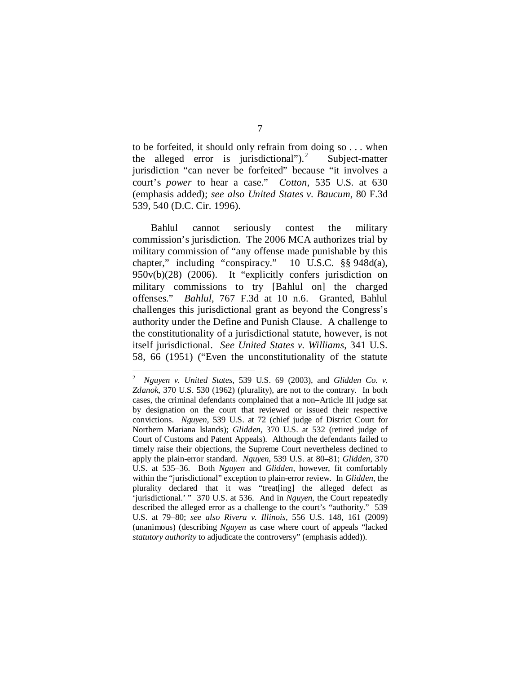to be forfeited, it should only refrain from doing so . . . when the alleged error is jurisdictional"). $^{2}$  $^{2}$  $^{2}$  Subject-matter jurisdiction "can never be forfeited" because "it involves a court's *power* to hear a case." *Cotton*, 535 U.S. at 630 (emphasis added); *see also United States v. Baucum*, 80 F.3d 539, 540 (D.C. Cir. 1996).

Bahlul cannot seriously contest the military commission's jurisdiction. The 2006 MCA authorizes trial by military commission of "any offense made punishable by this chapter," including "conspiracy." 10 U.S.C. §§ 948d(a), 950v(b)(28) (2006). It "explicitly confers jurisdiction on military commissions to try [Bahlul on] the charged offenses." *Bahlul*, 767 F.3d at 10 n.6. Granted, Bahlul challenges this jurisdictional grant as beyond the Congress's authority under the Define and Punish Clause. A challenge to the constitutionality of a jurisdictional statute, however, is not itself jurisdictional. *See United States v. Williams*, 341 U.S. 58, 66 (1951) ("Even the unconstitutionality of the statute

<span id="page-54-0"></span> $\frac{1}{2}$  *Nguyen v. United States*, 539 U.S. 69 (2003), and *Glidden Co. v. Zdanok*, 370 U.S. 530 (1962) (plurality), are not to the contrary. In both cases, the criminal defendants complained that a non–Article III judge sat by designation on the court that reviewed or issued their respective convictions. *Nguyen*, 539 U.S. at 72 (chief judge of District Court for Northern Mariana Islands); *Glidden*, 370 U.S. at 532 (retired judge of Court of Customs and Patent Appeals). Although the defendants failed to timely raise their objections, the Supreme Court nevertheless declined to apply the plain-error standard. *Nguyen*, 539 U.S. at 80–81; *Glidden*, 370 U.S. at 535–36. Both *Nguyen* and *Glidden*, however, fit comfortably within the "jurisdictional" exception to plain-error review. In *Glidden*, the plurality declared that it was "treat[ing] the alleged defect as 'jurisdictional.' " 370 U.S. at 536. And in *Nguyen*, the Court repeatedly described the alleged error as a challenge to the court's "authority." 539 U.S. at 79–80; *see also Rivera v. Illinois*, 556 U.S. 148, 161 (2009) (unanimous) (describing *Nguyen* as case where court of appeals "lacked *statutory authority* to adjudicate the controversy" (emphasis added)).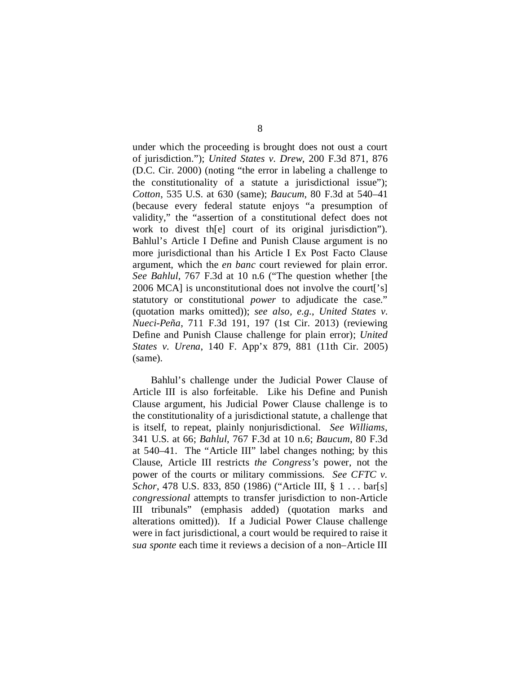under which the proceeding is brought does not oust a court of jurisdiction."); *United States v. Drew*, 200 F.3d 871, 876 (D.C. Cir. 2000) (noting "the error in labeling a challenge to the constitutionality of a statute a jurisdictional issue"); *Cotton*, 535 U.S. at 630 (same); *Baucum*, 80 F.3d at 540–41 (because every federal statute enjoys "a presumption of validity," the "assertion of a constitutional defect does not work to divest th[e] court of its original jurisdiction"). Bahlul's Article I Define and Punish Clause argument is no more jurisdictional than his Article I Ex Post Facto Clause argument, which the *en banc* court reviewed for plain error. *See Bahlul*, 767 F.3d at 10 n.6 ("The question whether [the 2006 MCA] is unconstitutional does not involve the court['s] statutory or constitutional *power* to adjudicate the case." (quotation marks omitted)); *see also, e.g.*, *United States v. Nueci-Peña*, 711 F.3d 191, 197 (1st Cir. 2013) (reviewing Define and Punish Clause challenge for plain error); *United States v. Urena*, 140 F. App'x 879, 881 (11th Cir. 2005) (same).

Bahlul's challenge under the Judicial Power Clause of Article III is also forfeitable. Like his Define and Punish Clause argument, his Judicial Power Clause challenge is to the constitutionality of a jurisdictional statute, a challenge that is itself, to repeat, plainly nonjurisdictional. *See Williams*, 341 U.S. at 66; *Bahlul*, 767 F.3d at 10 n.6; *Baucum*, 80 F.3d at 540–41. The "Article III" label changes nothing; by this Clause, Article III restricts *the Congress's* power, not the power of the courts or military commissions. *See CFTC v. Schor*, 478 U.S. 833, 850 (1986) ("Article III, § 1 . . . bar[s] *congressional* attempts to transfer jurisdiction to non-Article III tribunals" (emphasis added) (quotation marks and alterations omitted)). If a Judicial Power Clause challenge were in fact jurisdictional, a court would be required to raise it *sua sponte* each time it reviews a decision of a non–Article III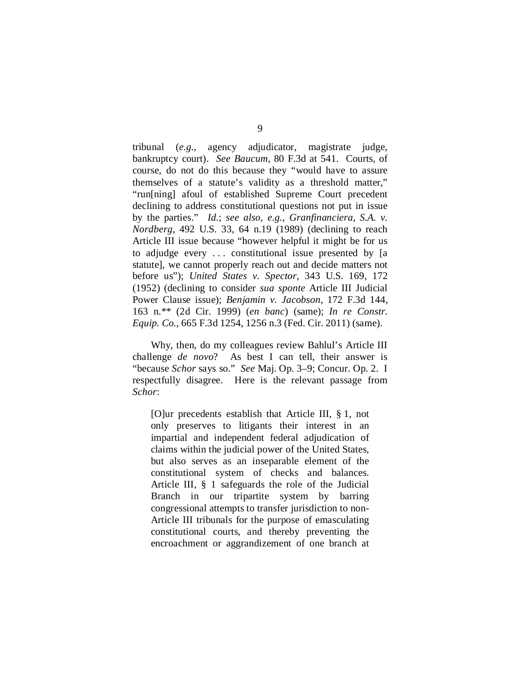tribunal (*e.g.*, agency adjudicator, magistrate judge, bankruptcy court). *See Baucum*, 80 F.3d at 541. Courts, of course, do not do this because they "would have to assure themselves of a statute's validity as a threshold matter," "run[ning] afoul of established Supreme Court precedent declining to address constitutional questions not put in issue by the parties." *Id.*; *see also, e.g.*, *Granfinanciera, S.A. v. Nordberg*, 492 U.S. 33, 64 n.19 (1989) (declining to reach Article III issue because "however helpful it might be for us to adjudge every . . . constitutional issue presented by [a statute], we cannot properly reach out and decide matters not before us"); *United States v. Spector*, 343 U.S. 169, 172 (1952) (declining to consider *sua sponte* Article III Judicial Power Clause issue); *Benjamin v. Jacobson*, 172 F.3d 144, 163 n.\*\* (2d Cir. 1999) (*en banc*) (same); *In re Constr. Equip. Co.*, 665 F.3d 1254, 1256 n.3 (Fed. Cir. 2011) (same).

Why, then, do my colleagues review Bahlul's Article III challenge *de novo*? As best I can tell, their answer is "because *Schor* says so." *See* Maj. Op. 3–9; Concur. Op. 2. I respectfully disagree. Here is the relevant passage from *Schor*:

[O]ur precedents establish that Article III, § 1, not only preserves to litigants their interest in an impartial and independent federal adjudication of claims within the judicial power of the United States, but also serves as an inseparable element of the constitutional system of checks and balances. Article III, § 1 safeguards the role of the Judicial Branch in our tripartite system by barring congressional attempts to transfer jurisdiction to non-Article III tribunals for the purpose of emasculating constitutional courts, and thereby preventing the encroachment or aggrandizement of one branch at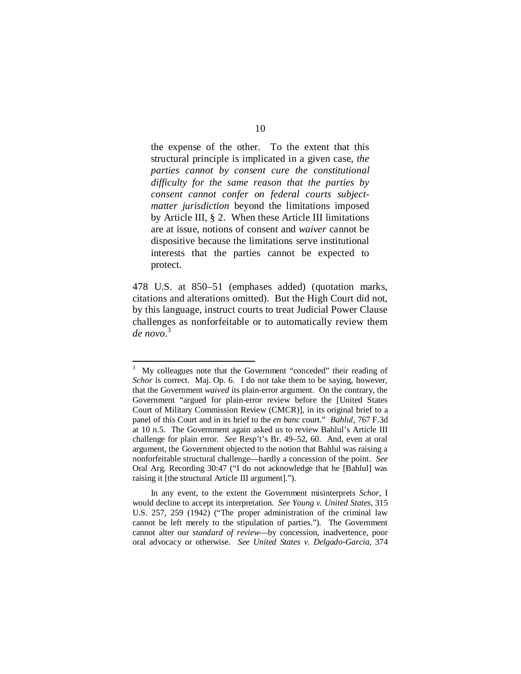the expense of the other. To the extent that this structural principle is implicated in a given case, *the parties cannot by consent cure the constitutional difficulty for the same reason that the parties by consent cannot confer on federal courts subjectmatter jurisdiction* beyond the limitations imposed by Article III, § 2. When these Article III limitations are at issue, notions of consent and *waiver* cannot be dispositive because the limitations serve institutional interests that the parties cannot be expected to protect.

478 U.S. at 850–51 (emphases added) (quotation marks, citations and alterations omitted). But the High Court did not, by this language, instruct courts to treat Judicial Power Clause challenges as nonforfeitable or to automatically review them *de novo*. [3](#page-57-0)

<span id="page-57-0"></span> <sup>3</sup> My colleagues note that the Government "conceded" their reading of *Schor* is correct. Maj. Op. 6. I do not take them to be saying, however, that the Government *waived* its plain-error argument. On the contrary, the Government "argued for plain-error review before the [United States Court of Military Commission Review (CMCR)], in its original brief to a panel of this Court and in its brief to the *en banc* court." *Bahlul*, 767 F.3d at 10 n.5. The Government again asked us to review Bahlul's Article III challenge for plain error. *See* Resp't's Br. 49–52, 60. And, even at oral argument, the Government objected to the notion that Bahlul was raising a nonforfeitable structural challenge—hardly a concession of the point. *See* Oral Arg. Recording 30:47 ("I do not acknowledge that he [Bahlul] was raising it [the structural Article III argument].").

In any event, to the extent the Government misinterprets *Schor*, I would decline to accept its interpretation. *See Young v. United States*, 315 U.S. 257, 259 (1942) ("The proper administration of the criminal law cannot be left merely to the stipulation of parties."). The Government cannot alter our *standard of review*—by concession, inadvertence, poor oral advocacy or otherwise. *See United States v. Delgado-Garcia*, 374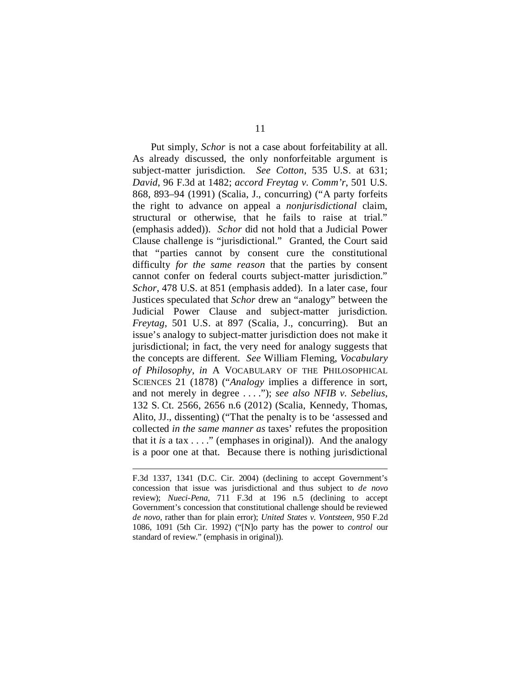Put simply, *Schor* is not a case about forfeitability at all. As already discussed, the only nonforfeitable argument is subject-matter jurisdiction. *See Cotton*, 535 U.S. at 631; *David*, 96 F.3d at 1482; *accord Freytag v. Comm'r*, 501 U.S. 868, 893–94 (1991) (Scalia, J., concurring) ("A party forfeits the right to advance on appeal a *nonjurisdictional* claim, structural or otherwise, that he fails to raise at trial." (emphasis added)). *Schor* did not hold that a Judicial Power Clause challenge is "jurisdictional." Granted, the Court said that "parties cannot by consent cure the constitutional difficulty *for the same reason* that the parties by consent cannot confer on federal courts subject-matter jurisdiction." *Schor*, 478 U.S. at 851 (emphasis added). In a later case, four Justices speculated that *Schor* drew an "analogy" between the Judicial Power Clause and subject-matter jurisdiction. *Freytag*, 501 U.S. at 897 (Scalia, J., concurring). But an issue's analogy to subject-matter jurisdiction does not make it jurisdictional; in fact, the very need for analogy suggests that the concepts are different. *See* William Fleming, *Vocabulary of Philosophy*, *in* A VOCABULARY OF THE PHILOSOPHICAL SCIENCES 21 (1878) ("*Analogy* implies a difference in sort, and not merely in degree . . . ."); *see also NFIB v. Sebelius*, 132 S. Ct. 2566, 2656 n.6 (2012) (Scalia, Kennedy, Thomas, Alito, JJ., dissenting) ("That the penalty is to be 'assessed and collected *in the same manner as* taxes' refutes the proposition that it *is* a tax . . . ." (emphases in original)). And the analogy is a poor one at that. Because there is nothing jurisdictional

F.3d 1337, 1341 (D.C. Cir. 2004) (declining to accept Government's concession that issue was jurisdictional and thus subject to *de novo* review); *Nueci-Pena*, 711 F.3d at 196 n.5 (declining to accept Government's concession that constitutional challenge should be reviewed *de novo*, rather than for plain error); *United States v. Vontsteen*, 950 F.2d 1086, 1091 (5th Cir. 1992) ("[N]o party has the power to *control* our standard of review." (emphasis in original)).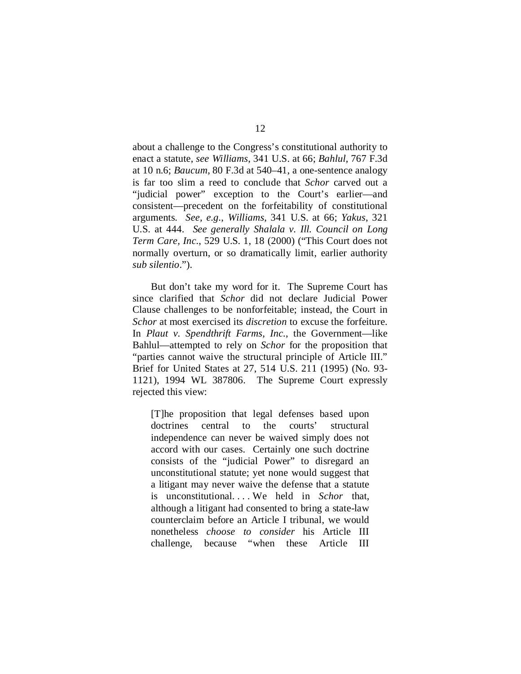about a challenge to the Congress's constitutional authority to enact a statute, *see Williams*, 341 U.S. at 66; *Bahlul*, 767 F.3d at 10 n.6; *Baucum*, 80 F.3d at 540–41, a one-sentence analogy is far too slim a reed to conclude that *Schor* carved out a "judicial power" exception to the Court's earlier—and consistent—precedent on the forfeitability of constitutional arguments. *See, e.g.*, *Williams*, 341 U.S. at 66; *Yakus*, 321 U.S. at 444. *See generally Shalala v. Ill. Council on Long Term Care, Inc.*, 529 U.S. 1, 18 (2000) ("This Court does not normally overturn, or so dramatically limit, earlier authority *sub silentio*.").

But don't take my word for it. The Supreme Court has since clarified that *Schor* did not declare Judicial Power Clause challenges to be nonforfeitable; instead, the Court in *Schor* at most exercised its *discretion* to excuse the forfeiture. In *Plaut v. Spendthrift Farms, Inc.*, the Government—like Bahlul—attempted to rely on *Schor* for the proposition that "parties cannot waive the structural principle of Article III." Brief for United States at 27, 514 U.S. 211 (1995) (No. 93- 1121), 1994 WL 387806. The Supreme Court expressly rejected this view:

[T]he proposition that legal defenses based upon doctrines central to the courts' structural independence can never be waived simply does not accord with our cases. Certainly one such doctrine consists of the "judicial Power" to disregard an unconstitutional statute; yet none would suggest that a litigant may never waive the defense that a statute is unconstitutional. . . . We held in *Schor* that, although a litigant had consented to bring a state-law counterclaim before an Article I tribunal, we would nonetheless *choose to consider* his Article III challenge, because "when these Article III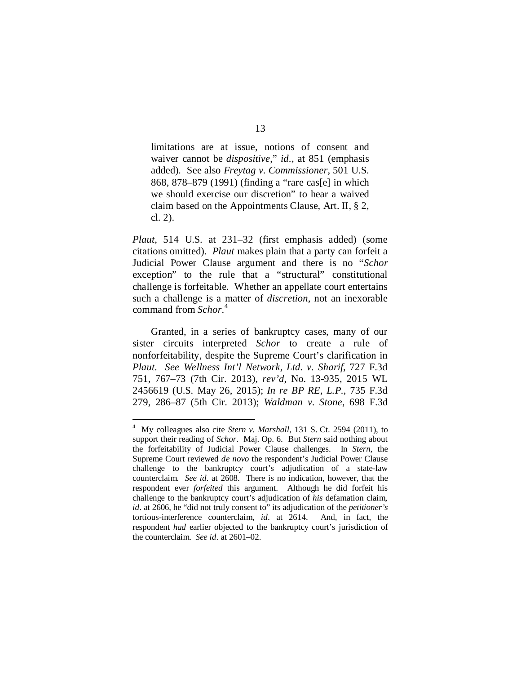limitations are at issue, notions of consent and waiver cannot be *dispositive*," *id*., at 851 (emphasis added). See also *Freytag v. Commissioner*, 501 U.S. 868, 878–879 (1991) (finding a "rare cas[e] in which we should exercise our discretion" to hear a waived claim based on the Appointments Clause, Art. II, § 2, cl. 2).

*Plaut*, 514 U.S. at 231–32 (first emphasis added) (some citations omitted). *Plaut* makes plain that a party can forfeit a Judicial Power Clause argument and there is no "*Schor* exception" to the rule that a "structural" constitutional challenge is forfeitable. Whether an appellate court entertains such a challenge is a matter of *discretion*, not an inexorable command from *Schor*. [4](#page-60-0)

Granted, in a series of bankruptcy cases, many of our sister circuits interpreted *Schor* to create a rule of nonforfeitability, despite the Supreme Court's clarification in *Plaut*. *See Wellness Int'l Network, Ltd. v. Sharif*, 727 F.3d 751, 767–73 (7th Cir. 2013), *rev'd*, No. 13-935, 2015 WL 2456619 (U.S. May 26, 2015); *In re BP RE, L.P.*, 735 F.3d 279, 286–87 (5th Cir. 2013); *Waldman v. Stone*, 698 F.3d

<span id="page-60-0"></span> $\frac{1}{4}$  My colleagues also cite *Stern v. Marshall*, 131 S. Ct. 2594 (2011), to support their reading of *Schor*. Maj. Op. 6. But *Stern* said nothing about the forfeitability of Judicial Power Clause challenges. In *Stern*, the Supreme Court reviewed *de novo* the respondent's Judicial Power Clause challenge to the bankruptcy court's adjudication of a state-law counterclaim. *See id.* at 2608. There is no indication, however, that the respondent ever *forfeited* this argument. Although he did forfeit his challenge to the bankruptcy court's adjudication of *his* defamation claim, *id.* at 2606, he "did not truly consent to" its adjudication of the *petitioner's* tortious-interference counterclaim, *id.* at 2614. And, in fact, the respondent *had* earlier objected to the bankruptcy court's jurisdiction of the counterclaim. *See id*. at 2601–02.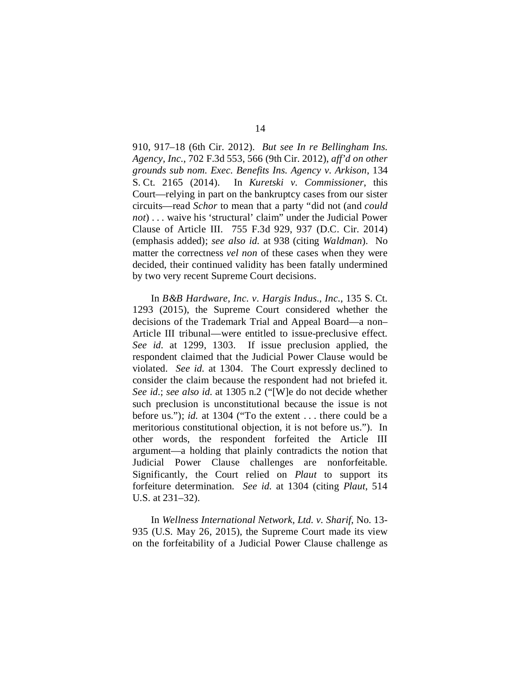910, 917–18 (6th Cir. 2012). *But see In re Bellingham Ins. Agency, Inc.*, 702 F.3d 553, 566 (9th Cir. 2012), *aff'd on other grounds sub nom. Exec. Benefits Ins. Agency v. Arkison*, 134 S. Ct. 2165 (2014). In *Kuretski v. Commissioner*, this Court—relying in part on the bankruptcy cases from our sister circuits—read *Schor* to mean that a party "did not (and *could not*) . . . waive his 'structural' claim" under the Judicial Power Clause of Article III. 755 F.3d 929, 937 (D.C. Cir. 2014) (emphasis added); *see also id.* at 938 (citing *Waldman*). No matter the correctness *vel non* of these cases when they were decided, their continued validity has been fatally undermined by two very recent Supreme Court decisions.

In *B&B Hardware, Inc. v. Hargis Indus., Inc.*, 135 S. Ct. 1293 (2015), the Supreme Court considered whether the decisions of the Trademark Trial and Appeal Board—a non– Article III tribunal—were entitled to issue-preclusive effect. *See id.* at 1299, 1303. If issue preclusion applied, the respondent claimed that the Judicial Power Clause would be violated. *See id.* at 1304. The Court expressly declined to consider the claim because the respondent had not briefed it. *See id.*; *see also id.* at 1305 n.2 ("[W]e do not decide whether such preclusion is unconstitutional because the issue is not before us."); *id.* at 1304 ("To the extent . . . there could be a meritorious constitutional objection, it is not before us."). In other words, the respondent forfeited the Article III argument—a holding that plainly contradicts the notion that Judicial Power Clause challenges are nonforfeitable. Significantly, the Court relied on *Plaut* to support its forfeiture determination. *See id.* at 1304 (citing *Plaut*, 514 U.S. at 231–32).

In *Wellness International Network, Ltd. v. Sharif*, No. 13- 935 (U.S. May 26, 2015), the Supreme Court made its view on the forfeitability of a Judicial Power Clause challenge as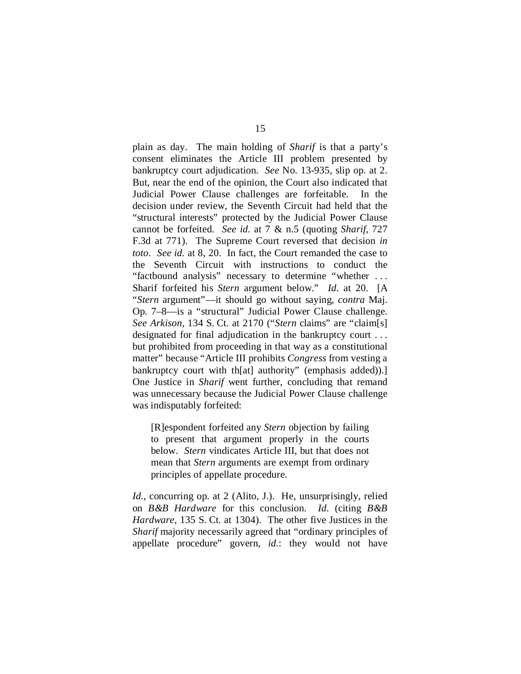plain as day. The main holding of *Sharif* is that a party's consent eliminates the Article III problem presented by bankruptcy court adjudication. *See* No. 13-935, slip op. at 2. But, near the end of the opinion, the Court also indicated that Judicial Power Clause challenges are forfeitable. In the decision under review, the Seventh Circuit had held that the "structural interests" protected by the Judicial Power Clause cannot be forfeited. *See id.* at 7 & n.5 (quoting *Sharif*, 727 F.3d at 771). The Supreme Court reversed that decision *in toto*. *See id.* at 8, 20. In fact, the Court remanded the case to the Seventh Circuit with instructions to conduct the "factbound analysis" necessary to determine "whether . . . Sharif forfeited his *Stern* argument below." *Id.* at 20. [A "*Stern* argument"—it should go without saying, *contra* Maj. Op. 7–8—is a "structural" Judicial Power Clause challenge. *See Arkison*, 134 S. Ct. at 2170 ("*Stern* claims" are "claim[s] designated for final adjudication in the bankruptcy court . . . but prohibited from proceeding in that way as a constitutional matter" because "Article III prohibits *Congress* from vesting a bankruptcy court with th[at] authority" (emphasis added)).] One Justice in *Sharif* went further, concluding that remand was unnecessary because the Judicial Power Clause challenge was indisputably forfeited:

[R]espondent forfeited any *Stern* objection by failing to present that argument properly in the courts below. *Stern* vindicates Article III, but that does not mean that *Stern* arguments are exempt from ordinary principles of appellate procedure.

*Id.*, concurring op. at 2 (Alito, J.). He, unsurprisingly, relied on *B&B Hardware* for this conclusion. *Id.* (citing *B&B Hardware*, 135 S. Ct. at 1304). The other five Justices in the *Sharif* majority necessarily agreed that "ordinary principles of appellate procedure" govern, *id.*: they would not have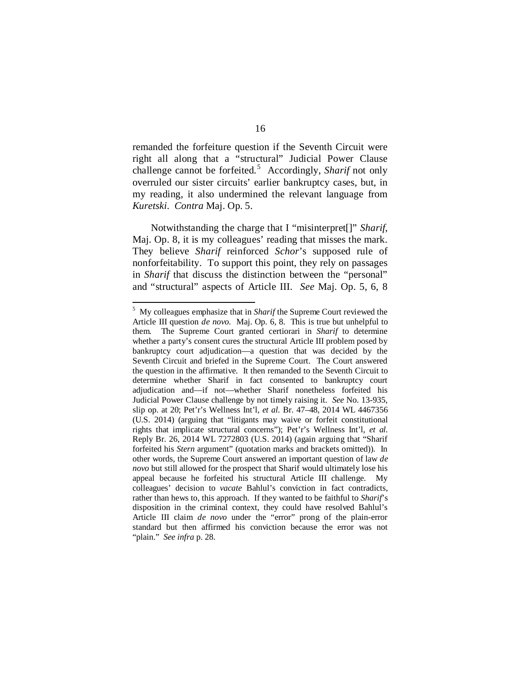remanded the forfeiture question if the Seventh Circuit were right all along that a "structural" Judicial Power Clause challenge cannot be forfeited. [5](#page-63-0) Accordingly, *Sharif* not only overruled our sister circuits' earlier bankruptcy cases, but, in my reading, it also undermined the relevant language from *Kuretski*. *Contra* Maj. Op. 5.

Notwithstanding the charge that I "misinterpret[]" *Sharif*, Maj. Op. 8, it is my colleagues' reading that misses the mark. They believe *Sharif* reinforced *Schor*'s supposed rule of nonforfeitability. To support this point, they rely on passages in *Sharif* that discuss the distinction between the "personal" and "structural" aspects of Article III. *See* Maj. Op. 5, 6, 8

<span id="page-63-0"></span> $\frac{1}{5}$  My colleagues emphasize that in *Sharif* the Supreme Court reviewed the Article III question *de novo.* Maj. Op. 6, 8. This is true but unhelpful to them. The Supreme Court granted certiorari in *Sharif* to determine whether a party's consent cures the structural Article III problem posed by bankruptcy court adjudication—a question that was decided by the Seventh Circuit and briefed in the Supreme Court. The Court answered the question in the affirmative. It then remanded to the Seventh Circuit to determine whether Sharif in fact consented to bankruptcy court adjudication and—if not—whether Sharif nonetheless forfeited his Judicial Power Clause challenge by not timely raising it. *See* No. 13-935, slip op. at 20; Pet'r's Wellness Int'l, *et al.* Br. 47–48, 2014 WL 4467356 (U.S. 2014) (arguing that "litigants may waive or forfeit constitutional rights that implicate structural concerns"); Pet'r's Wellness Int'l, *et al.* Reply Br. 26, 2014 WL 7272803 (U.S. 2014) (again arguing that "Sharif forfeited his *Stern* argument" (quotation marks and brackets omitted)). In other words, the Supreme Court answered an important question of law *de novo* but still allowed for the prospect that Sharif would ultimately lose his appeal because he forfeited his structural Article III challenge. My colleagues' decision to *vacate* Bahlul's conviction in fact contradicts, rather than hews to, this approach. If they wanted to be faithful to *Sharif*'s disposition in the criminal context, they could have resolved Bahlul's Article III claim *de novo* under the "error" prong of the plain-error standard but then affirmed his conviction because the error was not "plain." *See infra* p. 28.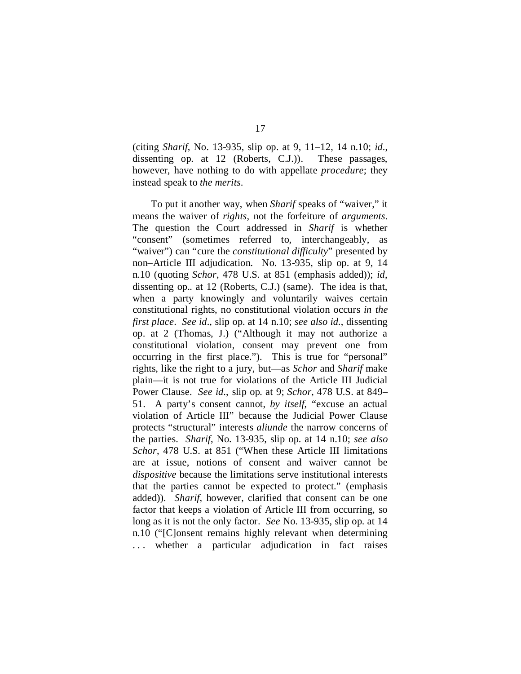(citing *Sharif*, No. 13-935, slip op. at 9, 11–12, 14 n.10; *id.*, dissenting op. at 12 (Roberts, C.J.)). These passages, however, have nothing to do with appellate *procedure*; they instead speak to *the merits*.

To put it another way, when *Sharif* speaks of "waiver," it means the waiver of *rights*, not the forfeiture of *arguments*. The question the Court addressed in *Sharif* is whether "consent" (sometimes referred to, interchangeably, as "waiver") can "cure the *constitutional difficulty*" presented by non–Article III adjudication. No. 13-935, slip op. at 9, 14 n.10 (quoting *Schor*, 478 U.S. at 851 (emphasis added)); *id*, dissenting op.*.* at 12 (Roberts, C.J.) (same). The idea is that, when a party knowingly and voluntarily waives certain constitutional rights, no constitutional violation occurs *in the first place*. *See id*., slip op. at 14 n.10; *see also id.*, dissenting op. at 2 (Thomas, J.) ("Although it may not authorize a constitutional violation, consent may prevent one from occurring in the first place."). This is true for "personal" rights, like the right to a jury, but—as *Schor* and *Sharif* make plain—it is not true for violations of the Article III Judicial Power Clause. *See id.*, slip op*.* at 9; *Schor*, 478 U.S. at 849– 51. A party's consent cannot, *by itself*, "excuse an actual violation of Article III" because the Judicial Power Clause protects "structural" interests *aliunde* the narrow concerns of the parties. *Sharif*, No. 13-935, slip op. at 14 n.10; *see also Schor*, 478 U.S. at 851 ("When these Article III limitations are at issue, notions of consent and waiver cannot be *dispositive* because the limitations serve institutional interests that the parties cannot be expected to protect." (emphasis added)). *Sharif*, however, clarified that consent can be one factor that keeps a violation of Article III from occurring, so long as it is not the only factor. *See* No. 13-935, slip op. at 14 n.10 ("[C]onsent remains highly relevant when determining . . . whether a particular adjudication in fact raises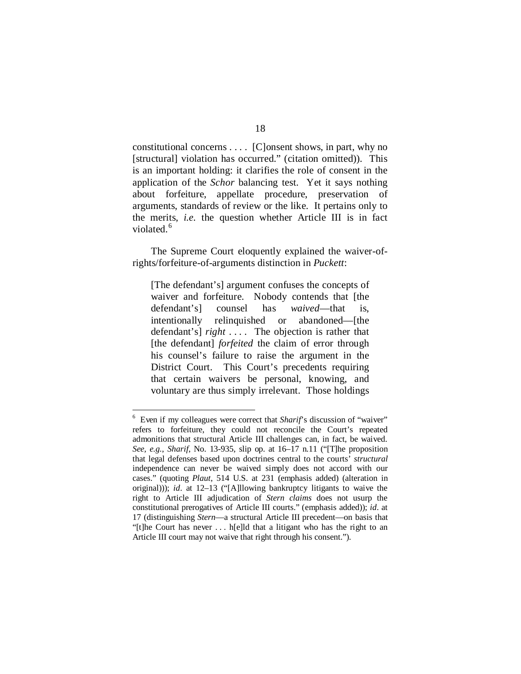constitutional concerns . . . . [C]onsent shows, in part, why no [structural] violation has occurred." (citation omitted)). This is an important holding: it clarifies the role of consent in the application of the *Schor* balancing test. Yet it says nothing about forfeiture, appellate procedure, preservation of arguments, standards of review or the like. It pertains only to the merits, *i.e.* the question whether Article III is in fact violated.<sup>[6](#page-65-0)</sup>

The Supreme Court eloquently explained the waiver-ofrights/forfeiture-of-arguments distinction in *Puckett*:

[The defendant's] argument confuses the concepts of waiver and forfeiture. Nobody contends that [the defendant's] counsel has *waived*—that is, intentionally relinquished or abandoned—[the defendant's] *right* . . . . The objection is rather that [the defendant] *forfeited* the claim of error through his counsel's failure to raise the argument in the District Court. This Court's precedents requiring that certain waivers be personal, knowing, and voluntary are thus simply irrelevant. Those holdings

<span id="page-65-0"></span> $\frac{1}{6}$ <sup>6</sup> Even if my colleagues were correct that *Sharif*'s discussion of "waiver" refers to forfeiture, they could not reconcile the Court's repeated admonitions that structural Article III challenges can, in fact, be waived. *See, e.g.*, *Sharif*, No. 13-935, slip op. at 16–17 n.11 ("[T]he proposition that legal defenses based upon doctrines central to the courts' *structural* independence can never be waived simply does not accord with our cases." (quoting *Plaut*, 514 U.S. at 231 (emphasis added) (alteration in original))); *id.* at 12–13 ("[A]llowing bankruptcy litigants to waive the right to Article III adjudication of *Stern claims* does not usurp the constitutional prerogatives of Article III courts." (emphasis added)); *id.* at 17 (distinguishing *Stern*—a structural Article III precedent—on basis that "[t]he Court has never . . . h[e]ld that a litigant who has the right to an Article III court may not waive that right through his consent.").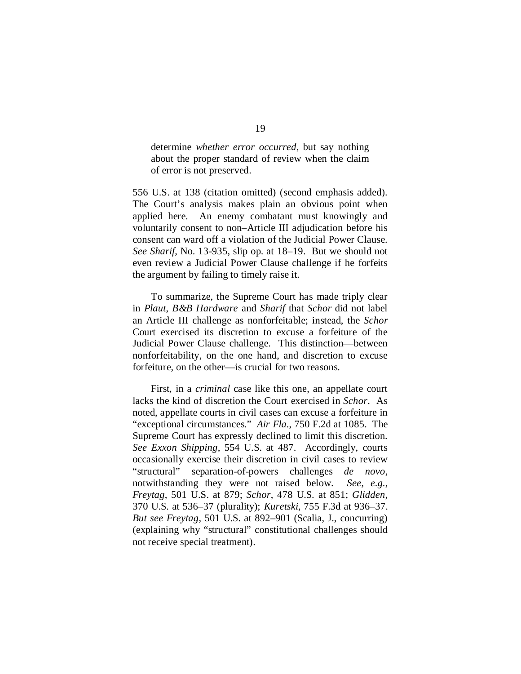determine *whether error occurred*, but say nothing about the proper standard of review when the claim of error is not preserved.

556 U.S. at 138 (citation omitted) (second emphasis added). The Court's analysis makes plain an obvious point when applied here. An enemy combatant must knowingly and voluntarily consent to non–Article III adjudication before his consent can ward off a violation of the Judicial Power Clause. *See Sharif*, No. 13-935, slip op. at 18–19. But we should not even review a Judicial Power Clause challenge if he forfeits the argument by failing to timely raise it.

To summarize, the Supreme Court has made triply clear in *Plaut*, *B&B Hardware* and *Sharif* that *Schor* did not label an Article III challenge as nonforfeitable; instead, the *Schor*  Court exercised its discretion to excuse a forfeiture of the Judicial Power Clause challenge. This distinction—between nonforfeitability, on the one hand, and discretion to excuse forfeiture, on the other—is crucial for two reasons.

First, in a *criminal* case like this one, an appellate court lacks the kind of discretion the Court exercised in *Schor*. As noted, appellate courts in civil cases can excuse a forfeiture in "exceptional circumstances." *Air Fla.*, 750 F.2d at 1085. The Supreme Court has expressly declined to limit this discretion. *See Exxon Shipping*, 554 U.S. at 487. Accordingly, courts occasionally exercise their discretion in civil cases to review "structural" separation-of-powers challenges *de novo*, notwithstanding they were not raised below. *See, e.g.*, *Freytag*, 501 U.S. at 879; *Schor*, 478 U.S. at 851; *Glidden*, 370 U.S. at 536–37 (plurality); *Kuretski*, 755 F.3d at 936–37. *But see Freytag*, 501 U.S. at 892–901 (Scalia, J., concurring) (explaining why "structural" constitutional challenges should not receive special treatment).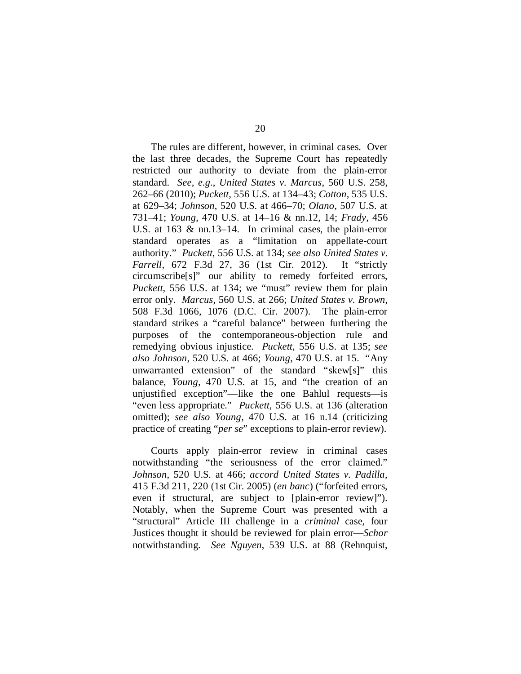The rules are different, however, in criminal cases. Over the last three decades, the Supreme Court has repeatedly restricted our authority to deviate from the plain-error standard. *See, e.g.*, *United States v. Marcus*, 560 U.S. 258, 262–66 (2010); *Puckett*, 556 U.S. at 134–43; *Cotton*, 535 U.S. at 629–34; *Johnson*, 520 U.S. at 466–70; *Olano*, 507 U.S. at 731–41; *Young*, 470 U.S. at 14–16 & nn.12, 14; *Frady*, 456 U.S. at 163 & nn.13–14. In criminal cases, the plain-error standard operates as a "limitation on appellate-court authority." *Puckett*, 556 U.S. at 134; *see also United States v. Farrell*, 672 F.3d 27, 36 (1st Cir. 2012). It "strictly circumscribe[s]" our ability to remedy forfeited errors, *Puckett*, 556 U.S. at 134; we "must" review them for plain error only. *Marcus*, 560 U.S. at 266; *United States v. Brown*, 508 F.3d 1066, 1076 (D.C. Cir. 2007). The plain-error standard strikes a "careful balance" between furthering the purposes of the contemporaneous-objection rule and remedying obvious injustice. *Puckett*, 556 U.S. at 135; *see also Johnson*, 520 U.S. at 466; *Young*, 470 U.S. at 15. "Any unwarranted extension" of the standard "skew[s]" this balance, *Young*, 470 U.S. at 15, and "the creation of an unjustified exception"—like the one Bahlul requests—is "even less appropriate." *Puckett*, 556 U.S. at 136 (alteration omitted); *see also Young*, 470 U.S. at 16 n.14 (criticizing practice of creating "*per se*" exceptions to plain-error review).

Courts apply plain-error review in criminal cases notwithstanding "the seriousness of the error claimed." *Johnson*, 520 U.S. at 466; *accord United States v. Padilla*, 415 F.3d 211, 220 (1st Cir. 2005) (*en banc*) ("forfeited errors, even if structural, are subject to [plain-error review]"). Notably, when the Supreme Court was presented with a "structural" Article III challenge in a *criminal* case, four Justices thought it should be reviewed for plain error—*Schor*  notwithstanding. *See Nguyen*, 539 U.S. at 88 (Rehnquist,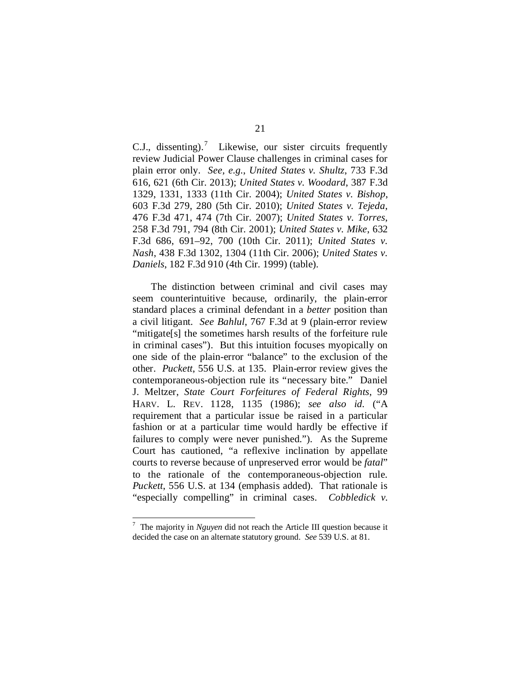C.J., dissenting).<sup>[7](#page-68-0)</sup> Likewise, our sister circuits frequently review Judicial Power Clause challenges in criminal cases for plain error only. *See, e.g.*, *United States v. Shultz*, 733 F.3d 616, 621 (6th Cir. 2013); *United States v. Woodard*, 387 F.3d 1329, 1331, 1333 (11th Cir. 2004); *United States v. Bishop*, 603 F.3d 279, 280 (5th Cir. 2010); *United States v. Tejeda*, 476 F.3d 471, 474 (7th Cir. 2007); *United States v. Torres*, 258 F.3d 791, 794 (8th Cir. 2001); *United States v. Mike*, 632 F.3d 686, 691–92, 700 (10th Cir. 2011); *United States v. Nash*, 438 F.3d 1302, 1304 (11th Cir. 2006); *United States v. Daniels*, 182 F.3d 910 (4th Cir. 1999) (table).

The distinction between criminal and civil cases may seem counterintuitive because, ordinarily, the plain-error standard places a criminal defendant in a *better* position than a civil litigant. *See Bahlul*, 767 F.3d at 9 (plain-error review "mitigate[s] the sometimes harsh results of the forfeiture rule in criminal cases"). But this intuition focuses myopically on one side of the plain-error "balance" to the exclusion of the other. *Puckett*, 556 U.S. at 135. Plain-error review gives the contemporaneous-objection rule its "necessary bite." Daniel J. Meltzer, *State Court Forfeitures of Federal Rights*, 99 HARV. L. REV. 1128, 1135 (1986); *see also id.* ("A requirement that a particular issue be raised in a particular fashion or at a particular time would hardly be effective if failures to comply were never punished."). As the Supreme Court has cautioned, "a reflexive inclination by appellate courts to reverse because of unpreserved error would be *fatal*" to the rationale of the contemporaneous-objection rule. *Puckett*, 556 U.S. at 134 (emphasis added). That rationale is "especially compelling" in criminal cases. *Cobbledick v.* 

<span id="page-68-0"></span><sup>&</sup>lt;sup>-</sup> The majority in *Nguyen* did not reach the Article III question because it decided the case on an alternate statutory ground. *See* 539 U.S. at 81.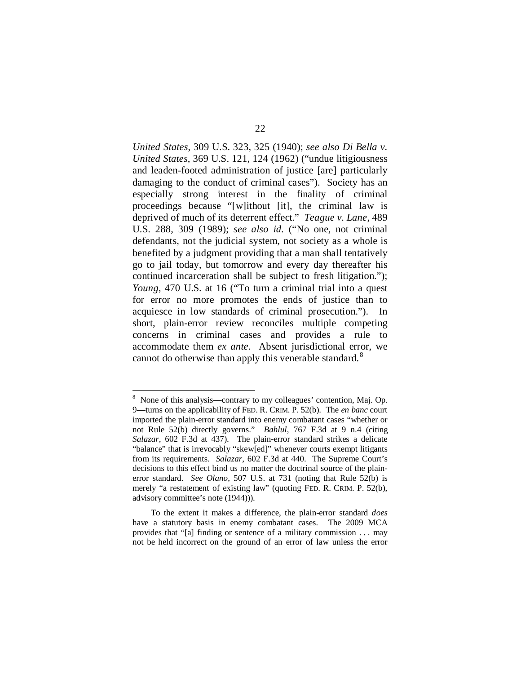*United States*, 309 U.S. 323, 325 (1940); *see also Di Bella v. United States*, 369 U.S. 121, 124 (1962) ("undue litigiousness and leaden-footed administration of justice [are] particularly damaging to the conduct of criminal cases"). Society has an especially strong interest in the finality of criminal proceedings because "[w]ithout [it], the criminal law is deprived of much of its deterrent effect." *Teague v. Lane*, 489 U.S. 288, 309 (1989); *see also id.* ("No one, not criminal defendants, not the judicial system, not society as a whole is benefited by a judgment providing that a man shall tentatively go to jail today, but tomorrow and every day thereafter his continued incarceration shall be subject to fresh litigation."); *Young*, 470 U.S. at 16 ("To turn a criminal trial into a quest for error no more promotes the ends of justice than to acquiesce in low standards of criminal prosecution."). In short, plain-error review reconciles multiple competing concerns in criminal cases and provides a rule to accommodate them *ex ante*. Absent jurisdictional error, we cannot do otherwise than apply this venerable standard.<sup>[8](#page-69-0)</sup>

<span id="page-69-0"></span> <sup>8</sup> <sup>8</sup> None of this analysis—contrary to my colleagues' contention, Maj. Op. 9—turns on the applicability of FED. R. CRIM. P. 52(b). The *en banc* court imported the plain-error standard into enemy combatant cases "whether or not Rule 52(b) directly governs." *Bahlul*, 767 F.3d at 9 n.4 (citing *Salazar*, 602 F.3d at 437). The plain-error standard strikes a delicate "balance" that is irrevocably "skew[ed]" whenever courts exempt litigants from its requirements. *Salazar*, 602 F.3d at 440. The Supreme Court's decisions to this effect bind us no matter the doctrinal source of the plainerror standard. *See Olano*, 507 U.S. at 731 (noting that Rule 52(b) is merely "a restatement of existing law" (quoting FED. R. CRIM. P. 52(b), advisory committee's note (1944))).

To the extent it makes a difference, the plain-error standard *does* have a statutory basis in enemy combatant cases. The 2009 MCA provides that "[a] finding or sentence of a military commission . . . may not be held incorrect on the ground of an error of law unless the error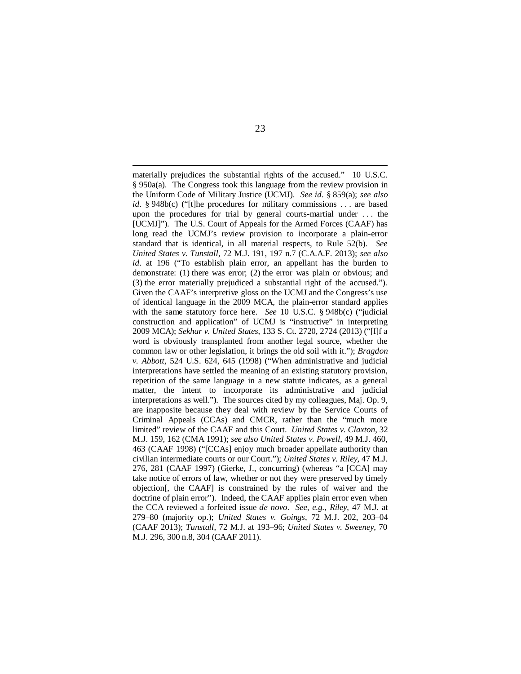materially prejudices the substantial rights of the accused." 10 U.S.C. § 950a(a). The Congress took this language from the review provision in the Uniform Code of Military Justice (UCMJ). *See id.* § 859(a); *see also id.* § 948b(c) ("[t]he procedures for military commissions . . . are based upon the procedures for trial by general courts-martial under . . . the [UCMJ]"). The U.S. Court of Appeals for the Armed Forces (CAAF) has long read the UCMJ's review provision to incorporate a plain-error standard that is identical, in all material respects, to Rule 52(b). *See United States v. Tunstall*, 72 M.J. 191, 197 n.7 (C.A.A.F. 2013); *see also id.* at 196 ("To establish plain error, an appellant has the burden to demonstrate: (1) there was error; (2) the error was plain or obvious; and (3) the error materially prejudiced a substantial right of the accused."). Given the CAAF's interpretive gloss on the UCMJ and the Congress's use of identical language in the 2009 MCA, the plain-error standard applies with the same statutory force here. *See* 10 U.S.C. § 948b(c) ("judicial construction and application" of UCMJ is "instructive" in interpreting 2009 MCA); *Sekhar v. United States*, 133 S. Ct. 2720, 2724 (2013) ("[I]f a word is obviously transplanted from another legal source, whether the common law or other legislation, it brings the old soil with it."); *Bragdon v. Abbott*, 524 U.S. 624, 645 (1998) ("When administrative and judicial interpretations have settled the meaning of an existing statutory provision, repetition of the same language in a new statute indicates, as a general matter, the intent to incorporate its administrative and judicial interpretations as well."). The sources cited by my colleagues, Maj. Op. 9, are inapposite because they deal with review by the Service Courts of Criminal Appeals (CCAs) and CMCR, rather than the "much more limited" review of the CAAF and this Court. *United States v. Claxton*, 32 M.J. 159, 162 (CMA 1991); *see also United States v. Powell*, 49 M.J. 460, 463 (CAAF 1998) ("[CCAs] enjoy much broader appellate authority than civilian intermediate courts or our Court."); *United States v. Riley*, 47 M.J. 276, 281 (CAAF 1997) (Gierke, J., concurring) (whereas "a [CCA] may take notice of errors of law, whether or not they were preserved by timely objection[, the CAAF] is constrained by the rules of waiver and the doctrine of plain error"). Indeed, the CAAF applies plain error even when the CCA reviewed a forfeited issue *de novo*. *See, e.g.*, *Riley*, 47 M.J. at 279–80 (majority op.); *United States v. Goings*, 72 M.J. 202, 203–04 (CAAF 2013); *Tunstall*, 72 M.J. at 193–96; *United States v. Sweeney*, 70 M.J. 296, 300 n.8, 304 (CAAF 2011).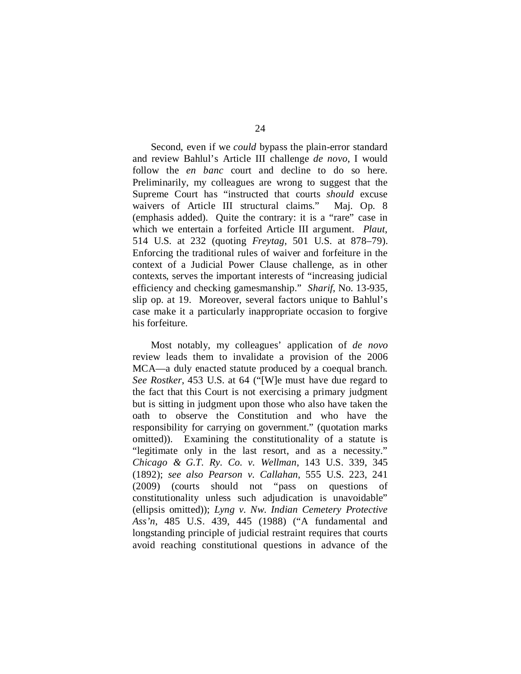Second, even if we *could* bypass the plain-error standard and review Bahlul's Article III challenge *de novo*, I would follow the *en banc* court and decline to do so here. Preliminarily, my colleagues are wrong to suggest that the Supreme Court has "instructed that courts *should* excuse waivers of Article III structural claims." Maj. Op. 8 (emphasis added). Quite the contrary: it is a "rare" case in which we entertain a forfeited Article III argument. *Plaut*, 514 U.S. at 232 (quoting *Freytag*, 501 U.S. at 878–79). Enforcing the traditional rules of waiver and forfeiture in the context of a Judicial Power Clause challenge, as in other contexts, serves the important interests of "increasing judicial efficiency and checking gamesmanship." *Sharif*, No. 13-935, slip op. at 19. Moreover, several factors unique to Bahlul's case make it a particularly inappropriate occasion to forgive his forfeiture.

Most notably, my colleagues' application of *de novo* review leads them to invalidate a provision of the 2006 MCA—a duly enacted statute produced by a coequal branch. *See Rostker*, 453 U.S. at 64 ("[W]e must have due regard to the fact that this Court is not exercising a primary judgment but is sitting in judgment upon those who also have taken the oath to observe the Constitution and who have the responsibility for carrying on government." (quotation marks omitted)). Examining the constitutionality of a statute is "legitimate only in the last resort, and as a necessity." *Chicago & G.T. Ry. Co. v. Wellman*, 143 U.S. 339, 345 (1892); *see also Pearson v. Callahan*, 555 U.S. 223, 241 (2009) (courts should not "pass on questions of constitutionality unless such adjudication is unavoidable" (ellipsis omitted)); *Lyng v. Nw. Indian Cemetery Protective Ass'n*, 485 U.S. 439, 445 (1988) ("A fundamental and longstanding principle of judicial restraint requires that courts avoid reaching constitutional questions in advance of the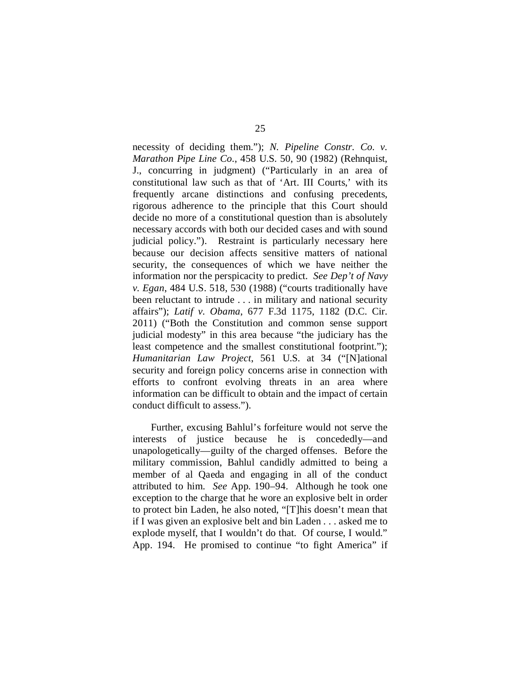necessity of deciding them."); *N. Pipeline Constr. Co. v. Marathon Pipe Line Co.*, 458 U.S. 50, 90 (1982) (Rehnquist, J., concurring in judgment) ("Particularly in an area of constitutional law such as that of 'Art. III Courts,' with its frequently arcane distinctions and confusing precedents, rigorous adherence to the principle that this Court should decide no more of a constitutional question than is absolutely necessary accords with both our decided cases and with sound judicial policy."). Restraint is particularly necessary here because our decision affects sensitive matters of national security, the consequences of which we have neither the information nor the perspicacity to predict. *See Dep't of Navy v. Egan*, 484 U.S. 518, 530 (1988) ("courts traditionally have been reluctant to intrude . . . in military and national security affairs"); *Latif v. Obama*, 677 F.3d 1175, 1182 (D.C. Cir. 2011) ("Both the Constitution and common sense support judicial modesty" in this area because "the judiciary has the least competence and the smallest constitutional footprint."); *Humanitarian Law Project*, 561 U.S. at 34 ("[N]ational security and foreign policy concerns arise in connection with efforts to confront evolving threats in an area where information can be difficult to obtain and the impact of certain conduct difficult to assess.").

Further, excusing Bahlul's forfeiture would not serve the interests of justice because he is concededly—and unapologetically—guilty of the charged offenses. Before the military commission, Bahlul candidly admitted to being a member of al Qaeda and engaging in all of the conduct attributed to him. *See* App. 190–94. Although he took one exception to the charge that he wore an explosive belt in order to protect bin Laden, he also noted, "[T]his doesn't mean that if I was given an explosive belt and bin Laden . . . asked me to explode myself, that I wouldn't do that. Of course, I would." App. 194. He promised to continue "to fight America" if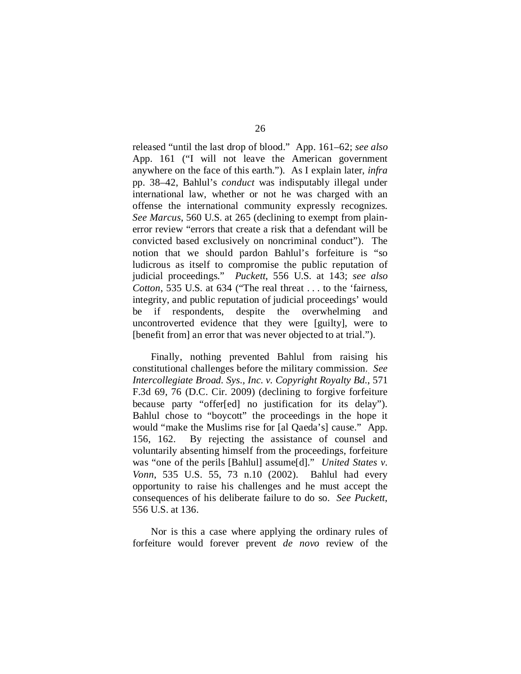released "until the last drop of blood." App. 161–62; *see also*  App. 161 ("I will not leave the American government anywhere on the face of this earth."). As I explain later, *infra*  pp. 38–42, Bahlul's *conduct* was indisputably illegal under international law, whether or not he was charged with an offense the international community expressly recognizes. *See Marcus*, 560 U.S. at 265 (declining to exempt from plainerror review "errors that create a risk that a defendant will be convicted based exclusively on noncriminal conduct"). The notion that we should pardon Bahlul's forfeiture is "so ludicrous as itself to compromise the public reputation of judicial proceedings." *Puckett*, 556 U.S. at 143; *see also Cotton*, 535 U.S. at 634 ("The real threat . . . to the 'fairness, integrity, and public reputation of judicial proceedings' would be if respondents, despite the overwhelming and uncontroverted evidence that they were [guilty], were to [benefit from] an error that was never objected to at trial.").

Finally, nothing prevented Bahlul from raising his constitutional challenges before the military commission. *See Intercollegiate Broad. Sys., Inc. v. Copyright Royalty Bd.*, 571 F.3d 69, 76 (D.C. Cir. 2009) (declining to forgive forfeiture because party "offer[ed] no justification for its delay"). Bahlul chose to "boycott" the proceedings in the hope it would "make the Muslims rise for [al Qaeda's] cause." App. 156, 162. By rejecting the assistance of counsel and voluntarily absenting himself from the proceedings, forfeiture was "one of the perils [Bahlul] assume[d]." *United States v. Vonn*, 535 U.S. 55, 73 n.10 (2002). Bahlul had every opportunity to raise his challenges and he must accept the consequences of his deliberate failure to do so. *See Puckett*, 556 U.S. at 136.

Nor is this a case where applying the ordinary rules of forfeiture would forever prevent *de novo* review of the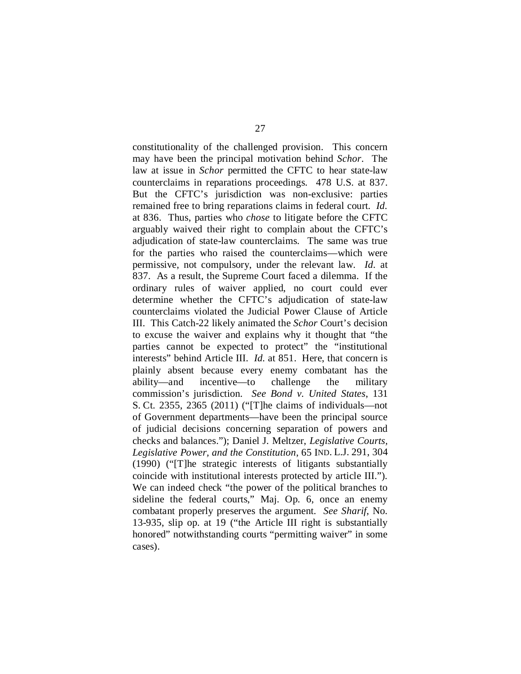constitutionality of the challenged provision. This concern may have been the principal motivation behind *Schor*. The law at issue in *Schor* permitted the CFTC to hear state-law counterclaims in reparations proceedings. 478 U.S. at 837. But the CFTC's jurisdiction was non-exclusive: parties remained free to bring reparations claims in federal court. *Id.* at 836. Thus, parties who *chose* to litigate before the CFTC arguably waived their right to complain about the CFTC's adjudication of state-law counterclaims. The same was true for the parties who raised the counterclaims—which were permissive, not compulsory, under the relevant law. *Id.* at 837. As a result, the Supreme Court faced a dilemma. If the ordinary rules of waiver applied, no court could ever determine whether the CFTC's adjudication of state-law counterclaims violated the Judicial Power Clause of Article III. This Catch-22 likely animated the *Schor* Court's decision to excuse the waiver and explains why it thought that "the parties cannot be expected to protect" the "institutional interests" behind Article III. *Id.* at 851. Here, that concern is plainly absent because every enemy combatant has the ability—and incentive—to challenge the military commission's jurisdiction. *See Bond v. United States*, 131 S. Ct. 2355, 2365 (2011) ("[T]he claims of individuals—not of Government departments—have been the principal source of judicial decisions concerning separation of powers and checks and balances."); Daniel J. Meltzer, *Legislative Courts, Legislative Power, and the Constitution*, 65 IND. L.J. 291, 304 (1990) ("[T]he strategic interests of litigants substantially coincide with institutional interests protected by article III."). We can indeed check "the power of the political branches to sideline the federal courts," Maj. Op. 6, once an enemy combatant properly preserves the argument. *See Sharif*, No. 13-935, slip op. at 19 ("the Article III right is substantially honored" notwithstanding courts "permitting waiver" in some cases).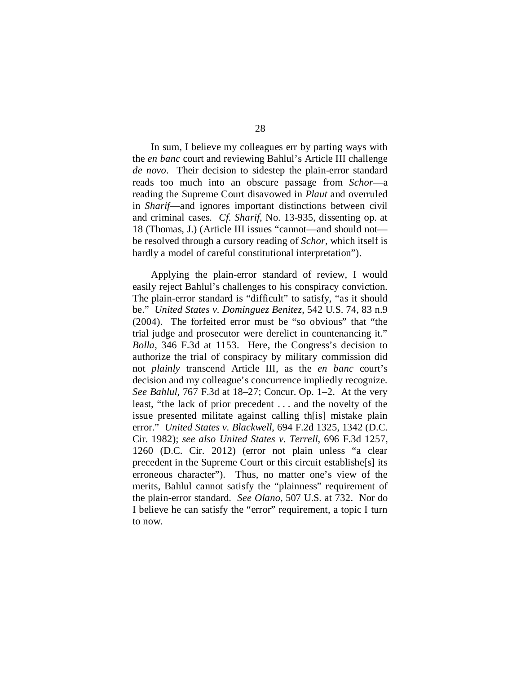In sum, I believe my colleagues err by parting ways with the *en banc* court and reviewing Bahlul's Article III challenge *de novo*. Their decision to sidestep the plain-error standard reads too much into an obscure passage from *Schor*—a reading the Supreme Court disavowed in *Plaut* and overruled in *Sharif*—and ignores important distinctions between civil and criminal cases. *Cf. Sharif*, No. 13-935, dissenting op. at 18 (Thomas, J.) (Article III issues "cannot—and should not be resolved through a cursory reading of *Schor*, which itself is hardly a model of careful constitutional interpretation").

Applying the plain-error standard of review, I would easily reject Bahlul's challenges to his conspiracy conviction. The plain-error standard is "difficult" to satisfy, "as it should be." *United States v. Dominguez Benitez*, 542 U.S. 74, 83 n.9 (2004). The forfeited error must be "so obvious" that "the trial judge and prosecutor were derelict in countenancing it." *Bolla*, 346 F.3d at 1153. Here, the Congress's decision to authorize the trial of conspiracy by military commission did not *plainly* transcend Article III, as the *en banc* court's decision and my colleague's concurrence impliedly recognize. *See Bahlul*, 767 F.3d at 18–27; Concur. Op. 1–2. At the very least, "the lack of prior precedent . . . and the novelty of the issue presented militate against calling th[is] mistake plain error." *United States v. Blackwell*, 694 F.2d 1325, 1342 (D.C. Cir. 1982); *see also United States v. Terrell*, 696 F.3d 1257, 1260 (D.C. Cir. 2012) (error not plain unless "a clear precedent in the Supreme Court or this circuit establishe[s] its erroneous character"). Thus, no matter one's view of the merits, Bahlul cannot satisfy the "plainness" requirement of the plain-error standard. *See Olano*, 507 U.S. at 732. Nor do I believe he can satisfy the "error" requirement, a topic I turn to now.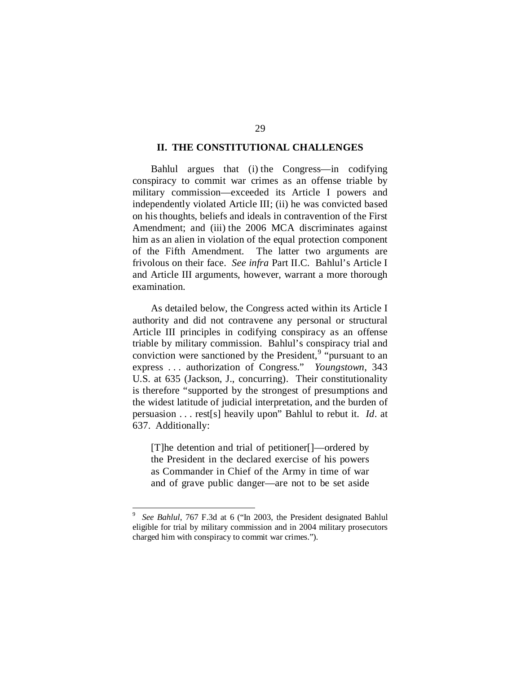# **II. THE CONSTITUTIONAL CHALLENGES**

Bahlul argues that (i) the Congress—in codifying conspiracy to commit war crimes as an offense triable by military commission—exceeded its Article I powers and independently violated Article III; (ii) he was convicted based on his thoughts, beliefs and ideals in contravention of the First Amendment; and (iii) the 2006 MCA discriminates against him as an alien in violation of the equal protection component of the Fifth Amendment. The latter two arguments are frivolous on their face. *See infra* Part II.C. Bahlul's Article I and Article III arguments, however, warrant a more thorough examination.

As detailed below, the Congress acted within its Article I authority and did not contravene any personal or structural Article III principles in codifying conspiracy as an offense triable by military commission. Bahlul's conspiracy trial and conviction were sanctioned by the President,  $9 \text{``pursuant to an}$  $9 \text{``pursuant to an}$ express . . . authorization of Congress." *Youngstown*, 343 U.S. at 635 (Jackson, J., concurring). Their constitutionality is therefore "supported by the strongest of presumptions and the widest latitude of judicial interpretation, and the burden of persuasion . . . rest[s] heavily upon" Bahlul to rebut it. *Id*. at 637. Additionally:

[T]he detention and trial of petitioner[]—ordered by the President in the declared exercise of his powers as Commander in Chief of the Army in time of war and of grave public danger—are not to be set aside

<span id="page-76-0"></span><sup>-&</sup>lt;br>9 *See Bahlul*, 767 F.3d at 6 ("In 2003, the President designated Bahlul eligible for trial by military commission and in 2004 military prosecutors charged him with conspiracy to commit war crimes.").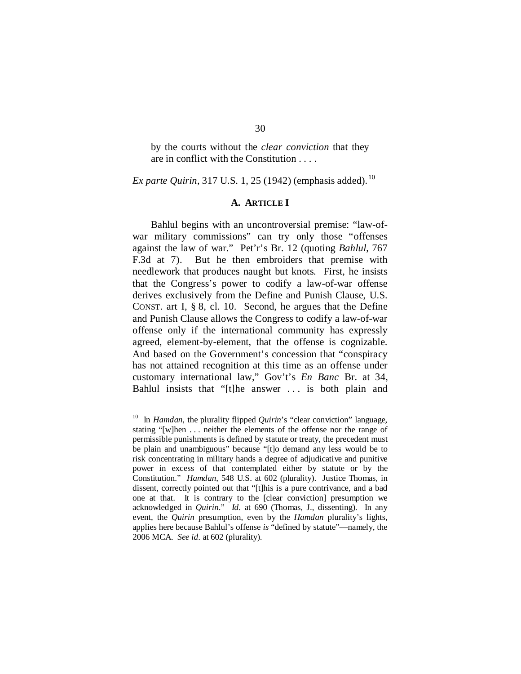by the courts without the *clear conviction* that they are in conflict with the Constitution . . . .

*Ex parte Quirin,* 317 U.S. 1, 25 (1942) (emphasis added).<sup>[10](#page-77-0)</sup>

# **A. ARTICLE I**

Bahlul begins with an uncontroversial premise: "law-ofwar military commissions" can try only those "offenses against the law of war." Pet'r's Br. 12 (quoting *Bahlul*, 767 F.3d at 7). But he then embroiders that premise with needlework that produces naught but knots. First, he insists that the Congress's power to codify a law-of-war offense derives exclusively from the Define and Punish Clause, U.S. CONST. art I, § 8, cl. 10. Second, he argues that the Define and Punish Clause allows the Congress to codify a law-of-war offense only if the international community has expressly agreed, element-by-element, that the offense is cognizable. And based on the Government's concession that "conspiracy has not attained recognition at this time as an offense under customary international law," Gov't's *En Banc* Br. at 34, Bahlul insists that "[t]he answer . . . is both plain and

<span id="page-77-0"></span> <sup>10</sup> In *Hamdan*, the plurality flipped *Quirin*'s "clear conviction" language, stating "[w]hen . . . neither the elements of the offense nor the range of permissible punishments is defined by statute or treaty, the precedent must be plain and unambiguous" because "[t]o demand any less would be to risk concentrating in military hands a degree of adjudicative and punitive power in excess of that contemplated either by statute or by the Constitution." *Hamdan*, 548 U.S. at 602 (plurality). Justice Thomas, in dissent, correctly pointed out that "[t]his is a pure contrivance, and a bad one at that. It is contrary to the [clear conviction] presumption we acknowledged in *Quirin*." *Id.* at 690 (Thomas, J., dissenting). In any event, the *Quirin* presumption, even by the *Hamdan* plurality's lights, applies here because Bahlul's offense *is* "defined by statute"—namely, the 2006 MCA. *See id.* at 602 (plurality).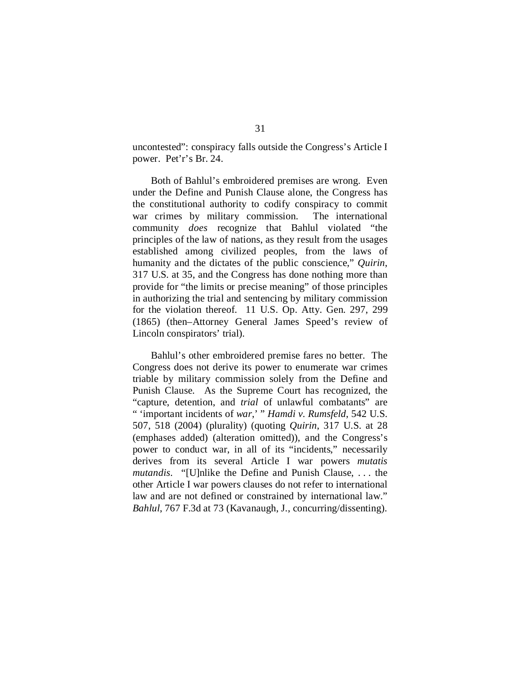uncontested": conspiracy falls outside the Congress's Article I power. Pet'r's Br. 24.

Both of Bahlul's embroidered premises are wrong. Even under the Define and Punish Clause alone, the Congress has the constitutional authority to codify conspiracy to commit war crimes by military commission. The international community *does* recognize that Bahlul violated "the principles of the law of nations, as they result from the usages established among civilized peoples, from the laws of humanity and the dictates of the public conscience," *Quirin*, 317 U.S. at 35, and the Congress has done nothing more than provide for "the limits or precise meaning" of those principles in authorizing the trial and sentencing by military commission for the violation thereof. 11 U.S. Op. Atty. Gen. 297, 299 (1865) (then–Attorney General James Speed's review of Lincoln conspirators' trial).

Bahlul's other embroidered premise fares no better. The Congress does not derive its power to enumerate war crimes triable by military commission solely from the Define and Punish Clause. As the Supreme Court has recognized, the "capture, detention, and *trial* of unlawful combatants" are " 'important incidents of *war*,' " *Hamdi v. Rumsfeld*, 542 U.S. 507, 518 (2004) (plurality) (quoting *Quirin*, 317 U.S. at 28 (emphases added) (alteration omitted)), and the Congress's power to conduct war, in all of its "incidents," necessarily derives from its several Article I war powers *mutatis mutandis*. "[U]nlike the Define and Punish Clause, . . . the other Article I war powers clauses do not refer to international law and are not defined or constrained by international law." *Bahlul*, 767 F.3d at 73 (Kavanaugh, J., concurring/dissenting).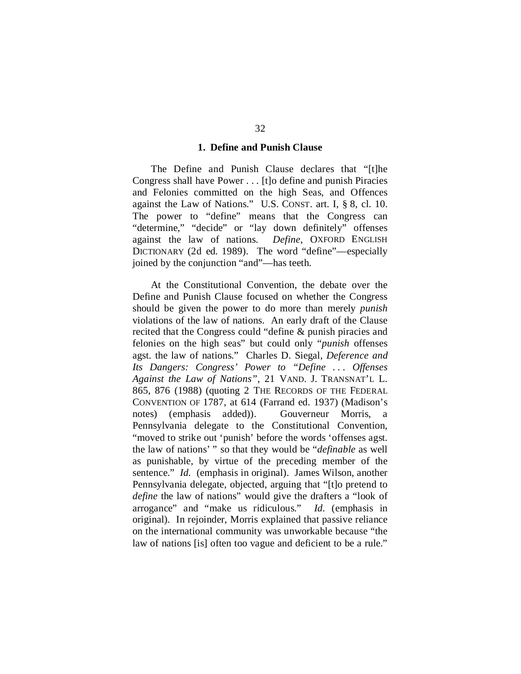### **1. Define and Punish Clause**

The Define and Punish Clause declares that "[t]he Congress shall have Power . . . [t]o define and punish Piracies and Felonies committed on the high Seas, and Offences against the Law of Nations." U.S. CONST. art. I, § 8, cl. 10. The power to "define" means that the Congress can "determine," "decide" or "lay down definitely" offenses against the law of nations. *Define*, OXFORD ENGLISH DICTIONARY (2d ed. 1989). The word "define"—especially joined by the conjunction "and"—has teeth.

At the Constitutional Convention, the debate over the Define and Punish Clause focused on whether the Congress should be given the power to do more than merely *punish* violations of the law of nations. An early draft of the Clause recited that the Congress could "define & punish piracies and felonies on the high seas" but could only "*punish* offenses agst. the law of nations." Charles D. Siegal, *Deference and Its Dangers: Congress' Power to "Define ... Offenses Against the Law of Nations"*, 21 VAND. J. TRANSNAT'L L. 865, 876 (1988) (quoting 2 THE RECORDS OF THE FEDERAL CONVENTION OF 1787, at 614 (Farrand ed. 1937) (Madison's notes) (emphasis added)). Gouverneur Morris, a Pennsylvania delegate to the Constitutional Convention, "moved to strike out 'punish' before the words 'offenses agst. the law of nations' " so that they would be "*definable* as well as punishable, by virtue of the preceding member of the sentence." *Id.* (emphasis in original). James Wilson, another Pennsylvania delegate, objected, arguing that "[t]o pretend to *define* the law of nations" would give the drafters a "look of arrogance" and "make us ridiculous." *Id.* (emphasis in original). In rejoinder, Morris explained that passive reliance on the international community was unworkable because "the law of nations [is] often too vague and deficient to be a rule."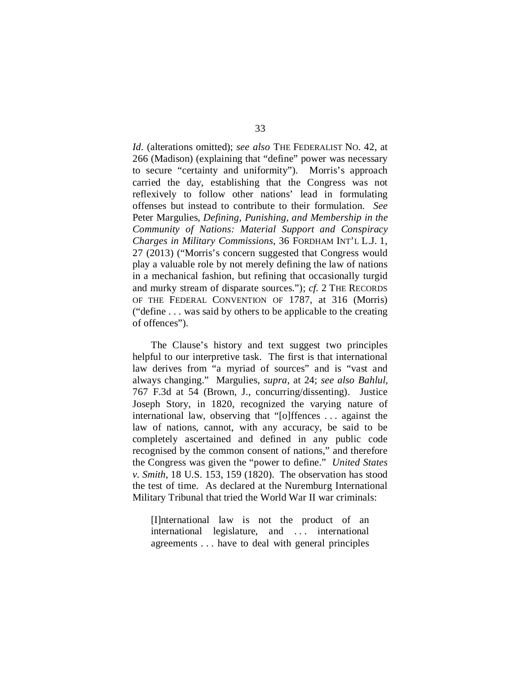*Id.* (alterations omitted); *see also* THE FEDERALIST NO. 42, at 266 (Madison) (explaining that "define" power was necessary to secure "certainty and uniformity"). Morris's approach carried the day, establishing that the Congress was not reflexively to follow other nations' lead in formulating offenses but instead to contribute to their formulation. *See*  Peter Margulies, *Defining, Punishing, and Membership in the Community of Nations: Material Support and Conspiracy Charges in Military Commissions*, 36 FORDHAM INT'L L.J. 1, 27 (2013) ("Morris's concern suggested that Congress would play a valuable role by not merely defining the law of nations in a mechanical fashion, but refining that occasionally turgid and murky stream of disparate sources."); *cf.* 2 THE RECORDS OF THE FEDERAL CONVENTION OF 1787, at 316 (Morris) ("define . . . was said by others to be applicable to the creating of offences").

The Clause's history and text suggest two principles helpful to our interpretive task. The first is that international law derives from "a myriad of sources" and is "vast and always changing." Margulies, *supra*, at 24; *see also Bahlul*, 767 F.3d at 54 (Brown, J., concurring/dissenting). Justice Joseph Story, in 1820, recognized the varying nature of international law, observing that "[o]ffences . . . against the law of nations, cannot, with any accuracy, be said to be completely ascertained and defined in any public code recognised by the common consent of nations," and therefore the Congress was given the "power to define." *United States v. Smith*, 18 U.S. 153, 159 (1820). The observation has stood the test of time. As declared at the Nuremburg International Military Tribunal that tried the World War II war criminals:

[I]nternational law is not the product of an international legislature, and . . . international agreements . . . have to deal with general principles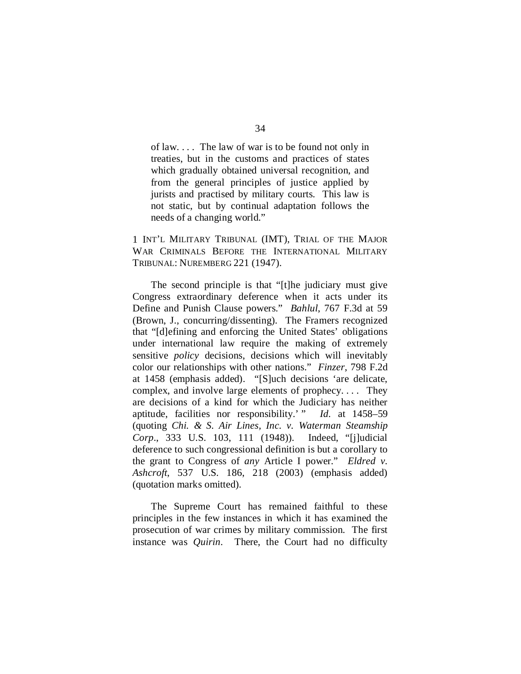of law. . . . The law of war is to be found not only in treaties, but in the customs and practices of states which gradually obtained universal recognition, and from the general principles of justice applied by jurists and practised by military courts. This law is not static, but by continual adaptation follows the needs of a changing world."

1 INT'L MILITARY TRIBUNAL (IMT), TRIAL OF THE MAJOR WAR CRIMINALS BEFORE THE INTERNATIONAL MILITARY TRIBUNAL: NUREMBERG 221 (1947).

The second principle is that "[t]he judiciary must give Congress extraordinary deference when it acts under its Define and Punish Clause powers." *Bahlul*, 767 F.3d at 59 (Brown, J., concurring/dissenting). The Framers recognized that "[d]efining and enforcing the United States' obligations under international law require the making of extremely sensitive *policy* decisions, decisions which will inevitably color our relationships with other nations." *Finzer*, 798 F.2d at 1458 (emphasis added). "[S]uch decisions 'are delicate, complex, and involve large elements of prophecy. . . . They are decisions of a kind for which the Judiciary has neither aptitude, facilities nor responsibility.' " *Id.* at 1458–59 (quoting *Chi. & S. Air Lines, Inc. v. Waterman Steamship Corp*., 333 U.S. 103, 111 (1948)). Indeed, "[j]udicial deference to such congressional definition is but a corollary to the grant to Congress of *any* Article I power." *Eldred v. Ashcroft*, 537 U.S. 186, 218 (2003) (emphasis added) (quotation marks omitted).

The Supreme Court has remained faithful to these principles in the few instances in which it has examined the prosecution of war crimes by military commission. The first instance was *Quirin*. There, the Court had no difficulty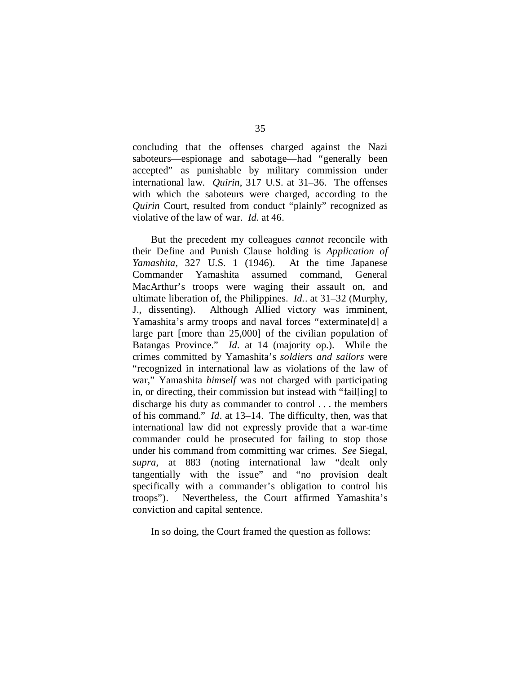concluding that the offenses charged against the Nazi saboteurs—espionage and sabotage—had "generally been accepted" as punishable by military commission under international law. *Quirin*, 317 U.S. at 31–36. The offenses with which the saboteurs were charged, according to the *Quirin* Court, resulted from conduct "plainly" recognized as violative of the law of war. *Id.* at 46.

But the precedent my colleagues *cannot* reconcile with their Define and Punish Clause holding is *Application of Yamashita*, 327 U.S. 1 (1946). At the time Japanese Commander Yamashita assumed command, General MacArthur's troops were waging their assault on, and ultimate liberation of, the Philippines. *Id.*. at 31–32 (Murphy, J., dissenting). Although Allied victory was imminent, Yamashita's army troops and naval forces "exterminate[d] a large part [more than 25,000] of the civilian population of Batangas Province." *Id.* at 14 (majority op.). While the crimes committed by Yamashita's *soldiers and sailors* were "recognized in international law as violations of the law of war," Yamashita *himself* was not charged with participating in, or directing, their commission but instead with "fail[ing] to discharge his duty as commander to control . . . the members of his command." *Id*. at 13–14. The difficulty, then, was that international law did not expressly provide that a war-time commander could be prosecuted for failing to stop those under his command from committing war crimes. *See* Siegal, *supra*, at 883 (noting international law "dealt only tangentially with the issue" and "no provision dealt specifically with a commander's obligation to control his troops"). Nevertheless, the Court affirmed Yamashita's conviction and capital sentence.

In so doing, the Court framed the question as follows: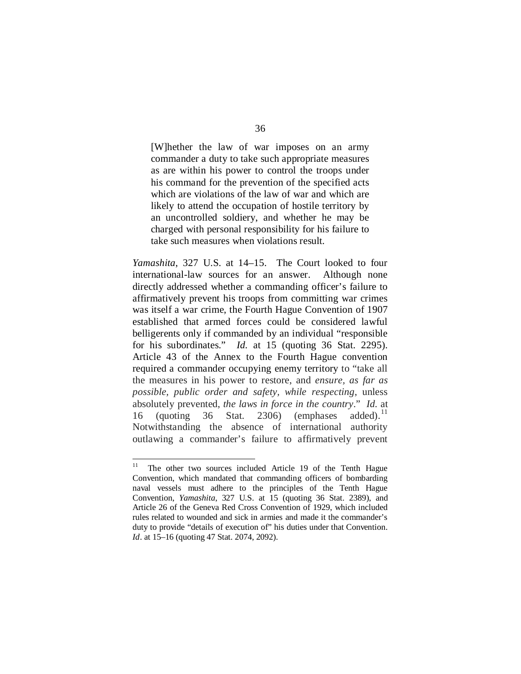[W]hether the law of war imposes on an army commander a duty to take such appropriate measures as are within his power to control the troops under his command for the prevention of the specified acts which are violations of the law of war and which are

likely to attend the occupation of hostile territory by an uncontrolled soldiery, and whether he may be charged with personal responsibility for his failure to take such measures when violations result.

*Yamashita*, 327 U.S. at 14–15. The Court looked to four international-law sources for an answer. Although none directly addressed whether a commanding officer's failure to affirmatively prevent his troops from committing war crimes was itself a war crime, the Fourth Hague Convention of 1907 established that armed forces could be considered lawful belligerents only if commanded by an individual "responsible for his subordinates." *Id.* at 15 (quoting 36 Stat. 2295). Article 43 of the Annex to the Fourth Hague convention required a commander occupying enemy territory to "take all the measures in his power to restore, and *ensure, as far as possible, public order and safety, while respecting*, unless absolutely prevented, *the laws in force in the country*." *Id.* at 16 (quoting 36 Stat. 2306) (emphases added).<sup>11</sup> Notwithstanding the absence of international authority outlawing a commander's failure to affirmatively prevent

<span id="page-83-0"></span><sup>&</sup>lt;sup>11</sup> The other two sources included Article 19 of the Tenth Hague Convention, which mandated that commanding officers of bombarding naval vessels must adhere to the principles of the Tenth Hague Convention, *Yamashita*, 327 U.S. at 15 (quoting 36 Stat. 2389), and Article 26 of the Geneva Red Cross Convention of 1929, which included rules related to wounded and sick in armies and made it the commander's duty to provide "details of execution of" his duties under that Convention. *Id*. at 15–16 (quoting 47 Stat. 2074, 2092).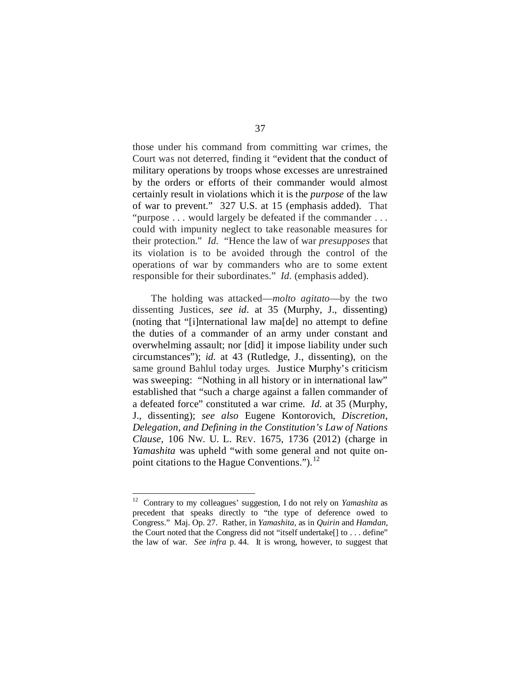those under his command from committing war crimes, the Court was not deterred, finding it "evident that the conduct of military operations by troops whose excesses are unrestrained by the orders or efforts of their commander would almost certainly result in violations which it is the *purpose* of the law of war to prevent." 327 U.S. at 15 (emphasis added). That "purpose . . . would largely be defeated if the commander . . . could with impunity neglect to take reasonable measures for their protection." *Id.* "Hence the law of war *presupposes* that its violation is to be avoided through the control of the operations of war by commanders who are to some extent responsible for their subordinates." *Id.* (emphasis added).

The holding was attacked—*molto agitato*—by the two dissenting Justices, *see id*. at 35 (Murphy, J., dissenting) (noting that "[i]nternational law ma[de] no attempt to define the duties of a commander of an army under constant and overwhelming assault; nor [did] it impose liability under such circumstances"); *id.* at 43 (Rutledge, J., dissenting), on the same ground Bahlul today urges. Justice Murphy's criticism was sweeping: "Nothing in all history or in international law" established that "such a charge against a fallen commander of a defeated force" constituted a war crime. *Id.* at 35 (Murphy, J., dissenting); *see also* Eugene Kontorovich, *Discretion, Delegation, and Defining in the Constitution's Law of Nations Clause*, 106 NW. U. L. REV. 1675, 1736 (2012) (charge in *Yamashita* was upheld "with some general and not quite on-point citations to the Hague Conventions.").<sup>[12](#page-84-0)</sup>

<span id="page-84-0"></span> <sup>12</sup> Contrary to my colleagues' suggestion, I do not rely on *Yamashita* as precedent that speaks directly to "the type of deference owed to Congress." Maj. Op. 27. Rather, in *Yamashita*, as in *Quirin* and *Hamdan*, the Court noted that the Congress did not "itself undertake[] to . . . define" the law of war. *See infra* p. 44. It is wrong, however, to suggest that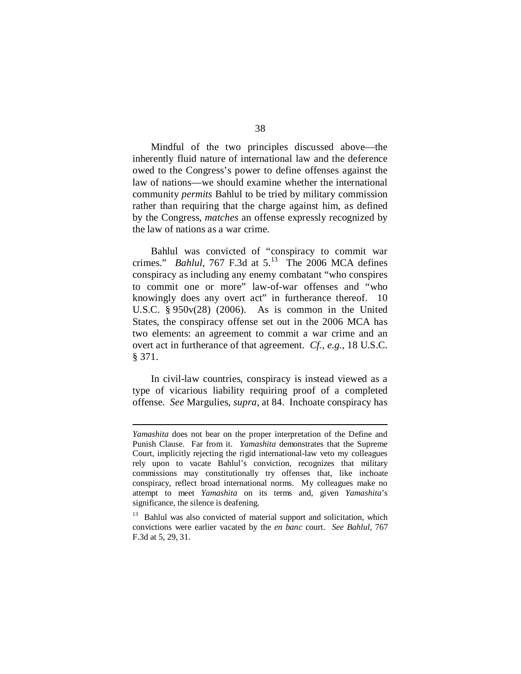Mindful of the two principles discussed above—the inherently fluid nature of international law and the deference owed to the Congress's power to define offenses against the law of nations—we should examine whether the international community *permits* Bahlul to be tried by military commission rather than requiring that the charge against him, as defined by the Congress, *matches* an offense expressly recognized by the law of nations as a war crime.

Bahlul was convicted of "conspiracy to commit war crimes." *Bahlul*, 767 F.3d at  $5^{13}$  The 2006 MCA defines conspiracy as including any enemy combatant "who conspires to commit one or more" law-of-war offenses and "who knowingly does any overt act" in furtherance thereof. 10 U.S.C. § 950v(28) (2006). As is common in the United States, the conspiracy offense set out in the 2006 MCA has two elements: an agreement to commit a war crime and an overt act in furtherance of that agreement. *Cf., e.g.*, 18 U.S.C. § 371.

In civil-law countries, conspiracy is instead viewed as a type of vicarious liability requiring proof of a completed offense. *See* Margulies, *supra*, at 84. Inchoate conspiracy has

1

*Yamashita* does not bear on the proper interpretation of the Define and Punish Clause. Far from it. *Yamashita* demonstrates that the Supreme Court, implicitly rejecting the rigid international-law veto my colleagues rely upon to vacate Bahlul's conviction, recognizes that military commissions may constitutionally try offenses that, like inchoate conspiracy, reflect broad international norms. My colleagues make no attempt to meet *Yamashita* on its terms and, given *Yamashita*'s significance, the silence is deafening.

<span id="page-85-0"></span><sup>&</sup>lt;sup>13</sup> Bahlul was also convicted of material support and solicitation, which convictions were earlier vacated by the *en banc* court. *See Bahlul*, 767 F.3d at 5, 29, 31.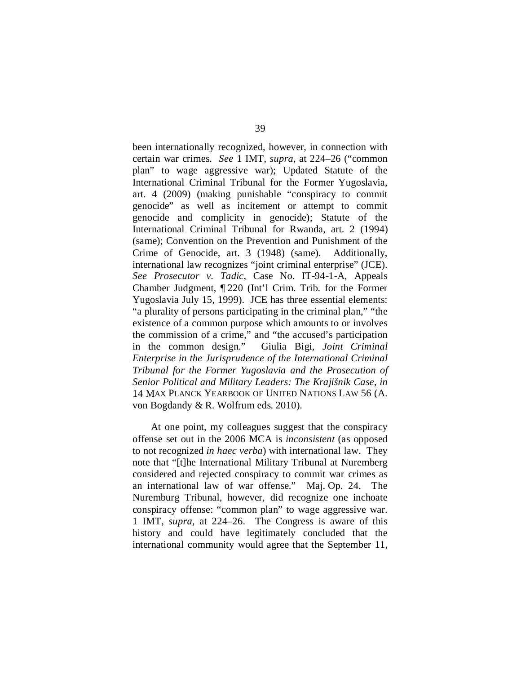been internationally recognized, however, in connection with certain war crimes. *See* 1 IMT, *supra*, at 224–26 ("common plan" to wage aggressive war); Updated Statute of the International Criminal Tribunal for the Former Yugoslavia, art. 4 (2009) (making punishable "conspiracy to commit genocide" as well as incitement or attempt to commit genocide and complicity in genocide); Statute of the International Criminal Tribunal for Rwanda, art. 2 (1994) (same); Convention on the Prevention and Punishment of the Crime of Genocide, art. 3 (1948) (same). Additionally, international law recognizes "joint criminal enterprise" (JCE). *See Prosecutor v. Tadic*, Case No. IT-94-1-A, Appeals Chamber Judgment, ¶ 220 (Int'l Crim. Trib. for the Former Yugoslavia July 15, 1999). JCE has three essential elements: "a plurality of persons participating in the criminal plan," "the existence of a common purpose which amounts to or involves the commission of a crime," and "the accused's participation in the common design." Giulia Bigi, *Joint Criminal Enterprise in the Jurisprudence of the International Criminal Tribunal for the Former Yugoslavia and the Prosecution of Senior Political and Military Leaders: The Krajišnik Case*, *in*  14 MAX PLANCK YEARBOOK OF UNITED NATIONS LAW 56 (A. von Bogdandy & R. Wolfrum eds. 2010).

At one point, my colleagues suggest that the conspiracy offense set out in the 2006 MCA is *inconsistent* (as opposed to not recognized *in haec verba*) with international law. They note that "[t]he International Military Tribunal at Nuremberg considered and rejected conspiracy to commit war crimes as an international law of war offense." Maj. Op. 24. The Nuremburg Tribunal, however, did recognize one inchoate conspiracy offense: "common plan" to wage aggressive war. 1 IMT, *supra*, at 224–26. The Congress is aware of this history and could have legitimately concluded that the international community would agree that the September 11,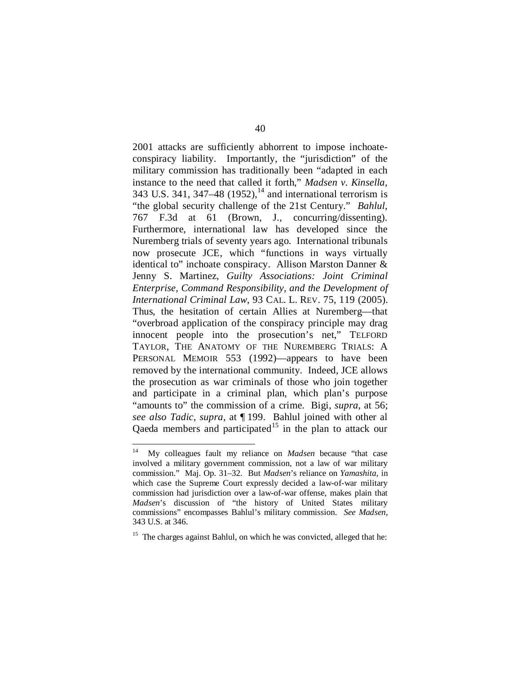2001 attacks are sufficiently abhorrent to impose inchoateconspiracy liability. Importantly, the "jurisdiction" of the military commission has traditionally been "adapted in each instance to the need that called it forth," *Madsen v. Kinsella*, 343 U.S. 341, 347–48 (1952),<sup>[14](#page-87-0)</sup> and international terrorism is "the global security challenge of the 21st Century." *Bahlul*, 767 F.3d at 61 (Brown, J., concurring/dissenting). Furthermore, international law has developed since the Nuremberg trials of seventy years ago. International tribunals now prosecute JCE, which "functions in ways virtually identical to" inchoate conspiracy. Allison Marston Danner & Jenny S. Martinez, *Guilty Associations: Joint Criminal Enterprise, Command Responsibility, and the Development of International Criminal Law*, 93 CAL. L. REV. 75, 119 (2005). Thus, the hesitation of certain Allies at Nuremberg—that "overbroad application of the conspiracy principle may drag innocent people into the prosecution's net," TELFORD TAYLOR, THE ANATOMY OF THE NUREMBERG TRIALS: A PERSONAL MEMOIR 553 (1992)—appears to have been removed by the international community. Indeed, JCE allows the prosecution as war criminals of those who join together and participate in a criminal plan, which plan's purpose "amounts to" the commission of a crime. Bigi, *supra*, at 56; *see also Tadic, supra*, at ¶ 199. Bahlul joined with other al Qaeda members and participated<sup>[15](#page-87-1)</sup> in the plan to attack our

<span id="page-87-0"></span> <sup>14</sup> My colleagues fault my reliance on *Madsen* because "that case involved a military government commission, not a law of war military commission." Maj. Op. 31–32. But *Madsen*'s reliance on *Yamashita*, in which case the Supreme Court expressly decided a law-of-war military commission had jurisdiction over a law-of-war offense, makes plain that *Madsen*'s discussion of "the history of United States military commissions" encompasses Bahlul's military commission. *See Madsen*, 343 U.S. at 346.

<span id="page-87-1"></span><sup>&</sup>lt;sup>15</sup> The charges against Bahlul, on which he was convicted, alleged that he: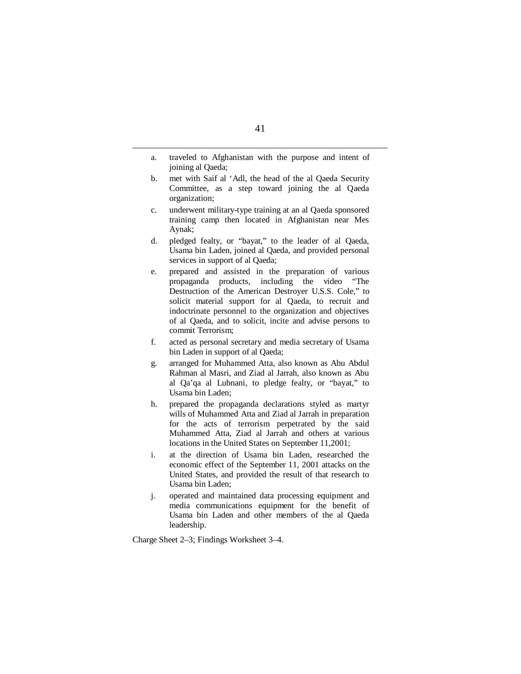- a. traveled to Afghanistan with the purpose and intent of joining al Qaeda;
- b. met with Saif al 'Adl, the head of the al Qaeda Security Committee, as a step toward joining the al Qaeda organization;
- c. underwent military-type training at an al Qaeda sponsored training camp then located in Afghanistan near Mes Aynak;
- d. pledged fealty, or "bayat," to the leader of al Qaeda, Usama bin Laden, joined al Qaeda, and provided personal services in support of al Qaeda;
- e. prepared and assisted in the preparation of various propaganda products, including the video "The Destruction of the American Destroyer U.S.S. Cole," to solicit material support for al Qaeda, to recruit and indoctrinate personnel to the organization and objectives of al Qaeda, and to solicit, incite and advise persons to commit Terrorism;
- f. acted as personal secretary and media secretary of Usama bin Laden in support of al Qaeda;
- g. arranged for Muhammed Atta, also known as Abu Abdul Rahman al Masri, and Ziad al Jarrah, also known as Abu al Qa'qa al Lubnani, to pledge fealty, or "bayat," to Usama bin Laden;
- h. prepared the propaganda declarations styled as martyr wills of Muhammed Atta and Ziad al Jarrah in preparation for the acts of terrorism perpetrated by the said Muhammed Atta, Ziad al Jarrah and others at various locations in the United States on September 11,2001;
- i. at the direction of Usama bin Laden, researched the economic effect of the September 11, 2001 attacks on the United States, and provided the result of that research to Usama bin Laden;
- j. operated and maintained data processing equipment and media communications equipment for the benefit of Usama bin Laden and other members of the al Qaeda leadership.

Charge Sheet 2–3; Findings Worksheet 3–4.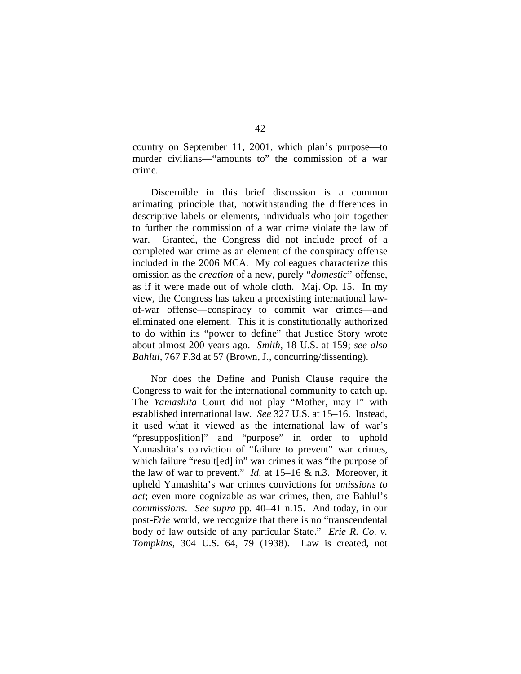country on September 11, 2001, which plan's purpose—to murder civilians—"amounts to" the commission of a war crime.

Discernible in this brief discussion is a common animating principle that, notwithstanding the differences in descriptive labels or elements, individuals who join together to further the commission of a war crime violate the law of war. Granted, the Congress did not include proof of a completed war crime as an element of the conspiracy offense included in the 2006 MCA. My colleagues characterize this omission as the *creation* of a new, purely "*domestic*" offense, as if it were made out of whole cloth. Maj. Op. 15. In my view, the Congress has taken a preexisting international lawof-war offense—conspiracy to commit war crimes—and eliminated one element. This it is constitutionally authorized to do within its "power to define" that Justice Story wrote about almost 200 years ago. *Smith*, 18 U.S. at 159; *see also Bahlul*, 767 F.3d at 57 (Brown, J., concurring/dissenting).

Nor does the Define and Punish Clause require the Congress to wait for the international community to catch up. The *Yamashita* Court did not play "Mother, may I" with established international law. *See* 327 U.S. at 15–16. Instead, it used what it viewed as the international law of war's "presuppos[ition]" and "purpose" in order to uphold Yamashita's conviction of "failure to prevent" war crimes, which failure "result[ed] in" war crimes it was "the purpose of the law of war to prevent." *Id.* at 15–16 & n.3. Moreover, it upheld Yamashita's war crimes convictions for *omissions to act*; even more cognizable as war crimes, then, are Bahlul's *commissions*. *See supra* pp. 40–41 n.15. And today, in our post-*Erie* world, we recognize that there is no "transcendental body of law outside of any particular State." *Erie R. Co. v. Tompkins*, 304 U.S. 64, 79 (1938). Law is created, not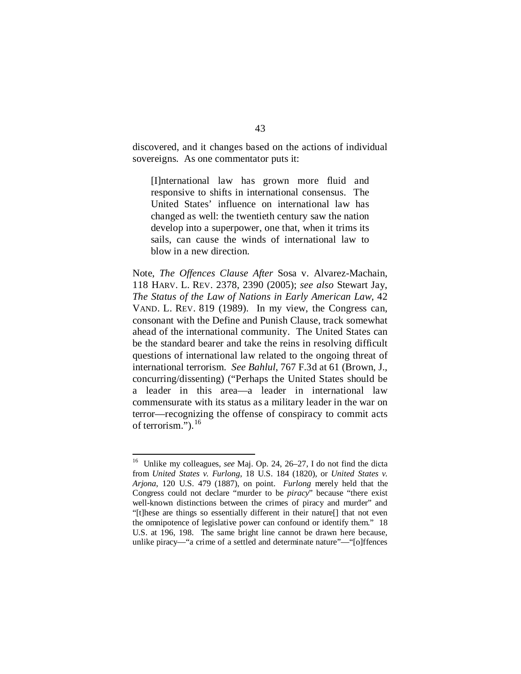discovered, and it changes based on the actions of individual sovereigns. As one commentator puts it:

[I]nternational law has grown more fluid and responsive to shifts in international consensus. The United States' influence on international law has changed as well: the twentieth century saw the nation develop into a superpower, one that, when it trims its sails, can cause the winds of international law to blow in a new direction.

Note, *The Offences Clause After* Sosa v. Alvarez-Machain, 118 HARV. L. REV. 2378, 2390 (2005); *see also* Stewart Jay, *The Status of the Law of Nations in Early American Law*, 42 VAND. L. REV. 819 (1989). In my view, the Congress can, consonant with the Define and Punish Clause, track somewhat ahead of the international community. The United States can be the standard bearer and take the reins in resolving difficult questions of international law related to the ongoing threat of international terrorism. *See Bahlul*, 767 F.3d at 61 (Brown, J., concurring/dissenting) ("Perhaps the United States should be a leader in this area—a leader in international law commensurate with its status as a military leader in the war on terror—recognizing the offense of conspiracy to commit acts of terrorism.").  $^{16}$  $^{16}$  $^{16}$ 

<span id="page-90-0"></span> <sup>16</sup> Unlike my colleagues, *see* Maj. Op. 24, 26–27, I do not find the dicta from *United States v. Furlong*, 18 U.S. 184 (1820), or *United States v. Arjona*, 120 U.S. 479 (1887), on point. *Furlong* merely held that the Congress could not declare "murder to be *piracy*" because "there exist well-known distinctions between the crimes of piracy and murder" and "[t]hese are things so essentially different in their nature[] that not even the omnipotence of legislative power can confound or identify them." 18 U.S. at 196, 198. The same bright line cannot be drawn here because, unlike piracy—"a crime of a settled and determinate nature"—"[o]ffences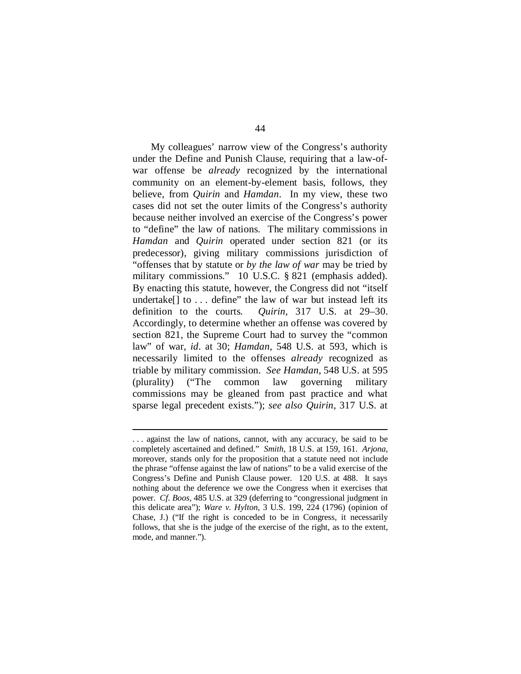My colleagues' narrow view of the Congress's authority under the Define and Punish Clause, requiring that a law-ofwar offense be *already* recognized by the international community on an element-by-element basis, follows, they believe, from *Quirin* and *Hamdan*. In my view, these two cases did not set the outer limits of the Congress's authority because neither involved an exercise of the Congress's power to "define" the law of nations. The military commissions in *Hamdan* and *Quirin* operated under section 821 (or its predecessor), giving military commissions jurisdiction of "offenses that by statute or *by the law of war* may be tried by military commissions." 10 U.S.C. § 821 (emphasis added). By enacting this statute, however, the Congress did not "itself undertake<sup>[]</sup> to ... define" the law of war but instead left its definition to the courts. *Quirin*, 317 U.S. at 29–30. Accordingly, to determine whether an offense was covered by section 821, the Supreme Court had to survey the "common law" of war, *id*. at 30; *Hamdan*, 548 U.S. at 593, which is necessarily limited to the offenses *already* recognized as triable by military commission. *See Hamdan*, 548 U.S. at 595 (plurality) ("The common law governing military commissions may be gleaned from past practice and what sparse legal precedent exists."); *see also Quirin*, 317 U.S. at

-

<sup>.</sup> . . against the law of nations, cannot, with any accuracy, be said to be completely ascertained and defined." *Smith*, 18 U.S. at 159, 161. *Arjona*, moreover, stands only for the proposition that a statute need not include the phrase "offense against the law of nations" to be a valid exercise of the Congress's Define and Punish Clause power. 120 U.S. at 488. It says nothing about the deference we owe the Congress when it exercises that power. *Cf. Boos*, 485 U.S. at 329 (deferring to "congressional judgment in this delicate area"); *Ware v. Hylton*, 3 U.S. 199, 224 (1796) (opinion of Chase, J.) ("If the right is conceded to be in Congress, it necessarily follows, that she is the judge of the exercise of the right, as to the extent, mode, and manner.").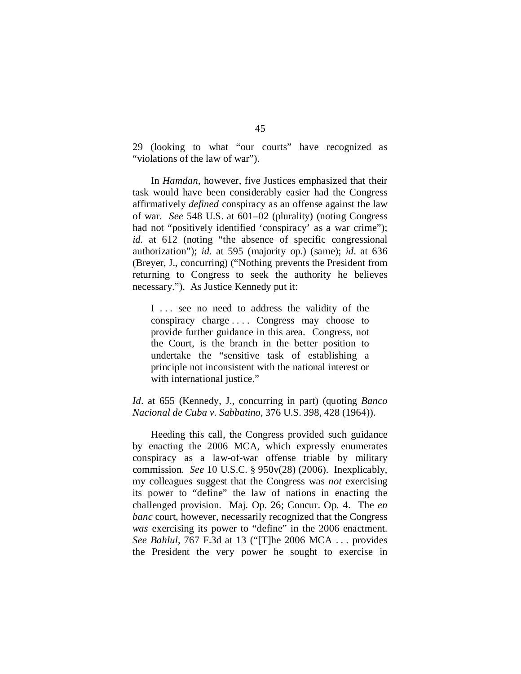29 (looking to what "our courts" have recognized as "violations of the law of war").

In *Hamdan*, however, five Justices emphasized that their task would have been considerably easier had the Congress affirmatively *defined* conspiracy as an offense against the law of war. *See* 548 U.S. at 601–02 (plurality) (noting Congress had not "positively identified 'conspiracy' as a war crime"); *id.* at 612 (noting "the absence of specific congressional authorization"); *id.* at 595 (majority op.) (same); *id*. at 636 (Breyer, J., concurring) ("Nothing prevents the President from returning to Congress to seek the authority he believes necessary."). As Justice Kennedy put it:

I ... see no need to address the validity of the conspiracy charge . . . . Congress may choose to provide further guidance in this area. Congress, not the Court, is the branch in the better position to undertake the "sensitive task of establishing a principle not inconsistent with the national interest or with international justice."

# *Id*. at 655 (Kennedy, J., concurring in part) (quoting *Banco Nacional de Cuba v. Sabbatino*, 376 U.S. 398, 428 (1964)).

Heeding this call, the Congress provided such guidance by enacting the 2006 MCA, which expressly enumerates conspiracy as a law-of-war offense triable by military commission. *See* 10 U.S.C. § 950v(28) (2006). Inexplicably, my colleagues suggest that the Congress was *not* exercising its power to "define" the law of nations in enacting the challenged provision. Maj. Op. 26; Concur. Op. 4. The *en banc* court, however, necessarily recognized that the Congress *was* exercising its power to "define" in the 2006 enactment. *See Bahlul*, 767 F.3d at 13 ("[T]he 2006 MCA . . . provides the President the very power he sought to exercise in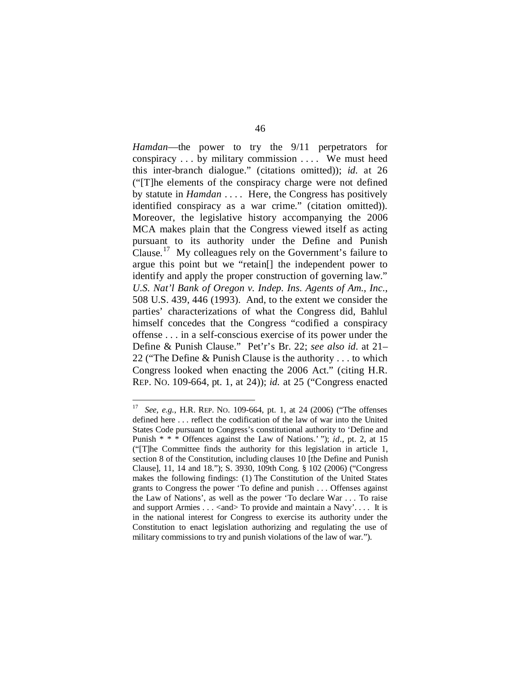*Hamdan*—the power to try the 9/11 perpetrators for conspiracy . . . by military commission . . . . We must heed this inter-branch dialogue." (citations omitted)); *id.* at 26 ("[T]he elements of the conspiracy charge were not defined by statute in *Hamdan* . . . . Here, the Congress has positively identified conspiracy as a war crime." (citation omitted)). Moreover, the legislative history accompanying the 2006 MCA makes plain that the Congress viewed itself as acting pursuant to its authority under the Define and Punish Clause.[17](#page-93-0) My colleagues rely on the Government's failure to argue this point but we "retain[] the independent power to identify and apply the proper construction of governing law." *U.S. Nat'l Bank of Oregon v. Indep. Ins. Agents of Am., Inc.*, 508 U.S. 439, 446 (1993). And, to the extent we consider the parties' characterizations of what the Congress did, Bahlul himself concedes that the Congress "codified a conspiracy offense . . . in a self-conscious exercise of its power under the Define & Punish Clause." Pet'r's Br. 22; *see also id.* at 21– 22 ("The Define & Punish Clause is the authority . . . to which Congress looked when enacting the 2006 Act." (citing H.R. REP. NO. 109-664, pt. 1, at 24)); *id.* at 25 ("Congress enacted

<span id="page-93-0"></span> <sup>17</sup> *See, e.g.*, H.R. REP. NO. 109-664, pt. 1, at 24 (2006) ("The offenses defined here . . . reflect the codification of the law of war into the United States Code pursuant to Congress's constitutional authority to 'Define and Punish \* \* \* Offences against the Law of Nations.' "); *id.*, pt. 2, at 15 ("[T]he Committee finds the authority for this legislation in article 1, section 8 of the Constitution, including clauses 10 [the Define and Punish Clause], 11, 14 and 18."); S. 3930, 109th Cong. § 102 (2006) ("Congress makes the following findings: (1) The Constitution of the United States grants to Congress the power 'To define and punish . . . Offenses against the Law of Nations', as well as the power 'To declare War . . . To raise and support Armies . . . < and > To provide and maintain a Navy'.... It is in the national interest for Congress to exercise its authority under the Constitution to enact legislation authorizing and regulating the use of military commissions to try and punish violations of the law of war.").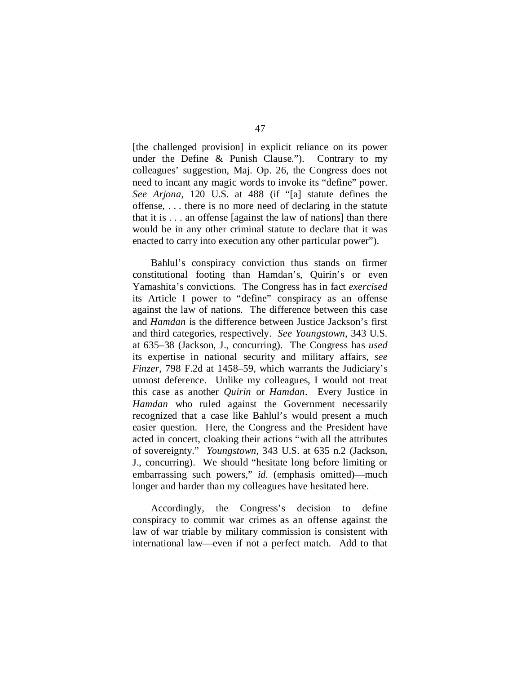[the challenged provision] in explicit reliance on its power under the Define & Punish Clause."). Contrary to my colleagues' suggestion, Maj. Op. 26, the Congress does not need to incant any magic words to invoke its "define" power. *See Arjona*, 120 U.S. at 488 (if "[a] statute defines the offense, . . . there is no more need of declaring in the statute that it is . . . an offense [against the law of nations] than there would be in any other criminal statute to declare that it was enacted to carry into execution any other particular power").

Bahlul's conspiracy conviction thus stands on firmer constitutional footing than Hamdan's, Quirin's or even Yamashita's convictions. The Congress has in fact *exercised* its Article I power to "define" conspiracy as an offense against the law of nations. The difference between this case and *Hamdan* is the difference between Justice Jackson's first and third categories, respectively. *See Youngstown*, 343 U.S. at 635–38 (Jackson, J., concurring). The Congress has *used* its expertise in national security and military affairs, *see Finzer*, 798 F.2d at 1458–59, which warrants the Judiciary's utmost deference. Unlike my colleagues, I would not treat this case as another *Quirin* or *Hamdan*. Every Justice in *Hamdan* who ruled against the Government necessarily recognized that a case like Bahlul's would present a much easier question. Here, the Congress and the President have acted in concert, cloaking their actions "with all the attributes of sovereignty." *Youngstown*, 343 U.S. at 635 n.2 (Jackson, J., concurring). We should "hesitate long before limiting or embarrassing such powers," *id.* (emphasis omitted)—much longer and harder than my colleagues have hesitated here.

Accordingly, the Congress's decision to define conspiracy to commit war crimes as an offense against the law of war triable by military commission is consistent with international law—even if not a perfect match. Add to that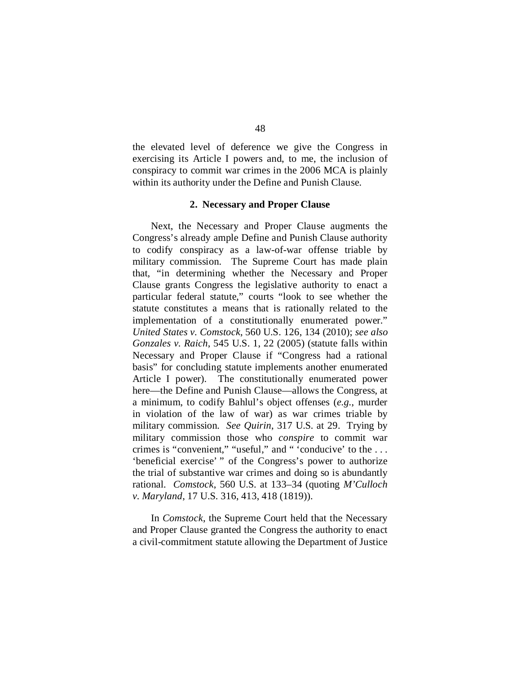the elevated level of deference we give the Congress in exercising its Article I powers and, to me, the inclusion of conspiracy to commit war crimes in the 2006 MCA is plainly within its authority under the Define and Punish Clause.

#### **2. Necessary and Proper Clause**

Next, the Necessary and Proper Clause augments the Congress's already ample Define and Punish Clause authority to codify conspiracy as a law-of-war offense triable by military commission. The Supreme Court has made plain that, "in determining whether the Necessary and Proper Clause grants Congress the legislative authority to enact a particular federal statute," courts "look to see whether the statute constitutes a means that is rationally related to the implementation of a constitutionally enumerated power." *United States v. Comstock*, 560 U.S. 126, 134 (2010); *see also Gonzales v. Raich*, 545 U.S. 1, 22 (2005) (statute falls within Necessary and Proper Clause if "Congress had a rational basis" for concluding statute implements another enumerated Article I power). The constitutionally enumerated power here—the Define and Punish Clause—allows the Congress, at a minimum, to codify Bahlul's object offenses (*e.g.*, murder in violation of the law of war) as war crimes triable by military commission. *See Quirin*, 317 U.S. at 29. Trying by military commission those who *conspire* to commit war crimes is "convenient," "useful," and " 'conducive' to the . . . 'beneficial exercise' " of the Congress's power to authorize the trial of substantive war crimes and doing so is abundantly rational. *Comstock*, 560 U.S. at 133–34 (quoting *M'Culloch v. Maryland*, 17 U.S. 316, 413, 418 (1819)).

In *Comstock*, the Supreme Court held that the Necessary and Proper Clause granted the Congress the authority to enact a civil-commitment statute allowing the Department of Justice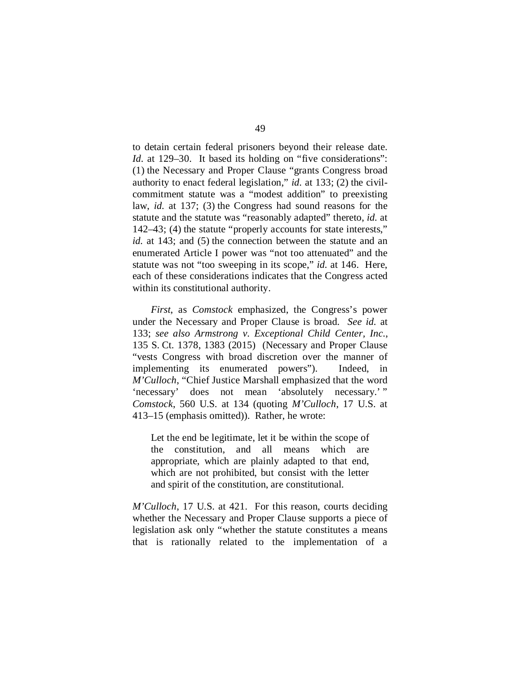to detain certain federal prisoners beyond their release date. *Id.* at 129–30. It based its holding on "five considerations": (1) the Necessary and Proper Clause "grants Congress broad authority to enact federal legislation," *id.* at 133; (2) the civilcommitment statute was a "modest addition" to preexisting law, *id.* at 137; (3) the Congress had sound reasons for the statute and the statute was "reasonably adapted" thereto, *id.* at 142–43; (4) the statute "properly accounts for state interests," *id.* at 143; and (5) the connection between the statute and an enumerated Article I power was "not too attenuated" and the statute was not "too sweeping in its scope," *id.* at 146. Here, each of these considerations indicates that the Congress acted within its constitutional authority.

*First*, as *Comstock* emphasized, the Congress's power under the Necessary and Proper Clause is broad. *See id.* at 133; *see also Armstrong v. Exceptional Child Center, Inc.*, 135 S. Ct. 1378, 1383 (2015) (Necessary and Proper Clause "vests Congress with broad discretion over the manner of implementing its enumerated powers"). Indeed, in *M'Culloch*, "Chief Justice Marshall emphasized that the word 'necessary' does not mean 'absolutely necessary.' " *Comstock*, 560 U.S. at 134 (quoting *M'Culloch*, 17 U.S. at 413–15 (emphasis omitted)). Rather, he wrote:

Let the end be legitimate, let it be within the scope of the constitution, and all means which are appropriate, which are plainly adapted to that end, which are not prohibited, but consist with the letter and spirit of the constitution, are constitutional.

*M'Culloch*, 17 U.S. at 421. For this reason, courts deciding whether the Necessary and Proper Clause supports a piece of legislation ask only "whether the statute constitutes a means that is rationally related to the implementation of a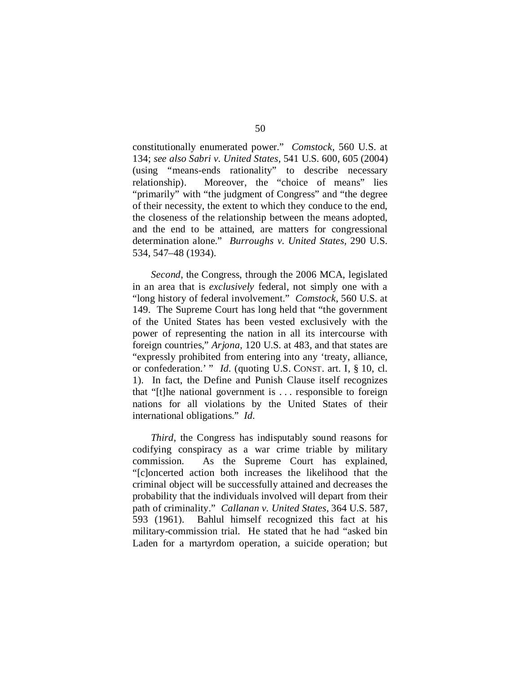constitutionally enumerated power." *Comstock*, 560 U.S. at 134; *see also Sabri v. United States*, 541 U.S. 600, 605 (2004) (using "means-ends rationality" to describe necessary relationship). Moreover, the "choice of means" lies "primarily" with "the judgment of Congress" and "the degree of their necessity, the extent to which they conduce to the end, the closeness of the relationship between the means adopted, and the end to be attained, are matters for congressional determination alone." *Burroughs v. United States*, 290 U.S. 534, 547–48 (1934).

*Second*, the Congress, through the 2006 MCA, legislated in an area that is *exclusively* federal, not simply one with a "long history of federal involvement." *Comstock*, 560 U.S. at 149. The Supreme Court has long held that "the government of the United States has been vested exclusively with the power of representing the nation in all its intercourse with foreign countries," *Arjona*, 120 U.S. at 483, and that states are "expressly prohibited from entering into any 'treaty, alliance, or confederation.' " *Id.* (quoting U.S. CONST. art. I, § 10, cl. 1). In fact, the Define and Punish Clause itself recognizes that "[t]he national government is . . . responsible to foreign nations for all violations by the United States of their international obligations." *Id.*

*Third*, the Congress has indisputably sound reasons for codifying conspiracy as a war crime triable by military commission. As the Supreme Court has explained, "[c]oncerted action both increases the likelihood that the criminal object will be successfully attained and decreases the probability that the individuals involved will depart from their path of criminality." *Callanan v. United States*, 364 U.S. 587, 593 (1961). Bahlul himself recognized this fact at his military-commission trial. He stated that he had "asked bin Laden for a martyrdom operation, a suicide operation; but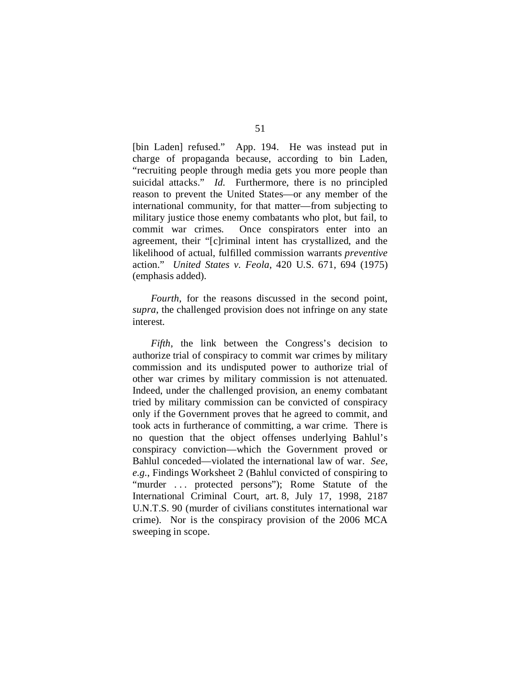[bin Laden] refused." App. 194. He was instead put in charge of propaganda because, according to bin Laden, "recruiting people through media gets you more people than suicidal attacks." *Id.* Furthermore, there is no principled reason to prevent the United States—or any member of the international community, for that matter—from subjecting to military justice those enemy combatants who plot, but fail, to commit war crimes. Once conspirators enter into an agreement, their "[c]riminal intent has crystallized, and the likelihood of actual, fulfilled commission warrants *preventive*  action." *United States v. Feola*, 420 U.S. 671, 694 (1975) (emphasis added).

*Fourth*, for the reasons discussed in the second point, *supra*, the challenged provision does not infringe on any state interest.

*Fifth*, the link between the Congress's decision to authorize trial of conspiracy to commit war crimes by military commission and its undisputed power to authorize trial of other war crimes by military commission is not attenuated. Indeed, under the challenged provision, an enemy combatant tried by military commission can be convicted of conspiracy only if the Government proves that he agreed to commit, and took acts in furtherance of committing, a war crime. There is no question that the object offenses underlying Bahlul's conspiracy conviction—which the Government proved or Bahlul conceded—violated the international law of war. *See, e.g.*, Findings Worksheet 2 (Bahlul convicted of conspiring to "murder ... protected persons"); Rome Statute of the International Criminal Court, art. 8, July 17, 1998, 2187 U.N.T.S. 90 (murder of civilians constitutes international war crime). Nor is the conspiracy provision of the 2006 MCA sweeping in scope.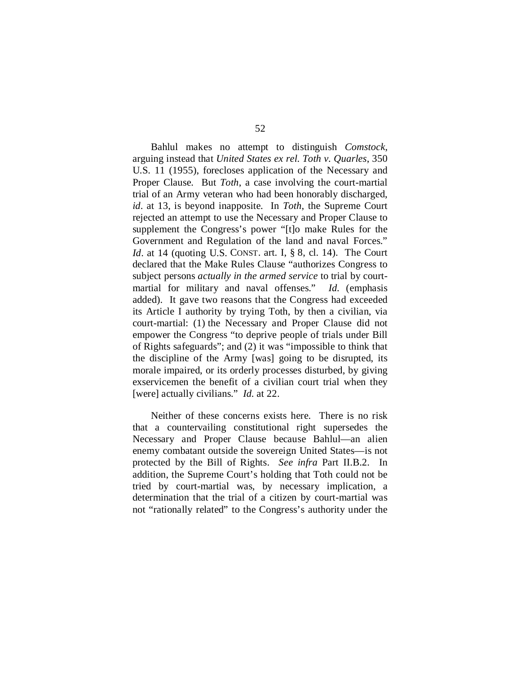Bahlul makes no attempt to distinguish *Comstock*, arguing instead that *United States ex rel. Toth v. Quarles*, 350 U.S. 11 (1955), forecloses application of the Necessary and Proper Clause. But *Toth*, a case involving the court-martial trial of an Army veteran who had been honorably discharged, *id*. at 13, is beyond inapposite. In *Toth*, the Supreme Court rejected an attempt to use the Necessary and Proper Clause to supplement the Congress's power "[t]o make Rules for the Government and Regulation of the land and naval Forces." *Id.* at 14 (quoting U.S. CONST. art. I, § 8, cl. 14). The Court declared that the Make Rules Clause "authorizes Congress to subject persons *actually in the armed service* to trial by courtmartial for military and naval offenses." *Id.* (emphasis added). It gave two reasons that the Congress had exceeded its Article I authority by trying Toth, by then a civilian, via court-martial: (1) the Necessary and Proper Clause did not empower the Congress "to deprive people of trials under Bill of Rights safeguards"; and (2) it was "impossible to think that the discipline of the Army [was] going to be disrupted, its morale impaired, or its orderly processes disturbed, by giving exservicemen the benefit of a civilian court trial when they [were] actually civilians." *Id.* at 22.

Neither of these concerns exists here. There is no risk that a countervailing constitutional right supersedes the Necessary and Proper Clause because Bahlul—an alien enemy combatant outside the sovereign United States—is not protected by the Bill of Rights. *See infra* Part II.B.2. In addition, the Supreme Court's holding that Toth could not be tried by court-martial was, by necessary implication, a determination that the trial of a citizen by court-martial was not "rationally related" to the Congress's authority under the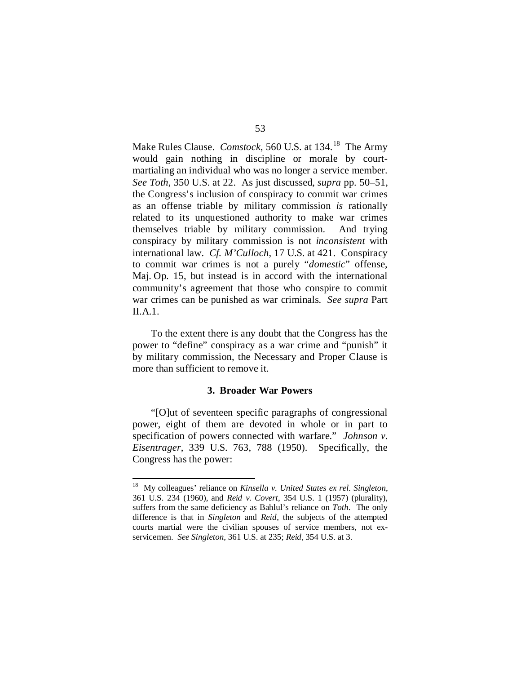Make Rules Clause. *Comstock*, 560 U.S. at 134.<sup>18</sup> The Army would gain nothing in discipline or morale by courtmartialing an individual who was no longer a service member. *See Toth*, 350 U.S. at 22. As just discussed, *supra* pp. 50–51, the Congress's inclusion of conspiracy to commit war crimes as an offense triable by military commission *is* rationally related to its unquestioned authority to make war crimes themselves triable by military commission. And trying conspiracy by military commission is not *inconsistent* with international law. *Cf. M'Culloch*, 17 U.S. at 421. Conspiracy to commit war crimes is not a purely "*domestic*" offense, Maj. Op. 15, but instead is in accord with the international community's agreement that those who conspire to commit war crimes can be punished as war criminals. *See supra* Part II.A.1.

To the extent there is any doubt that the Congress has the power to "define" conspiracy as a war crime and "punish" it by military commission, the Necessary and Proper Clause is more than sufficient to remove it.

# **3. Broader War Powers**

"[O]ut of seventeen specific paragraphs of congressional power, eight of them are devoted in whole or in part to specification of powers connected with warfare." *Johnson v. Eisentrager*, 339 U.S. 763, 788 (1950). Specifically, the Congress has the power:

<span id="page-100-0"></span> <sup>18</sup> My colleagues' reliance on *Kinsella v. United States ex rel. Singleton*, 361 U.S. 234 (1960), and *Reid v. Covert*, 354 U.S. 1 (1957) (plurality), suffers from the same deficiency as Bahlul's reliance on *Toth*. The only difference is that in *Singleton* and *Reid*, the subjects of the attempted courts martial were the civilian spouses of service members, not exservicemen. *See Singleton*, 361 U.S. at 235; *Reid*, 354 U.S. at 3.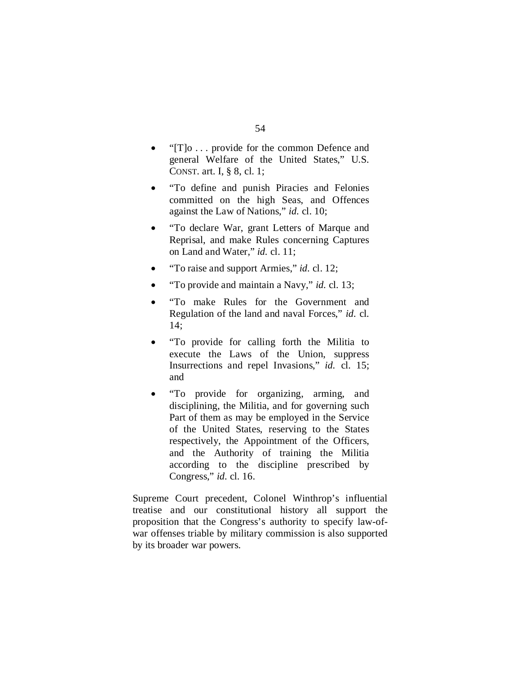- " $[T]$ o ... provide for the common Defence and general Welfare of the United States," U.S. CONST. art. I, § 8, cl. 1;
- "To define and punish Piracies and Felonies committed on the high Seas, and Offences against the Law of Nations," *id.* cl. 10;
- "To declare War, grant Letters of Marque and Reprisal, and make Rules concerning Captures on Land and Water," *id.* cl. 11;
- "To raise and support Armies," *id.* cl. 12;
- "To provide and maintain a Navy," *id.* cl. 13;
- "To make Rules for the Government and Regulation of the land and naval Forces," *id.* cl. 14;
- "To provide for calling forth the Militia to execute the Laws of the Union, suppress Insurrections and repel Invasions," *id.* cl. 15; and
- "To provide for organizing, arming, and disciplining, the Militia, and for governing such Part of them as may be employed in the Service of the United States, reserving to the States respectively, the Appointment of the Officers, and the Authority of training the Militia according to the discipline prescribed by Congress," *id.* cl. 16.

Supreme Court precedent, Colonel Winthrop's influential treatise and our constitutional history all support the proposition that the Congress's authority to specify law-ofwar offenses triable by military commission is also supported by its broader war powers.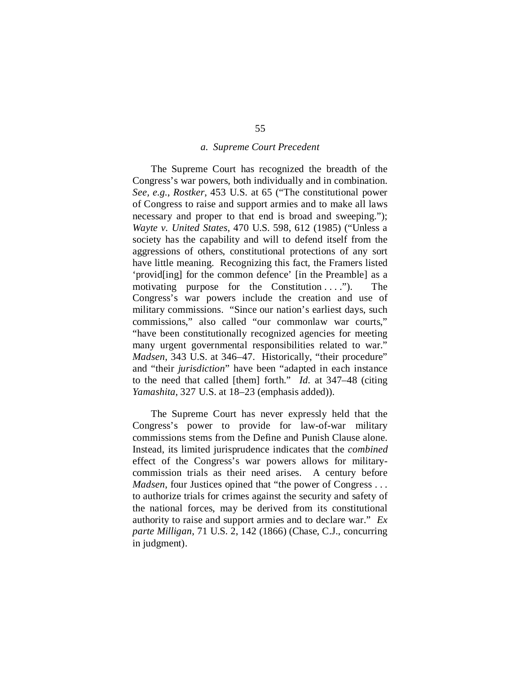#### *a. Supreme Court Precedent*

The Supreme Court has recognized the breadth of the Congress's war powers, both individually and in combination. *See, e.g.*, *Rostker*, 453 U.S. at 65 ("The constitutional power of Congress to raise and support armies and to make all laws necessary and proper to that end is broad and sweeping."); *Wayte v. United States*, 470 U.S. 598, 612 (1985) ("Unless a society has the capability and will to defend itself from the aggressions of others, constitutional protections of any sort have little meaning. Recognizing this fact, the Framers listed 'provid[ing] for the common defence' [in the Preamble] as a motivating purpose for the Constitution . . . ."). The Congress's war powers include the creation and use of military commissions. "Since our nation's earliest days, such commissions," also called "our commonlaw war courts," "have been constitutionally recognized agencies for meeting many urgent governmental responsibilities related to war." *Madsen*, 343 U.S. at 346–47. Historically, "their procedure" and "their *jurisdiction*" have been "adapted in each instance to the need that called [them] forth." *Id.* at 347–48 (citing *Yamashita*, 327 U.S. at 18–23 (emphasis added)).

The Supreme Court has never expressly held that the Congress's power to provide for law-of-war military commissions stems from the Define and Punish Clause alone. Instead, its limited jurisprudence indicates that the *combined* effect of the Congress's war powers allows for militarycommission trials as their need arises. A century before *Madsen*, four Justices opined that "the power of Congress . . . to authorize trials for crimes against the security and safety of the national forces, may be derived from its constitutional authority to raise and support armies and to declare war." *Ex parte Milligan*, 71 U.S. 2, 142 (1866) (Chase, C.J., concurring in judgment).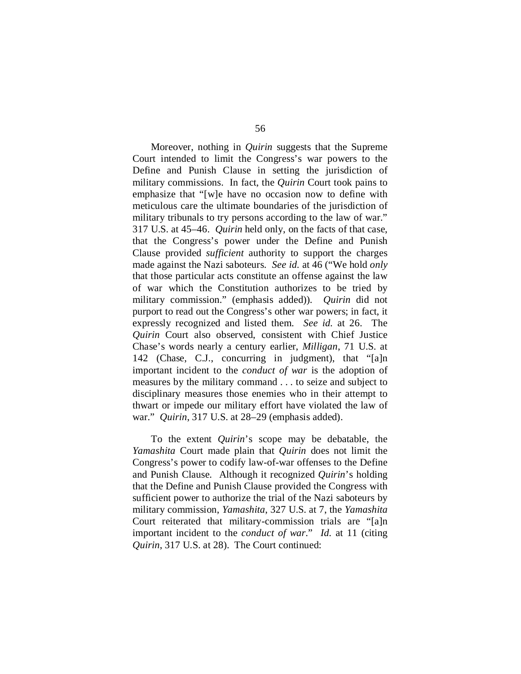Moreover, nothing in *Quirin* suggests that the Supreme Court intended to limit the Congress's war powers to the Define and Punish Clause in setting the jurisdiction of military commissions. In fact, the *Quirin* Court took pains to emphasize that "[w]e have no occasion now to define with meticulous care the ultimate boundaries of the jurisdiction of military tribunals to try persons according to the law of war." 317 U.S. at 45–46. *Quirin* held only, on the facts of that case, that the Congress's power under the Define and Punish Clause provided *sufficient* authority to support the charges made against the Nazi saboteurs. *See id.* at 46 ("We hold *only* that those particular acts constitute an offense against the law of war which the Constitution authorizes to be tried by military commission." (emphasis added)). *Quirin* did not purport to read out the Congress's other war powers; in fact, it expressly recognized and listed them. *See id.* at 26. The *Quirin* Court also observed, consistent with Chief Justice Chase's words nearly a century earlier, *Milligan*, 71 U.S. at 142 (Chase, C.J., concurring in judgment), that "[a]n important incident to the *conduct of war* is the adoption of measures by the military command . . . to seize and subject to disciplinary measures those enemies who in their attempt to thwart or impede our military effort have violated the law of war." *Quirin*, 317 U.S. at 28–29 (emphasis added).

To the extent *Quirin*'s scope may be debatable, the *Yamashita* Court made plain that *Quirin* does not limit the Congress's power to codify law-of-war offenses to the Define and Punish Clause. Although it recognized *Quirin*'s holding that the Define and Punish Clause provided the Congress with sufficient power to authorize the trial of the Nazi saboteurs by military commission, *Yamashita*, 327 U.S. at 7, the *Yamashita*  Court reiterated that military-commission trials are "[a]n important incident to the *conduct of war*." *Id.* at 11 (citing *Quirin*, 317 U.S. at 28). The Court continued: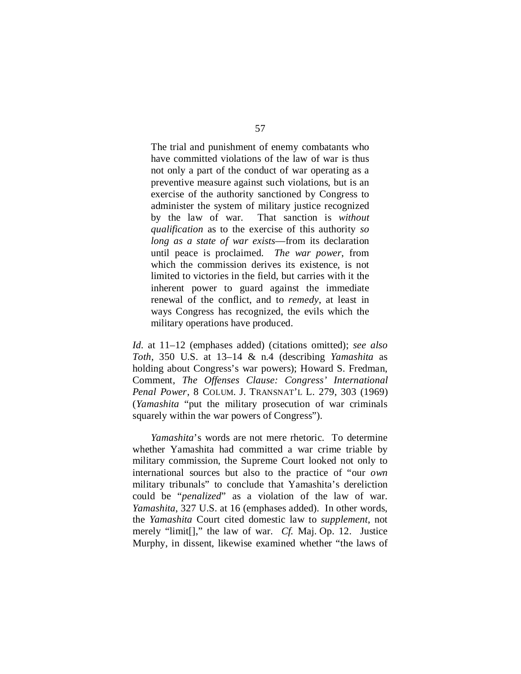The trial and punishment of enemy combatants who have committed violations of the law of war is thus not only a part of the conduct of war operating as a preventive measure against such violations, but is an exercise of the authority sanctioned by Congress to administer the system of military justice recognized by the law of war. That sanction is *without qualification* as to the exercise of this authority *so long as a state of war exists*—from its declaration until peace is proclaimed. *The war power*, from which the commission derives its existence, is not limited to victories in the field, but carries with it the inherent power to guard against the immediate renewal of the conflict, and to *remedy*, at least in ways Congress has recognized, the evils which the military operations have produced.

*Id.* at 11–12 (emphases added) (citations omitted); *see also Toth*, 350 U.S. at 13–14 & n.4 (describing *Yamashita* as holding about Congress's war powers); Howard S. Fredman, Comment, *The Offenses Clause: Congress' International Penal Power*, 8 COLUM. J. TRANSNAT'L L. 279, 303 (1969) (*Yamashita* "put the military prosecution of war criminals squarely within the war powers of Congress").

*Yamashita*'s words are not mere rhetoric. To determine whether Yamashita had committed a war crime triable by military commission, the Supreme Court looked not only to international sources but also to the practice of "our *own* military tribunals" to conclude that Yamashita's dereliction could be "*penalized*" as a violation of the law of war. *Yamashita*, 327 U.S. at 16 (emphases added). In other words, the *Yamashita* Court cited domestic law to *supplement*, not merely "limit[]," the law of war. *Cf.* Maj. Op. 12. Justice Murphy, in dissent, likewise examined whether "the laws of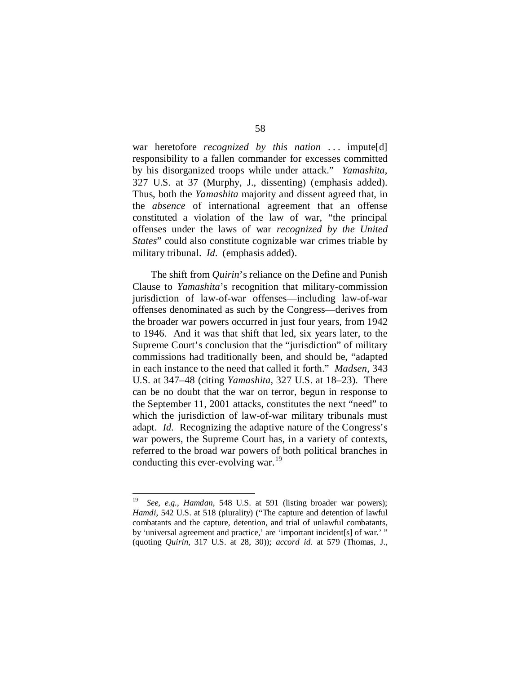war heretofore *recognized by this nation* ... impute[d] responsibility to a fallen commander for excesses committed by his disorganized troops while under attack." *Yamashita*, 327 U.S. at 37 (Murphy, J., dissenting) (emphasis added). Thus, both the *Yamashita* majority and dissent agreed that, in the *absence* of international agreement that an offense constituted a violation of the law of war, "the principal offenses under the laws of war *recognized by the United States*" could also constitute cognizable war crimes triable by military tribunal. *Id.* (emphasis added).

The shift from *Quirin*'s reliance on the Define and Punish Clause to *Yamashita*'s recognition that military-commission jurisdiction of law-of-war offenses—including law-of-war offenses denominated as such by the Congress—derives from the broader war powers occurred in just four years, from 1942 to 1946. And it was that shift that led, six years later, to the Supreme Court's conclusion that the "jurisdiction" of military commissions had traditionally been, and should be, "adapted in each instance to the need that called it forth." *Madsen*, 343 U.S. at 347–48 (citing *Yamashita*, 327 U.S. at 18–23). There can be no doubt that the war on terror, begun in response to the September 11, 2001 attacks, constitutes the next "need" to which the jurisdiction of law-of-war military tribunals must adapt. *Id.* Recognizing the adaptive nature of the Congress's war powers, the Supreme Court has, in a variety of contexts, referred to the broad war powers of both political branches in conducting this ever-evolving war.<sup>[19](#page-105-0)</sup>

<span id="page-105-0"></span> <sup>19</sup> *See, e.g.*, *Hamdan*, 548 U.S. at 591 (listing broader war powers); *Hamdi*, 542 U.S. at 518 (plurality) ("The capture and detention of lawful combatants and the capture, detention, and trial of unlawful combatants, by 'universal agreement and practice,' are 'important incident[s] of war.' " (quoting *Quirin*, 317 U.S. at 28, 30)); *accord id.* at 579 (Thomas, J.,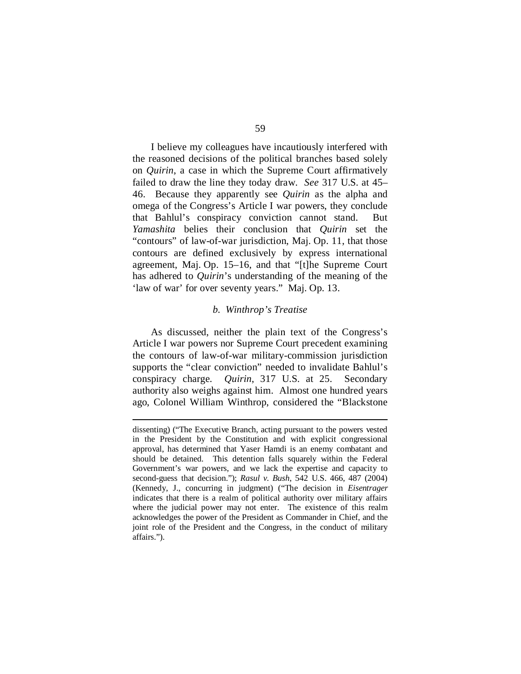I believe my colleagues have incautiously interfered with the reasoned decisions of the political branches based solely on *Quirin*, a case in which the Supreme Court affirmatively failed to draw the line they today draw. *See* 317 U.S. at 45– 46. Because they apparently see *Quirin* as the alpha and omega of the Congress's Article I war powers, they conclude that Bahlul's conspiracy conviction cannot stand. But *Yamashita* belies their conclusion that *Quirin* set the "contours" of law-of-war jurisdiction, Maj. Op. 11, that those contours are defined exclusively by express international agreement, Maj. Op. 15–16, and that "[t]he Supreme Court has adhered to *Quirin*'s understanding of the meaning of the 'law of war' for over seventy years." Maj. Op. 13.

## *b. Winthrop's Treatise*

As discussed, neither the plain text of the Congress's Article I war powers nor Supreme Court precedent examining the contours of law-of-war military-commission jurisdiction supports the "clear conviction" needed to invalidate Bahlul's conspiracy charge. *Quirin*, 317 U.S. at 25. Secondary authority also weighs against him. Almost one hundred years ago, Colonel William Winthrop, considered the "Blackstone

dissenting) ("The Executive Branch, acting pursuant to the powers vested in the President by the Constitution and with explicit congressional approval, has determined that Yaser Hamdi is an enemy combatant and should be detained. This detention falls squarely within the Federal Government's war powers, and we lack the expertise and capacity to second-guess that decision."); *Rasul v. Bush*, 542 U.S. 466, 487 (2004) (Kennedy, J., concurring in judgment) ("The decision in *Eisentrager* indicates that there is a realm of political authority over military affairs where the judicial power may not enter. The existence of this realm acknowledges the power of the President as Commander in Chief, and the joint role of the President and the Congress, in the conduct of military affairs.").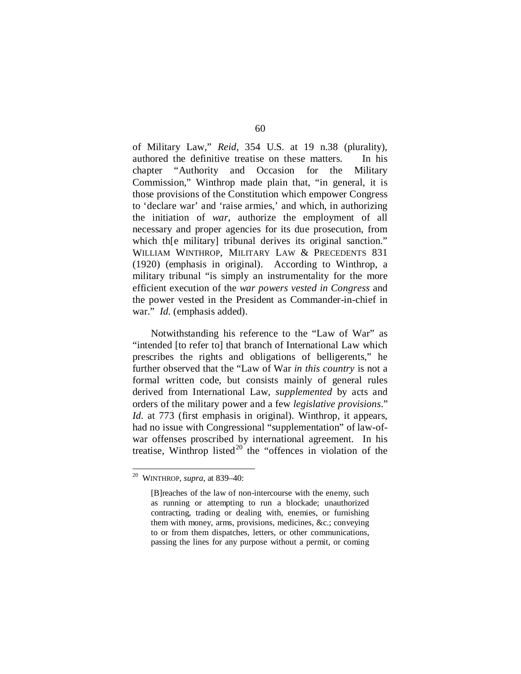of Military Law," *Reid*, 354 U.S. at 19 n.38 (plurality), authored the definitive treatise on these matters. In his chapter "Authority and Occasion for the Military Commission," Winthrop made plain that, "in general, it is those provisions of the Constitution which empower Congress to 'declare war' and 'raise armies,' and which, in authorizing the initiation of *war*, authorize the employment of all necessary and proper agencies for its due prosecution, from which the military tribunal derives its original sanction." WILLIAM WINTHROP, MILITARY LAW & PRECEDENTS 831 (1920) (emphasis in original). According to Winthrop, a military tribunal "is simply an instrumentality for the more efficient execution of the *war powers vested in Congress* and the power vested in the President as Commander-in-chief in war." *Id.* (emphasis added).

Notwithstanding his reference to the "Law of War" as "intended [to refer to] that branch of International Law which prescribes the rights and obligations of belligerents," he further observed that the "Law of War *in this country* is not a formal written code, but consists mainly of general rules derived from International Law, *supplemented* by acts and orders of the military power and a few *legislative provisions*." *Id.* at 773 (first emphasis in original). Winthrop, it appears, had no issue with Congressional "supplementation" of law-ofwar offenses proscribed by international agreement. In his treatise, Winthrop listed $20$  the "offences in violation of the

<span id="page-107-0"></span> <sup>20</sup> WINTHROP, *supra*, at 839–40:

<sup>[</sup>B]reaches of the law of non-intercourse with the enemy, such as running or attempting to run a blockade; unauthorized contracting, trading or dealing with, enemies, or furnishing them with money, arms, provisions, medicines, &c.; conveying to or from them dispatches, letters, or other communications, passing the lines for any purpose without a permit, or coming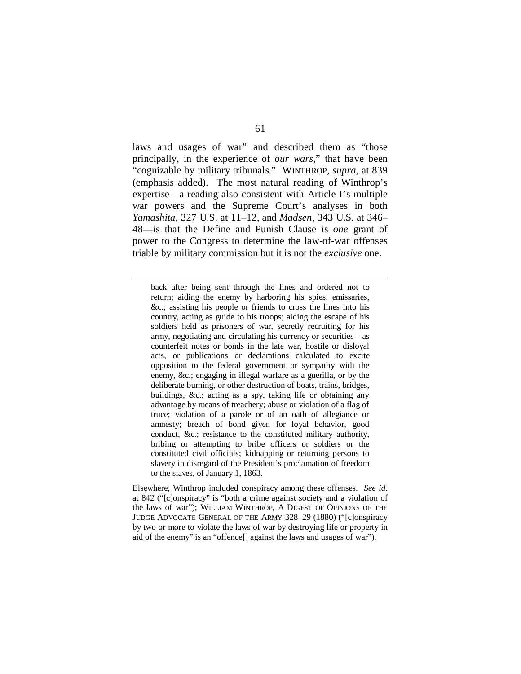laws and usages of war" and described them as "those principally, in the experience of *our wars*," that have been "cognizable by military tribunals." WINTHROP, *supra*, at 839 (emphasis added). The most natural reading of Winthrop's expertise—a reading also consistent with Article I's multiple war powers and the Supreme Court's analyses in both *Yamashita*, 327 U.S. at 11–12, and *Madsen*, 343 U.S. at 346– 48—is that the Define and Punish Clause is *one* grant of power to the Congress to determine the law-of-war offenses triable by military commission but it is not the *exclusive* one.

back after being sent through the lines and ordered not to return; aiding the enemy by harboring his spies, emissaries, &c.; assisting his people or friends to cross the lines into his country, acting as guide to his troops; aiding the escape of his soldiers held as prisoners of war, secretly recruiting for his army, negotiating and circulating his currency or securities—as counterfeit notes or bonds in the late war, hostile or disloyal acts, or publications or declarations calculated to excite opposition to the federal government or sympathy with the enemy, &c.; engaging in illegal warfare as a guerilla, or by the deliberate burning, or other destruction of boats, trains, bridges, buildings, &c.; acting as a spy, taking life or obtaining any advantage by means of treachery; abuse or violation of a flag of truce; violation of a parole or of an oath of allegiance or amnesty; breach of bond given for loyal behavior, good conduct, &c.; resistance to the constituted military authority, bribing or attempting to bribe officers or soldiers or the constituted civil officials; kidnapping or returning persons to slavery in disregard of the President's proclamation of freedom to the slaves, of January 1, 1863.

Elsewhere, Winthrop included conspiracy among these offenses. *See id.* at 842 ("[c]onspiracy" is "both a crime against society and a violation of the laws of war"); WILLIAM WINTHROP, A DIGEST OF OPINIONS OF THE JUDGE ADVOCATE GENERAL OF THE ARMY 328–29 (1880) ("[c]onspiracy by two or more to violate the laws of war by destroying life or property in aid of the enemy" is an "offence[] against the laws and usages of war").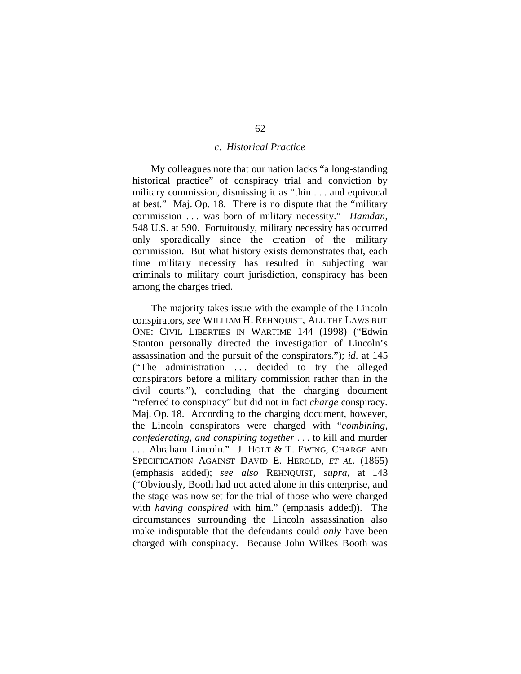## *c. Historical Practice*

My colleagues note that our nation lacks "a long-standing historical practice" of conspiracy trial and conviction by military commission, dismissing it as "thin . . . and equivocal at best." Maj. Op. 18. There is no dispute that the "military commission . . . was born of military necessity." *Hamdan*, 548 U.S. at 590. Fortuitously, military necessity has occurred only sporadically since the creation of the military commission. But what history exists demonstrates that, each time military necessity has resulted in subjecting war criminals to military court jurisdiction, conspiracy has been among the charges tried.

The majority takes issue with the example of the Lincoln conspirators, *see* WILLIAM H. REHNQUIST, ALL THE LAWS BUT ONE: CIVIL LIBERTIES IN WARTIME 144 (1998) ("Edwin Stanton personally directed the investigation of Lincoln's assassination and the pursuit of the conspirators."); *id.* at 145 ("The administration . . . decided to try the alleged conspirators before a military commission rather than in the civil courts."), concluding that the charging document "referred to conspiracy" but did not in fact *charge* conspiracy. Maj. Op. 18. According to the charging document, however, the Lincoln conspirators were charged with "*combining, confederating, and conspiring together* . . . to kill and murder . . . Abraham Lincoln." J. HOLT & T. EWING, CHARGE AND SPECIFICATION AGAINST DAVID E. HEROLD, *ET AL.* (1865) (emphasis added); *see also* REHNQUIST, *supra*, at 143 ("Obviously, Booth had not acted alone in this enterprise, and the stage was now set for the trial of those who were charged with *having conspired* with him." (emphasis added)). The circumstances surrounding the Lincoln assassination also make indisputable that the defendants could *only* have been charged with conspiracy. Because John Wilkes Booth was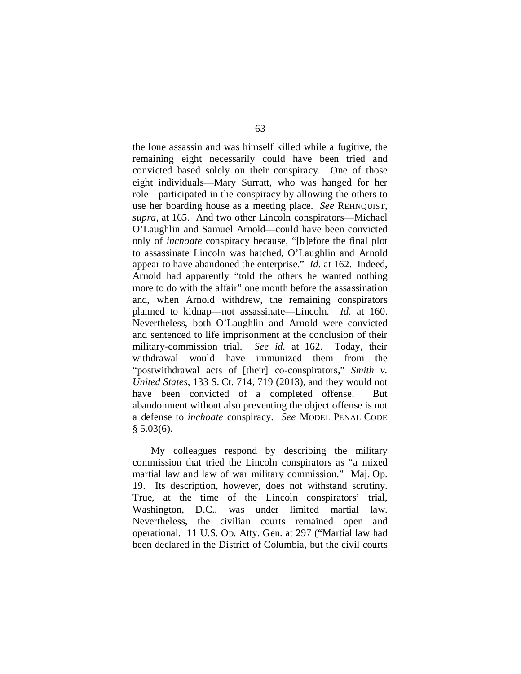the lone assassin and was himself killed while a fugitive, the remaining eight necessarily could have been tried and convicted based solely on their conspiracy. One of those eight individuals—Mary Surratt, who was hanged for her role—participated in the conspiracy by allowing the others to use her boarding house as a meeting place. *See* REHNQUIST, *supra*, at 165. And two other Lincoln conspirators—Michael O'Laughlin and Samuel Arnold—could have been convicted only of *inchoate* conspiracy because, "[b]efore the final plot to assassinate Lincoln was hatched, O'Laughlin and Arnold appear to have abandoned the enterprise." *Id.* at 162. Indeed, Arnold had apparently "told the others he wanted nothing more to do with the affair" one month before the assassination and, when Arnold withdrew, the remaining conspirators planned to kidnap—not assassinate—Lincoln. *Id.* at 160. Nevertheless, both O'Laughlin and Arnold were convicted and sentenced to life imprisonment at the conclusion of their military-commission trial. *See id.* at 162. Today, their withdrawal would have immunized them from the "postwithdrawal acts of [their] co-conspirators," *Smith v. United States*, 133 S. Ct. 714, 719 (2013), and they would not have been convicted of a completed offense. But abandonment without also preventing the object offense is not a defense to *inchoate* conspiracy. *See* MODEL PENAL CODE  $$5.03(6).$ 

My colleagues respond by describing the military commission that tried the Lincoln conspirators as "a mixed martial law and law of war military commission." Maj. Op. 19. Its description, however, does not withstand scrutiny. True, at the time of the Lincoln conspirators' trial, Washington, D.C., was under limited martial law. Nevertheless, the civilian courts remained open and operational. 11 U.S. Op. Atty. Gen. at 297 ("Martial law had been declared in the District of Columbia, but the civil courts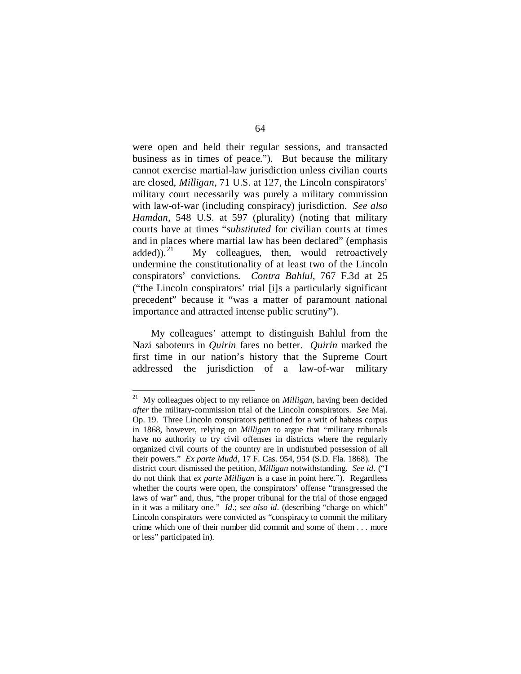were open and held their regular sessions, and transacted business as in times of peace.").But because the military cannot exercise martial-law jurisdiction unless civilian courts are closed, *Milligan*, 71 U.S. at 127, the Lincoln conspirators' military court necessarily was purely a military commission with law-of-war (including conspiracy) jurisdiction. *See also Hamdan*, 548 U.S. at 597 (plurality) (noting that military courts have at times "*substituted* for civilian courts at times and in places where martial law has been declared" (emphasis added)).<sup>[21](#page-111-0)</sup> My colleagues, then, would retroactively undermine the constitutionality of at least two of the Lincoln conspirators' convictions. *Contra Bahlul*, 767 F.3d at 25 ("the Lincoln conspirators' trial [i]s a particularly significant precedent" because it "was a matter of paramount national importance and attracted intense public scrutiny").

My colleagues' attempt to distinguish Bahlul from the Nazi saboteurs in *Quirin* fares no better. *Quirin* marked the first time in our nation's history that the Supreme Court addressed the jurisdiction of a law-of-war military

<span id="page-111-0"></span> <sup>21</sup> My colleagues object to my reliance on *Milligan*, having been decided *after* the military-commission trial of the Lincoln conspirators. *See* Maj. Op. 19. Three Lincoln conspirators petitioned for a writ of habeas corpus in 1868, however, relying on *Milligan* to argue that "military tribunals have no authority to try civil offenses in districts where the regularly organized civil courts of the country are in undisturbed possession of all their powers." *Ex parte Mudd*, 17 F. Cas. 954, 954 (S.D. Fla. 1868). The district court dismissed the petition, *Milligan* notwithstanding. *See id.* ("I do not think that *ex parte Milligan* is a case in point here."). Regardless whether the courts were open, the conspirators' offense "transgressed the laws of war" and, thus, "the proper tribunal for the trial of those engaged in it was a military one." *Id*.; *see also id.* (describing "charge on which" Lincoln conspirators were convicted as "conspiracy to commit the military crime which one of their number did commit and some of them . . . more or less" participated in).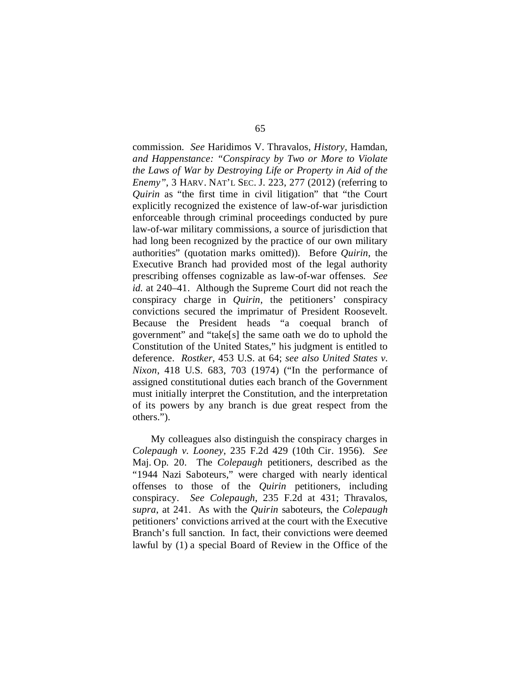commission. *See* Haridimos V. Thravalos, *History,* Hamdan*, and Happenstance: "Conspiracy by Two or More to Violate the Laws of War by Destroying Life or Property in Aid of the Enemy"*, 3 HARV. NAT'L SEC. J. 223, 277 (2012) (referring to *Quirin* as "the first time in civil litigation" that "the Court explicitly recognized the existence of law-of-war jurisdiction enforceable through criminal proceedings conducted by pure law-of-war military commissions, a source of jurisdiction that had long been recognized by the practice of our own military authorities" (quotation marks omitted)). Before *Quirin*, the Executive Branch had provided most of the legal authority prescribing offenses cognizable as law-of-war offenses. *See id.* at 240–41. Although the Supreme Court did not reach the conspiracy charge in *Quirin*, the petitioners' conspiracy convictions secured the imprimatur of President Roosevelt. Because the President heads "a coequal branch of government" and "take[s] the same oath we do to uphold the Constitution of the United States," his judgment is entitled to deference. *Rostker*, 453 U.S. at 64; *see also United States v. Nixon*, 418 U.S. 683, 703 (1974) ("In the performance of assigned constitutional duties each branch of the Government must initially interpret the Constitution, and the interpretation of its powers by any branch is due great respect from the others.").

My colleagues also distinguish the conspiracy charges in *Colepaugh v. Looney*, 235 F.2d 429 (10th Cir. 1956). *See*  Maj. Op. 20. The *Colepaugh* petitioners, described as the "1944 Nazi Saboteurs," were charged with nearly identical offenses to those of the *Quirin* petitioners, including conspiracy. *See Colepaugh*, 235 F.2d at 431; Thravalos, *supra*, at 241. As with the *Quirin* saboteurs, the *Colepaugh*  petitioners' convictions arrived at the court with the Executive Branch's full sanction. In fact, their convictions were deemed lawful by (1) a special Board of Review in the Office of the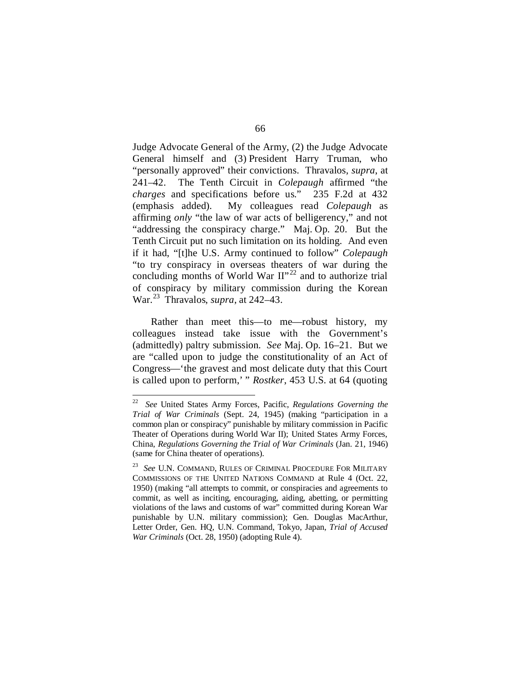Judge Advocate General of the Army, (2) the Judge Advocate General himself and (3) President Harry Truman, who "personally approved" their convictions. Thravalos, *supra*, at 241–42. The Tenth Circuit in *Colepaugh* affirmed "the *charges* and specifications before us." 235 F.2d at 432 (emphasis added). My colleagues read *Colepaugh* as affirming *only* "the law of war acts of belligerency," and not "addressing the conspiracy charge." Maj. Op. 20. But the Tenth Circuit put no such limitation on its holding. And even if it had, "[t]he U.S. Army continued to follow" *Colepaugh* "to try conspiracy in overseas theaters of war during the concluding months of World War  $II^{\prime\prime 22}$  $II^{\prime\prime 22}$  $II^{\prime\prime 22}$  and to authorize trial of conspiracy by military commission during the Korean War.[23](#page-113-1) Thravalos, *supra*, at 242–43.

Rather than meet this—to me—robust history, my colleagues instead take issue with the Government's (admittedly) paltry submission. *See* Maj. Op. 16–21. But we are "called upon to judge the constitutionality of an Act of Congress—'the gravest and most delicate duty that this Court is called upon to perform,' " *Rostker*, 453 U.S. at 64 (quoting

<span id="page-113-0"></span> <sup>22</sup> *See* United States Army Forces, Pacific, *Regulations Governing the Trial of War Criminals* (Sept. 24, 1945) (making "participation in a common plan or conspiracy" punishable by military commission in Pacific Theater of Operations during World War II); United States Army Forces, China, *Regulations Governing the Trial of War Criminals* (Jan. 21, 1946) (same for China theater of operations).

<span id="page-113-1"></span><sup>23</sup> *See* U.N. COMMAND, RULES OF CRIMINAL PROCEDURE FOR MILITARY COMMISSIONS OF THE UNITED NATIONS COMMAND at Rule 4 (Oct. 22, 1950) (making "all attempts to commit, or conspiracies and agreements to commit, as well as inciting, encouraging, aiding, abetting, or permitting violations of the laws and customs of war" committed during Korean War punishable by U.N. military commission); Gen. Douglas MacArthur, Letter Order, Gen. HQ, U.N. Command, Tokyo, Japan, *Trial of Accused War Criminals* (Oct. 28, 1950) (adopting Rule 4).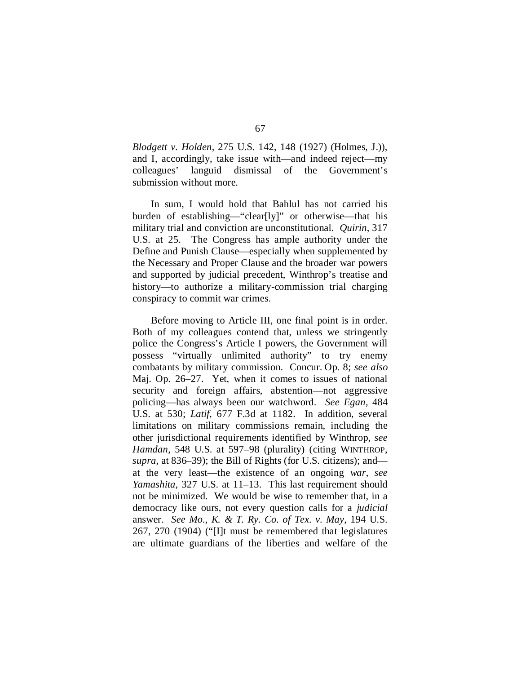*Blodgett v. Holden*, 275 U.S. 142, 148 (1927) (Holmes, J.)), and I, accordingly, take issue with—and indeed reject—my colleagues' languid dismissal of the Government's submission without more.

In sum, I would hold that Bahlul has not carried his burden of establishing—"clear[ly]" or otherwise—that his military trial and conviction are unconstitutional. *Quirin*, 317 U.S. at 25. The Congress has ample authority under the Define and Punish Clause—especially when supplemented by the Necessary and Proper Clause and the broader war powers and supported by judicial precedent, Winthrop's treatise and history—to authorize a military-commission trial charging conspiracy to commit war crimes.

Before moving to Article III, one final point is in order. Both of my colleagues contend that, unless we stringently police the Congress's Article I powers, the Government will possess "virtually unlimited authority" to try enemy combatants by military commission. Concur. Op. 8; *see also*  Maj. Op. 26–27. Yet, when it comes to issues of national security and foreign affairs, abstention—not aggressive policing—has always been our watchword. *See Egan*, 484 U.S. at 530; *Latif*, 677 F.3d at 1182. In addition, several limitations on military commissions remain, including the other jurisdictional requirements identified by Winthrop, *see Hamdan*, 548 U.S. at 597–98 (plurality) (citing WINTHROP, *supra*, at 836–39); the Bill of Rights (for U.S. citizens); and at the very least—the existence of an ongoing *war*, *see Yamashita*, 327 U.S. at 11–13. This last requirement should not be minimized. We would be wise to remember that, in a democracy like ours, not every question calls for a *judicial* answer. *See Mo., K. & T. Ry. Co. of Tex. v. May*, 194 U.S. 267, 270 (1904) ("[I]t must be remembered that legislatures are ultimate guardians of the liberties and welfare of the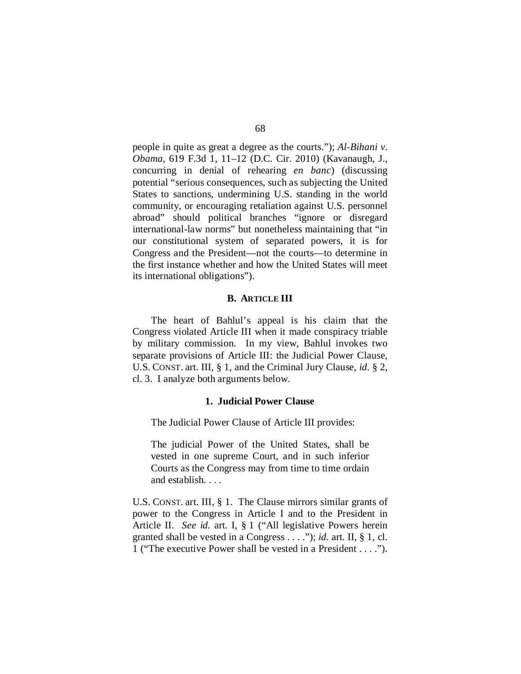people in quite as great a degree as the courts."); *Al-Bihani v. Obama*, 619 F.3d 1, 11–12 (D.C. Cir. 2010) (Kavanaugh, J., concurring in denial of rehearing *en banc*) (discussing potential "serious consequences, such as subjecting the United States to sanctions, undermining U.S. standing in the world community, or encouraging retaliation against U.S. personnel abroad" should political branches "ignore or disregard international-law norms" but nonetheless maintaining that "in our constitutional system of separated powers, it is for Congress and the President—not the courts—to determine in the first instance whether and how the United States will meet its international obligations").

#### **B. ARTICLE III**

The heart of Bahlul's appeal is his claim that the Congress violated Article III when it made conspiracy triable by military commission. In my view, Bahlul invokes two separate provisions of Article III: the Judicial Power Clause, U.S. CONST. art. III, § 1, and the Criminal Jury Clause, *id.* § 2, cl. 3. I analyze both arguments below.

#### **1. Judicial Power Clause**

The Judicial Power Clause of Article III provides:

The judicial Power of the United States, shall be vested in one supreme Court, and in such inferior Courts as the Congress may from time to time ordain and establish. . . .

U.S. CONST. art. III, § 1. The Clause mirrors similar grants of power to the Congress in Article I and to the President in Article II. *See id.* art. I, § 1 ("All legislative Powers herein granted shall be vested in a Congress . . . ."); *id.* art. II, § 1, cl. 1 ("The executive Power shall be vested in a President . . . .").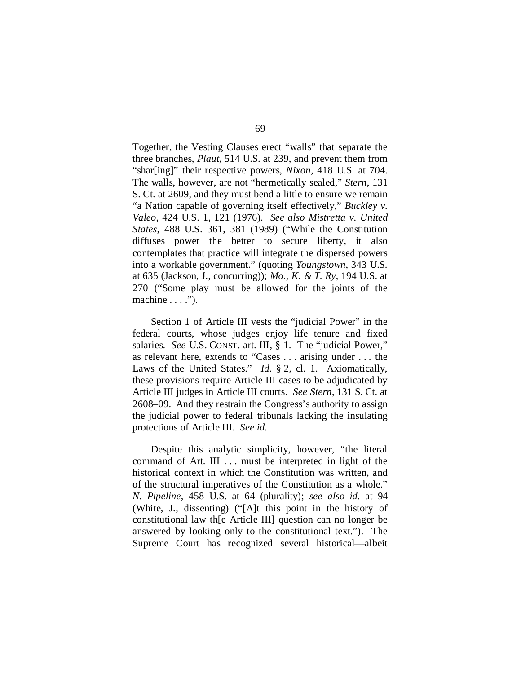Together, the Vesting Clauses erect "walls" that separate the three branches, *Plaut*, 514 U.S. at 239, and prevent them from "shar[ing]" their respective powers, *Nixon*, 418 U.S. at 704. The walls, however, are not "hermetically sealed," *Stern*, 131 S. Ct. at 2609, and they must bend a little to ensure we remain "a Nation capable of governing itself effectively," *Buckley v. Valeo*, 424 U.S. 1, 121 (1976). *See also Mistretta v. United States*, 488 U.S. 361, 381 (1989) ("While the Constitution diffuses power the better to secure liberty, it also contemplates that practice will integrate the dispersed powers into a workable government." (quoting *Youngstown*, 343 U.S. at 635 (Jackson, J., concurring)); *Mo., K. & T. Ry*, 194 U.S. at 270 ("Some play must be allowed for the joints of the machine  $\dots$ .").

Section 1 of Article III vests the "judicial Power" in the federal courts, whose judges enjoy life tenure and fixed salaries. *See* U.S. CONST. art. III, § 1. The "judicial Power," as relevant here, extends to "Cases . . . arising under . . . the Laws of the United States." *Id.* § 2, cl. 1. Axiomatically, these provisions require Article III cases to be adjudicated by Article III judges in Article III courts. *See Stern*, 131 S. Ct. at 2608–09. And they restrain the Congress's authority to assign the judicial power to federal tribunals lacking the insulating protections of Article III. *See id.*

Despite this analytic simplicity, however, "the literal command of Art. III . . . must be interpreted in light of the historical context in which the Constitution was written, and of the structural imperatives of the Constitution as a whole." *N. Pipeline*, 458 U.S. at 64 (plurality); *see also id.* at 94 (White, J., dissenting) ("[A]t this point in the history of constitutional law th[e Article III] question can no longer be answered by looking only to the constitutional text."). The Supreme Court has recognized several historical—albeit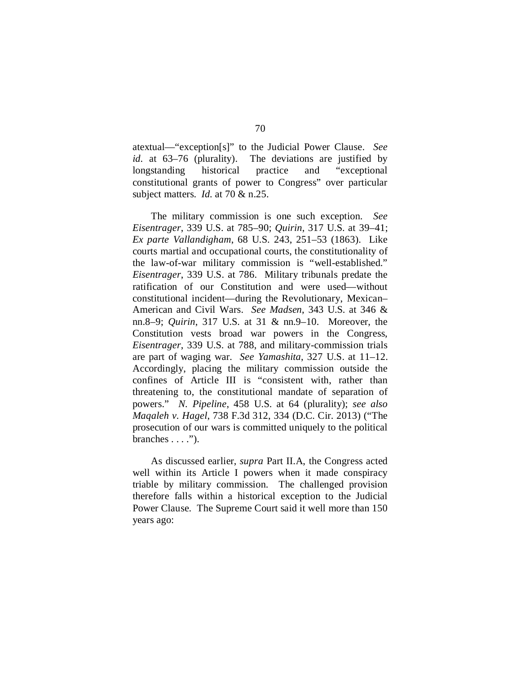atextual—"exception[s]" to the Judicial Power Clause. *See id.* at 63–76 (plurality). The deviations are justified by longstanding historical practice and "exceptional constitutional grants of power to Congress" over particular subject matters. *Id.* at 70 & n.25.

The military commission is one such exception. *See Eisentrager*, 339 U.S. at 785–90; *Quirin*, 317 U.S. at 39–41; *Ex parte Vallandigham*, 68 U.S. 243, 251–53 (1863). Like courts martial and occupational courts, the constitutionality of the law-of-war military commission is "well-established." *Eisentrager*, 339 U.S. at 786. Military tribunals predate the ratification of our Constitution and were used—without constitutional incident—during the Revolutionary, Mexican– American and Civil Wars. *See Madsen*, 343 U.S. at 346 & nn.8–9; *Quirin*, 317 U.S. at 31 & nn.9–10. Moreover, the Constitution vests broad war powers in the Congress, *Eisentrager*, 339 U.S. at 788, and military-commission trials are part of waging war. *See Yamashita*, 327 U.S. at 11–12. Accordingly, placing the military commission outside the confines of Article III is "consistent with, rather than threatening to, the constitutional mandate of separation of powers." *N. Pipeline*, 458 U.S. at 64 (plurality); *see also Maqaleh v. Hagel*, 738 F.3d 312, 334 (D.C. Cir. 2013) ("The prosecution of our wars is committed uniquely to the political branches  $\dots$ ").

As discussed earlier, *supra* Part II.A, the Congress acted well within its Article I powers when it made conspiracy triable by military commission. The challenged provision therefore falls within a historical exception to the Judicial Power Clause. The Supreme Court said it well more than 150 years ago: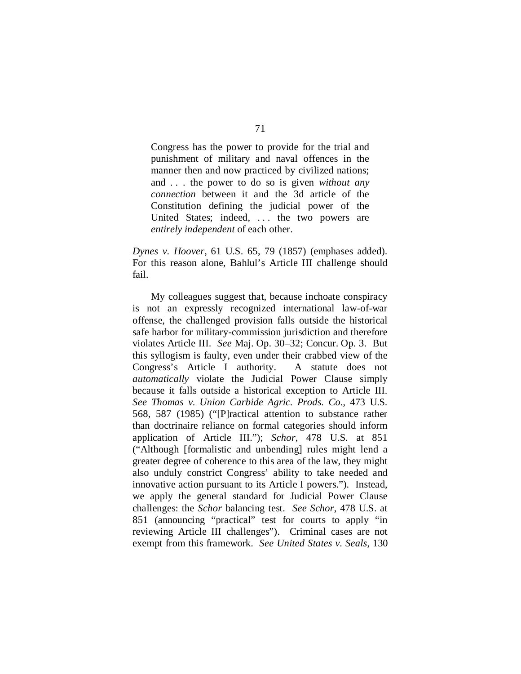Congress has the power to provide for the trial and punishment of military and naval offences in the manner then and now practiced by civilized nations; and . . . the power to do so is given *without any connection* between it and the 3d article of the Constitution defining the judicial power of the United States; indeed, ... the two powers are *entirely independent* of each other.

*Dynes v. Hoover*, 61 U.S. 65, 79 (1857) (emphases added). For this reason alone, Bahlul's Article III challenge should fail.

My colleagues suggest that, because inchoate conspiracy is not an expressly recognized international law-of-war offense, the challenged provision falls outside the historical safe harbor for military-commission jurisdiction and therefore violates Article III. *See* Maj. Op. 30–32; Concur. Op. 3. But this syllogism is faulty, even under their crabbed view of the Congress's Article I authority. A statute does not *automatically* violate the Judicial Power Clause simply because it falls outside a historical exception to Article III. *See Thomas v. Union Carbide Agric. Prods. Co.*, 473 U.S. 568, 587 (1985) ("[P]ractical attention to substance rather than doctrinaire reliance on formal categories should inform application of Article III."); *Schor*, 478 U.S. at 851 ("Although [formalistic and unbending] rules might lend a greater degree of coherence to this area of the law, they might also unduly constrict Congress' ability to take needed and innovative action pursuant to its Article I powers."). Instead, we apply the general standard for Judicial Power Clause challenges: the *Schor* balancing test. *See Schor*, 478 U.S. at 851 (announcing "practical" test for courts to apply "in reviewing Article III challenges"). Criminal cases are not exempt from this framework. *See United States v. Seals*, 130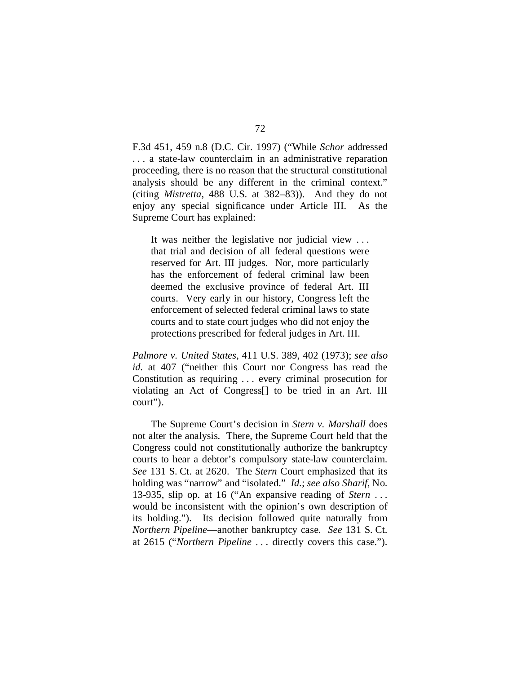F.3d 451, 459 n.8 (D.C. Cir. 1997) ("While *Schor* addressed . . . a state-law counterclaim in an administrative reparation proceeding, there is no reason that the structural constitutional analysis should be any different in the criminal context." (citing *Mistretta*, 488 U.S. at 382–83)). And they do not enjoy any special significance under Article III. As the Supreme Court has explained:

It was neither the legislative nor judicial view . . . that trial and decision of all federal questions were reserved for Art. III judges. Nor, more particularly has the enforcement of federal criminal law been deemed the exclusive province of federal Art. III courts. Very early in our history, Congress left the enforcement of selected federal criminal laws to state courts and to state court judges who did not enjoy the protections prescribed for federal judges in Art. III.

*Palmore v. United States*, 411 U.S. 389, 402 (1973); *see also id.* at 407 ("neither this Court nor Congress has read the Constitution as requiring . . . every criminal prosecution for violating an Act of Congress[] to be tried in an Art. III court").

The Supreme Court's decision in *Stern v. Marshall* does not alter the analysis. There, the Supreme Court held that the Congress could not constitutionally authorize the bankruptcy courts to hear a debtor's compulsory state-law counterclaim. *See* 131 S. Ct. at 2620. The *Stern* Court emphasized that its holding was "narrow" and "isolated." *Id.*; *see also Sharif*, No. 13-935, slip op. at 16 ("An expansive reading of *Stern* . . . would be inconsistent with the opinion's own description of its holding."). Its decision followed quite naturally from *Northern Pipeline*—another bankruptcy case. *See* 131 S. Ct. at 2615 ("*Northern Pipeline* . . . directly covers this case.").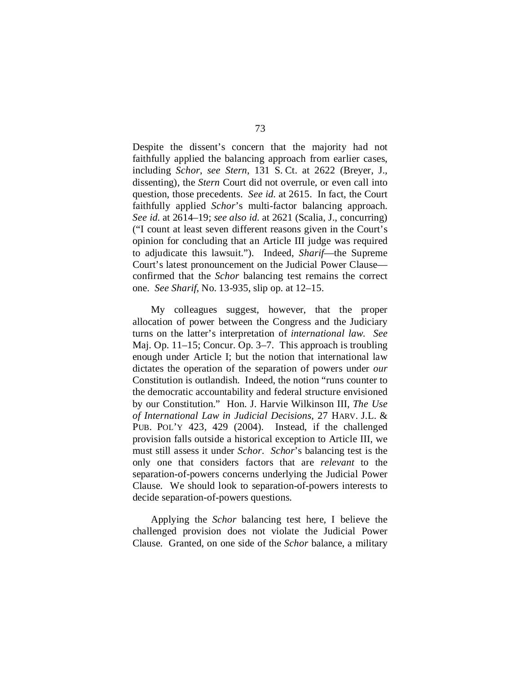Despite the dissent's concern that the majority had not faithfully applied the balancing approach from earlier cases, including *Schor*, *see Stern*, 131 S. Ct. at 2622 (Breyer, J., dissenting), the *Stern* Court did not overrule, or even call into question, those precedents. *See id.* at 2615. In fact, the Court faithfully applied *Schor*'s multi-factor balancing approach. *See id.* at 2614–19; *see also id.* at 2621 (Scalia, J., concurring) ("I count at least seven different reasons given in the Court's opinion for concluding that an Article III judge was required to adjudicate this lawsuit."). Indeed, *Sharif*—the Supreme Court's latest pronouncement on the Judicial Power Clause confirmed that the *Schor* balancing test remains the correct one. *See Sharif*, No. 13-935, slip op. at 12–15.

My colleagues suggest, however, that the proper allocation of power between the Congress and the Judiciary turns on the latter's interpretation of *international law*. *See*  Maj. Op. 11–15; Concur. Op. 3–7. This approach is troubling enough under Article I; but the notion that international law dictates the operation of the separation of powers under *our*  Constitution is outlandish. Indeed, the notion "runs counter to the democratic accountability and federal structure envisioned by our Constitution." Hon. J. Harvie Wilkinson III, *The Use of International Law in Judicial Decisions*, 27 HARV. J.L. & PUB. POL'Y 423, 429 (2004). Instead, if the challenged provision falls outside a historical exception to Article III, we must still assess it under *Schor*. *Schor*'s balancing test is the only one that considers factors that are *relevant* to the separation-of-powers concerns underlying the Judicial Power Clause. We should look to separation-of-powers interests to decide separation-of-powers questions.

Applying the *Schor* balancing test here, I believe the challenged provision does not violate the Judicial Power Clause. Granted, on one side of the *Schor* balance, a military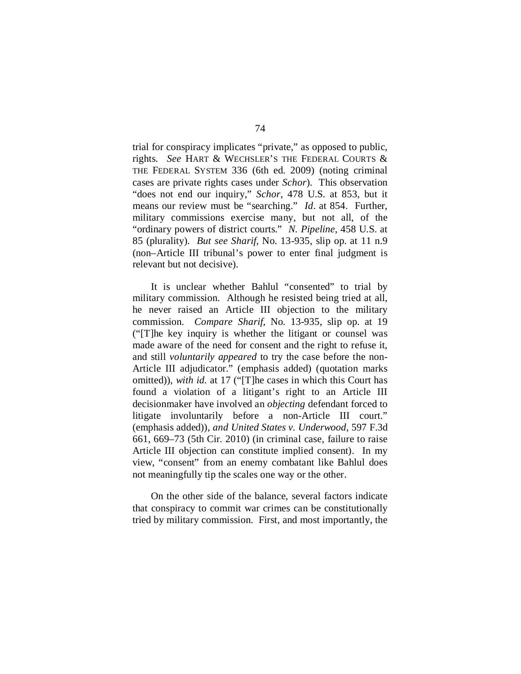trial for conspiracy implicates "private," as opposed to public, rights. *See* HART & WECHSLER'S THE FEDERAL COURTS & THE FEDERAL SYSTEM 336 (6th ed. 2009) (noting criminal cases are private rights cases under *Schor*). This observation "does not end our inquiry," *Schor*, 478 U.S. at 853, but it means our review must be "searching." *Id*. at 854. Further, military commissions exercise many, but not all, of the "ordinary powers of district courts." *N. Pipeline*, 458 U.S. at 85 (plurality). *But see Sharif*, No. 13-935, slip op. at 11 n.9 (non–Article III tribunal's power to enter final judgment is relevant but not decisive).

It is unclear whether Bahlul "consented" to trial by military commission. Although he resisted being tried at all, he never raised an Article III objection to the military commission. *Compare Sharif*, No. 13-935, slip op. at 19 ("[T]he key inquiry is whether the litigant or counsel was made aware of the need for consent and the right to refuse it, and still *voluntarily appeared* to try the case before the non-Article III adjudicator." (emphasis added) (quotation marks omitted)), *with id.* at 17 ("[T]he cases in which this Court has found a violation of a litigant's right to an Article III decisionmaker have involved an *objecting* defendant forced to litigate involuntarily before a non-Article III court." (emphasis added)), *and United States v. Underwood*, 597 F.3d 661, 669–73 (5th Cir. 2010) (in criminal case, failure to raise Article III objection can constitute implied consent). In my view, "consent" from an enemy combatant like Bahlul does not meaningfully tip the scales one way or the other.

On the other side of the balance, several factors indicate that conspiracy to commit war crimes can be constitutionally tried by military commission. First, and most importantly, the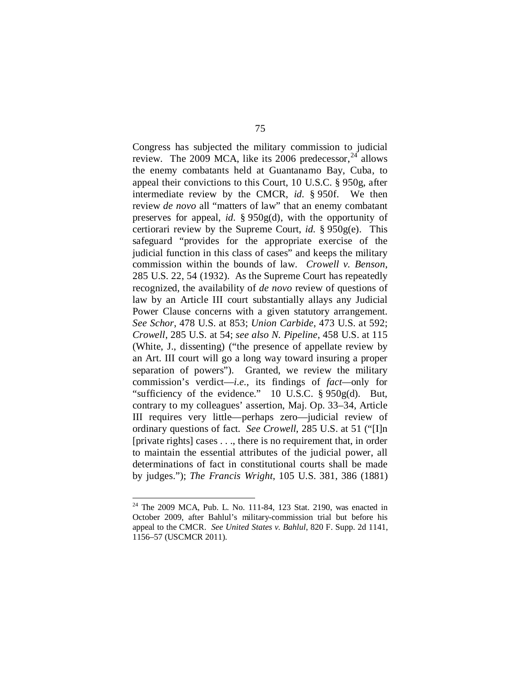Congress has subjected the military commission to judicial review. The 2009 MCA, like its 2006 predecessor,  $^{24}$  $^{24}$  $^{24}$  allows the enemy combatants held at Guantanamo Bay, Cuba, to appeal their convictions to this Court, 10 U.S.C. § 950g, after intermediate review by the CMCR, *id.* § 950f. We then review *de novo* all "matters of law" that an enemy combatant preserves for appeal, *id.* § 950g(d), with the opportunity of certiorari review by the Supreme Court, *id.* § 950g(e). This safeguard "provides for the appropriate exercise of the judicial function in this class of cases" and keeps the military commission within the bounds of law. *Crowell v. Benson*, 285 U.S. 22, 54 (1932). As the Supreme Court has repeatedly recognized, the availability of *de novo* review of questions of law by an Article III court substantially allays any Judicial Power Clause concerns with a given statutory arrangement. *See Schor*, 478 U.S. at 853; *Union Carbide*, 473 U.S. at 592; *Crowell*, 285 U.S. at 54; *see also N. Pipeline*, 458 U.S. at 115 (White, J., dissenting) ("the presence of appellate review by an Art. III court will go a long way toward insuring a proper separation of powers"). Granted, we review the military commission's verdict—*i.e.*, its findings of *fact—*only for "sufficiency of the evidence." 10 U.S.C. § 950g(d). But, contrary to my colleagues' assertion, Maj. Op. 33–34, Article III requires very little—perhaps zero—judicial review of ordinary questions of fact. *See Crowell*, 285 U.S. at 51 ("[I]n [private rights] cases . . ., there is no requirement that, in order to maintain the essential attributes of the judicial power, all determinations of fact in constitutional courts shall be made by judges."); *The Francis Wright*, 105 U.S. 381, 386 (1881)

<span id="page-122-0"></span> <sup>24</sup> The 2009 MCA, Pub. L. No. 111-84, 123 Stat. 2190, was enacted in October 2009, after Bahlul's military-commission trial but before his appeal to the CMCR. *See United States v. Bahlul*, 820 F. Supp. 2d 1141, 1156–57 (USCMCR 2011).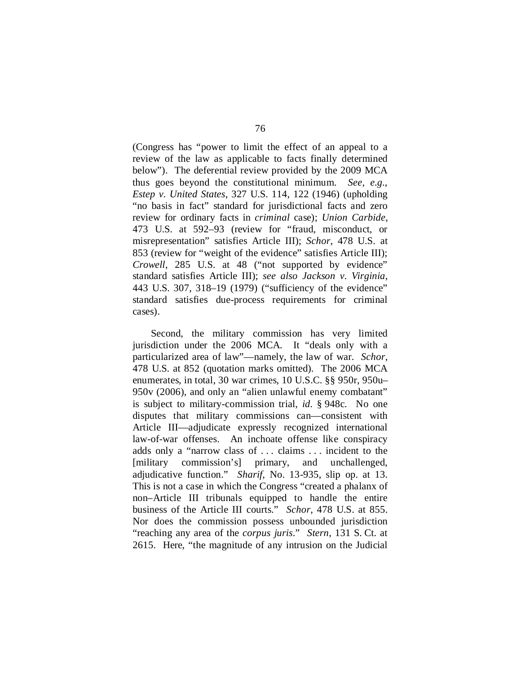(Congress has "power to limit the effect of an appeal to a review of the law as applicable to facts finally determined below"). The deferential review provided by the 2009 MCA thus goes beyond the constitutional minimum. *See, e.g.*, *Estep v. United States*, 327 U.S. 114, 122 (1946) (upholding "no basis in fact" standard for jurisdictional facts and zero review for ordinary facts in *criminal* case); *Union Carbide*, 473 U.S. at 592–93 (review for "fraud, misconduct, or misrepresentation" satisfies Article III); *Schor*, 478 U.S. at 853 (review for "weight of the evidence" satisfies Article III); *Crowell*, 285 U.S. at 48 ("not supported by evidence" standard satisfies Article III); *see also Jackson v. Virginia*, 443 U.S. 307, 318–19 (1979) ("sufficiency of the evidence" standard satisfies due-process requirements for criminal cases).

Second, the military commission has very limited jurisdiction under the 2006 MCA. It "deals only with a particularized area of law"—namely, the law of war. *Schor*, 478 U.S. at 852 (quotation marks omitted). The 2006 MCA enumerates, in total, 30 war crimes, 10 U.S.C. §§ 950r, 950u– 950v (2006), and only an "alien unlawful enemy combatant" is subject to military-commission trial, *id.* § 948c. No one disputes that military commissions can—consistent with Article III—adjudicate expressly recognized international law-of-war offenses. An inchoate offense like conspiracy adds only a "narrow class of . . . claims . . . incident to the [military commission's] primary, and unchallenged, adjudicative function." *Sharif*, No. 13-935, slip op. at 13. This is not a case in which the Congress "created a phalanx of non–Article III tribunals equipped to handle the entire business of the Article III courts." *Schor*, 478 U.S. at 855. Nor does the commission possess unbounded jurisdiction "reaching any area of the *corpus juris*." *Stern*, 131 S. Ct. at 2615. Here, "the magnitude of any intrusion on the Judicial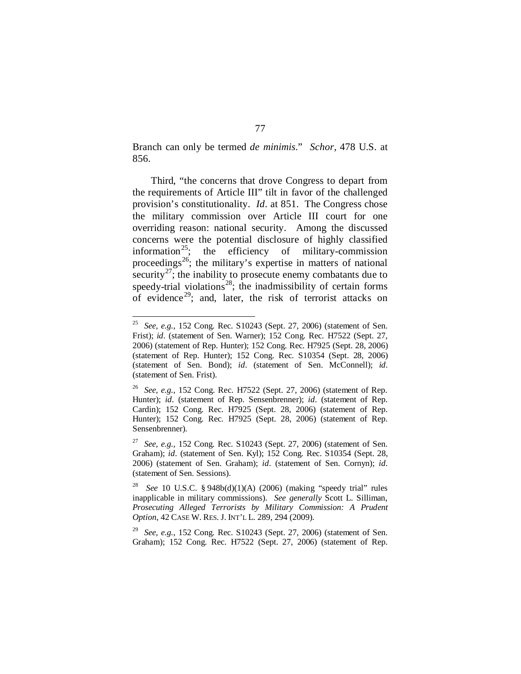Branch can only be termed *de minimis*." *Schor*, 478 U.S. at 856.

Third, "the concerns that drove Congress to depart from the requirements of Article III" tilt in favor of the challenged provision's constitutionality. *Id*. at 851. The Congress chose the military commission over Article III court for one overriding reason: national security. Among the discussed concerns were the potential disclosure of highly classified information<sup>[25](#page-124-0)</sup>; the efficiency of military-commission proceedings<sup>[26](#page-124-1)</sup>; the military's expertise in matters of national security<sup>[27](#page-124-2)</sup>; the inability to prosecute enemy combatants due to speedy-trial violations<sup>28</sup>; the inadmissibility of certain forms of evidence<sup>[29](#page-124-4)</sup>; and, later, the risk of terrorist attacks on

<span id="page-124-0"></span> <sup>25</sup> *See, e.g.*, 152 Cong. Rec. S10243 (Sept. 27, 2006) (statement of Sen. Frist); *id.* (statement of Sen. Warner); 152 Cong. Rec. H7522 (Sept. 27, 2006) (statement of Rep. Hunter); 152 Cong. Rec. H7925 (Sept. 28, 2006) (statement of Rep. Hunter); 152 Cong. Rec. S10354 (Sept. 28, 2006) (statement of Sen. Bond); *id.* (statement of Sen. McConnell); *id.* (statement of Sen. Frist).

<span id="page-124-1"></span><sup>26</sup> *See, e.g.*, 152 Cong. Rec. H7522 (Sept. 27, 2006) (statement of Rep. Hunter); *id.* (statement of Rep. Sensenbrenner); *id.* (statement of Rep. Cardin); 152 Cong. Rec. H7925 (Sept. 28, 2006) (statement of Rep. Hunter); 152 Cong. Rec. H7925 (Sept. 28, 2006) (statement of Rep. Sensenbrenner).

<span id="page-124-2"></span><sup>27</sup> *See, e.g.*, 152 Cong. Rec. S10243 (Sept. 27, 2006) (statement of Sen. Graham); *id.* (statement of Sen. Kyl); 152 Cong. Rec. S10354 (Sept. 28, 2006) (statement of Sen. Graham); *id.* (statement of Sen. Cornyn); *id.* (statement of Sen. Sessions).

<span id="page-124-3"></span><sup>28</sup> *See* 10 U.S.C. § 948b(d)(1)(A) (2006) (making "speedy trial" rules inapplicable in military commissions). *See generally* Scott L. Silliman, *Prosecuting Alleged Terrorists by Military Commission: A Prudent Option*, 42 CASE W. RES. J. INT'L L. 289, 294 (2009).

<span id="page-124-4"></span><sup>29</sup> *See, e.g.*, 152 Cong. Rec. S10243 (Sept. 27, 2006) (statement of Sen. Graham); 152 Cong. Rec. H7522 (Sept. 27, 2006) (statement of Rep.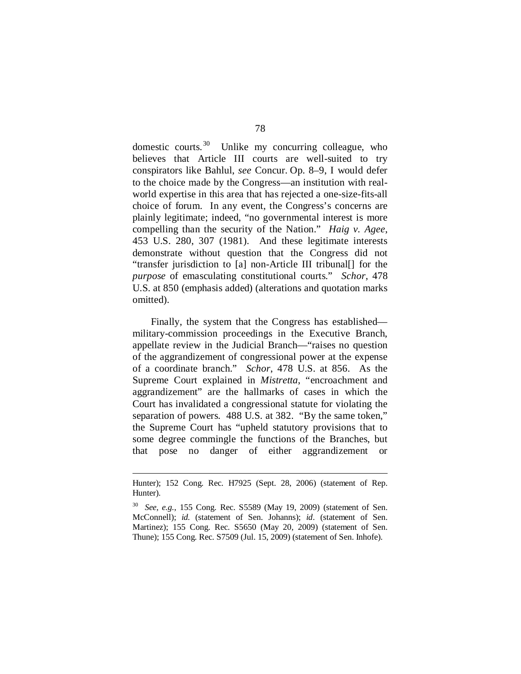domestic courts.<sup>30</sup> Unlike my concurring colleague, who believes that Article III courts are well-suited to try conspirators like Bahlul, *see* Concur. Op. 8–9, I would defer to the choice made by the Congress—an institution with realworld expertise in this area that has rejected a one-size-fits-all choice of forum. In any event, the Congress's concerns are plainly legitimate; indeed, "no governmental interest is more compelling than the security of the Nation." *Haig v. Agee*, 453 U.S. 280, 307 (1981). And these legitimate interests demonstrate without question that the Congress did not "transfer jurisdiction to [a] non-Article III tribunal[] for the *purpose* of emasculating constitutional courts." *Schor*, 478 U.S. at 850 (emphasis added) (alterations and quotation marks omitted).

Finally, the system that the Congress has established military-commission proceedings in the Executive Branch, appellate review in the Judicial Branch—"raises no question of the aggrandizement of congressional power at the expense of a coordinate branch." *Schor*, 478 U.S. at 856. As the Supreme Court explained in *Mistretta*, "encroachment and aggrandizement" are the hallmarks of cases in which the Court has invalidated a congressional statute for violating the separation of powers. 488 U.S. at 382. "By the same token," the Supreme Court has "upheld statutory provisions that to some degree commingle the functions of the Branches, but that pose no danger of either aggrandizement or

<u>.</u>

Hunter); 152 Cong. Rec. H7925 (Sept. 28, 2006) (statement of Rep. Hunter).

<span id="page-125-0"></span><sup>30</sup> *See, e.g.*, 155 Cong. Rec. S5589 (May 19, 2009) (statement of Sen. McConnell); *id.* (statement of Sen. Johanns); *id.* (statement of Sen. Martinez); 155 Cong. Rec. S5650 (May 20, 2009) (statement of Sen. Thune); 155 Cong. Rec. S7509 (Jul. 15, 2009) (statement of Sen. Inhofe).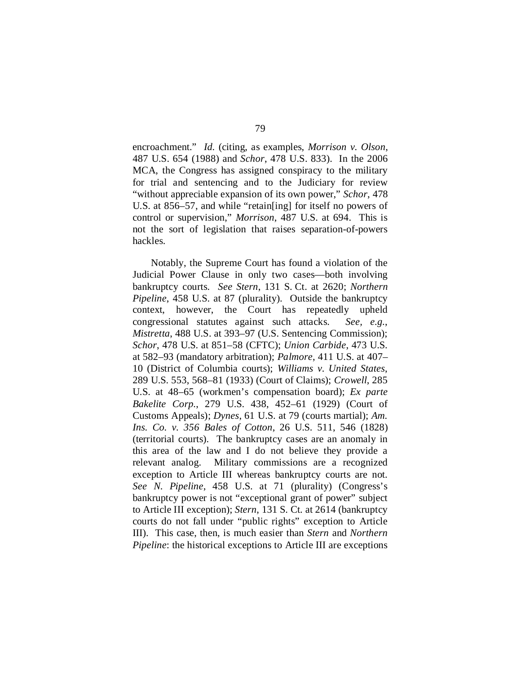encroachment." *Id.* (citing, as examples, *Morrison v. Olson*, 487 U.S. 654 (1988) and *Schor*, 478 U.S. 833). In the 2006 MCA, the Congress has assigned conspiracy to the military for trial and sentencing and to the Judiciary for review "without appreciable expansion of its own power," *Schor*, 478 U.S. at 856–57, and while "retain[ing] for itself no powers of control or supervision," *Morrison*, 487 U.S. at 694. This is not the sort of legislation that raises separation-of-powers hackles.

Notably, the Supreme Court has found a violation of the Judicial Power Clause in only two cases—both involving bankruptcy courts. *See Stern*, 131 S. Ct. at 2620; *Northern Pipeline*, 458 U.S. at 87 (plurality). Outside the bankruptcy context, however, the Court has repeatedly upheld congressional statutes against such attacks. *See, e.g.*, *Mistretta*, 488 U.S. at 393–97 (U.S. Sentencing Commission); *Schor*, 478 U.S. at 851–58 (CFTC); *Union Carbide*, 473 U.S. at 582–93 (mandatory arbitration); *Palmore*, 411 U.S. at 407– 10 (District of Columbia courts); *Williams v. United States*, 289 U.S. 553, 568–81 (1933) (Court of Claims); *Crowell*, 285 U.S. at 48–65 (workmen's compensation board); *Ex parte Bakelite Corp.*, 279 U.S. 438, 452–61 (1929) (Court of Customs Appeals); *Dynes*, 61 U.S. at 79 (courts martial); *Am. Ins. Co. v. 356 Bales of Cotton*, 26 U.S. 511, 546 (1828) (territorial courts). The bankruptcy cases are an anomaly in this area of the law and I do not believe they provide a relevant analog. Military commissions are a recognized exception to Article III whereas bankruptcy courts are not. *See N. Pipeline*, 458 U.S. at 71 (plurality) (Congress's bankruptcy power is not "exceptional grant of power" subject to Article III exception); *Stern*, 131 S. Ct. at 2614 (bankruptcy courts do not fall under "public rights" exception to Article III). This case, then, is much easier than *Stern* and *Northern Pipeline*: the historical exceptions to Article III are exceptions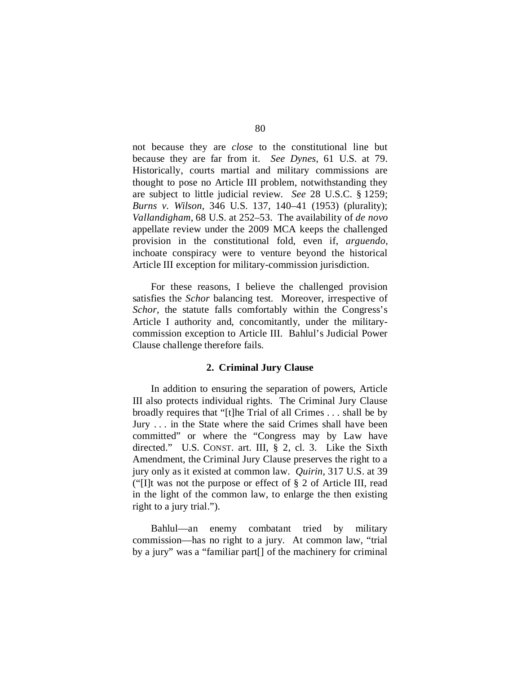not because they are *close* to the constitutional line but because they are far from it. *See Dynes*, 61 U.S. at 79. Historically, courts martial and military commissions are thought to pose no Article III problem, notwithstanding they are subject to little judicial review. *See* 28 U.S.C. § 1259; *Burns v. Wilson*, 346 U.S. 137, 140–41 (1953) (plurality); *Vallandigham*, 68 U.S. at 252–53. The availability of *de novo*  appellate review under the 2009 MCA keeps the challenged provision in the constitutional fold, even if, *arguendo*, inchoate conspiracy were to venture beyond the historical Article III exception for military-commission jurisdiction.

For these reasons, I believe the challenged provision satisfies the *Schor* balancing test. Moreover, irrespective of *Schor*, the statute falls comfortably within the Congress's Article I authority and, concomitantly, under the militarycommission exception to Article III. Bahlul's Judicial Power Clause challenge therefore fails.

## **2. Criminal Jury Clause**

In addition to ensuring the separation of powers, Article III also protects individual rights. The Criminal Jury Clause broadly requires that "[t]he Trial of all Crimes . . . shall be by Jury . . . in the State where the said Crimes shall have been committed" or where the "Congress may by Law have directed." U.S. CONST. art. III, § 2, cl. 3. Like the Sixth Amendment, the Criminal Jury Clause preserves the right to a jury only as it existed at common law. *Quirin*, 317 U.S. at 39 ("[I]t was not the purpose or effect of § 2 of Article III, read in the light of the common law, to enlarge the then existing right to a jury trial.").

Bahlul—an enemy combatant tried by military commission—has no right to a jury. At common law, "trial by a jury" was a "familiar part[] of the machinery for criminal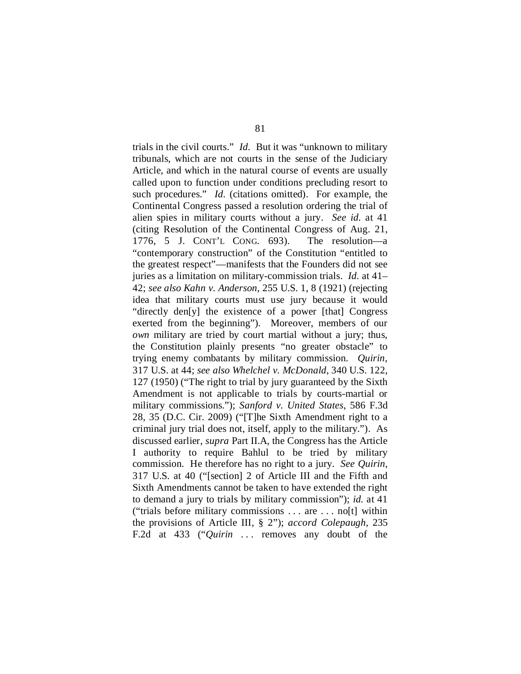trials in the civil courts." *Id.* But it was "unknown to military tribunals, which are not courts in the sense of the Judiciary Article, and which in the natural course of events are usually called upon to function under conditions precluding resort to such procedures." *Id.* (citations omitted). For example, the Continental Congress passed a resolution ordering the trial of alien spies in military courts without a jury. *See id.* at 41 (citing Resolution of the Continental Congress of Aug. 21, 1776, 5 J. CONT'L CONG. 693). The resolution—a "contemporary construction" of the Constitution "entitled to the greatest respect"—manifests that the Founders did not see juries as a limitation on military-commission trials. *Id.* at 41– 42; *see also Kahn v. Anderson*, 255 U.S. 1, 8 (1921) (rejecting idea that military courts must use jury because it would "directly den[y] the existence of a power [that] Congress exerted from the beginning"). Moreover, members of our *own* military are tried by court martial without a jury; thus, the Constitution plainly presents "no greater obstacle" to trying enemy combatants by military commission. *Quirin*, 317 U.S. at 44; *see also Whelchel v. McDonald*, 340 U.S. 122, 127 (1950) ("The right to trial by jury guaranteed by the Sixth Amendment is not applicable to trials by courts-martial or military commissions."); *Sanford v. United States*, 586 F.3d 28, 35 (D.C. Cir. 2009) ("[T]he Sixth Amendment right to a criminal jury trial does not, itself, apply to the military."). As discussed earlier, *supra* Part II.A, the Congress has the Article I authority to require Bahlul to be tried by military commission. He therefore has no right to a jury. *See Quirin*, 317 U.S. at 40 ("[section] 2 of Article III and the Fifth and Sixth Amendments cannot be taken to have extended the right to demand a jury to trials by military commission"); *id.* at 41 ("trials before military commissions . . . are . . . no[t] within the provisions of Article III, § 2"); *accord Colepaugh*, 235 F.2d at 433 ("*Quirin* ... removes any doubt of the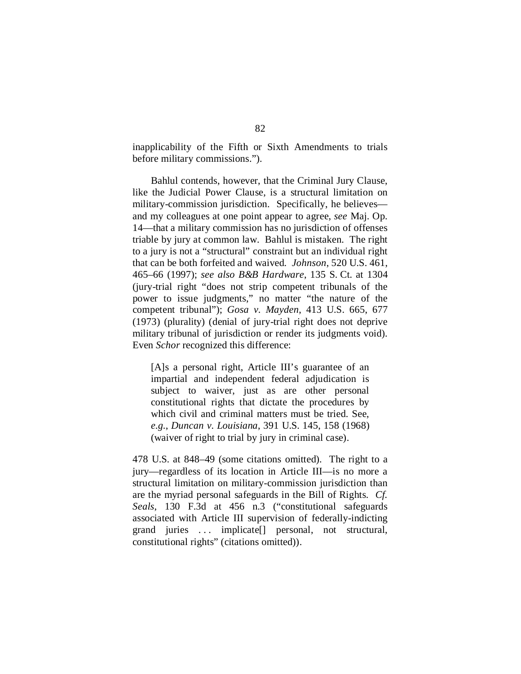inapplicability of the Fifth or Sixth Amendments to trials before military commissions.").

Bahlul contends, however, that the Criminal Jury Clause, like the Judicial Power Clause, is a structural limitation on military-commission jurisdiction. Specifically, he believes and my colleagues at one point appear to agree, *see* Maj. Op. 14—that a military commission has no jurisdiction of offenses triable by jury at common law. Bahlul is mistaken. The right to a jury is not a "structural" constraint but an individual right that can be both forfeited and waived. *Johnson*, 520 U.S. 461, 465–66 (1997); *see also B&B Hardware*, 135 S. Ct. at 1304 (jury-trial right "does not strip competent tribunals of the power to issue judgments," no matter "the nature of the competent tribunal"); *Gosa v. Mayden*, 413 U.S. 665, 677 (1973) (plurality) (denial of jury-trial right does not deprive military tribunal of jurisdiction or render its judgments void). Even *Schor* recognized this difference:

[A]s a personal right, Article III's guarantee of an impartial and independent federal adjudication is subject to waiver, just as are other personal constitutional rights that dictate the procedures by which civil and criminal matters must be tried. See, *e.g.*, *Duncan v. Louisiana*, 391 U.S. 145, 158 (1968) (waiver of right to trial by jury in criminal case).

478 U.S. at 848–49 (some citations omitted). The right to a jury—regardless of its location in Article III—is no more a structural limitation on military-commission jurisdiction than are the myriad personal safeguards in the Bill of Rights. *Cf. Seals*, 130 F.3d at 456 n.3 ("constitutional safeguards associated with Article III supervision of federally-indicting grand juries . . . implicate[] personal, not structural, constitutional rights" (citations omitted)).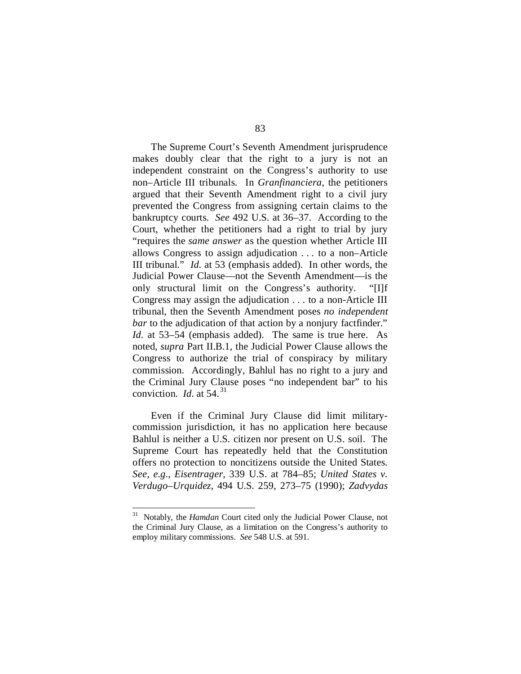The Supreme Court's Seventh Amendment jurisprudence makes doubly clear that the right to a jury is not an independent constraint on the Congress's authority to use non–Article III tribunals. In *Granfinanciera*, the petitioners argued that their Seventh Amendment right to a civil jury prevented the Congress from assigning certain claims to the bankruptcy courts. *See* 492 U.S. at 36–37. According to the Court, whether the petitioners had a right to trial by jury "requires the *same answer* as the question whether Article III allows Congress to assign adjudication . . . to a non–Article III tribunal." *Id.* at 53 (emphasis added). In other words, the Judicial Power Clause—not the Seventh Amendment—is the only structural limit on the Congress's authority. "[I]f Congress may assign the adjudication . . . to a non-Article III tribunal, then the Seventh Amendment poses *no independent bar* to the adjudication of that action by a nonjury factfinder." *Id.* at 53–54 (emphasis added). The same is true here. As noted, *supra* Part II.B.1, the Judicial Power Clause allows the Congress to authorize the trial of conspiracy by military commission. Accordingly, Bahlul has no right to a jury and the Criminal Jury Clause poses "no independent bar" to his conviction. *Id.* at 54. [31](#page-130-0)

Even if the Criminal Jury Clause did limit militarycommission jurisdiction, it has no application here because Bahlul is neither a U.S. citizen nor present on U.S. soil. The Supreme Court has repeatedly held that the Constitution offers no protection to noncitizens outside the United States. *See, e.g.*, *Eisentrager*, 339 U.S. at 784–85; *United States v. Verdugo–Urquidez*, 494 U.S. 259, 273–75 (1990); *Zadvydas* 

<span id="page-130-0"></span> <sup>31</sup> Notably, the *Hamdan* Court cited only the Judicial Power Clause, not the Criminal Jury Clause, as a limitation on the Congress's authority to employ military commissions. *See* 548 U.S. at 591.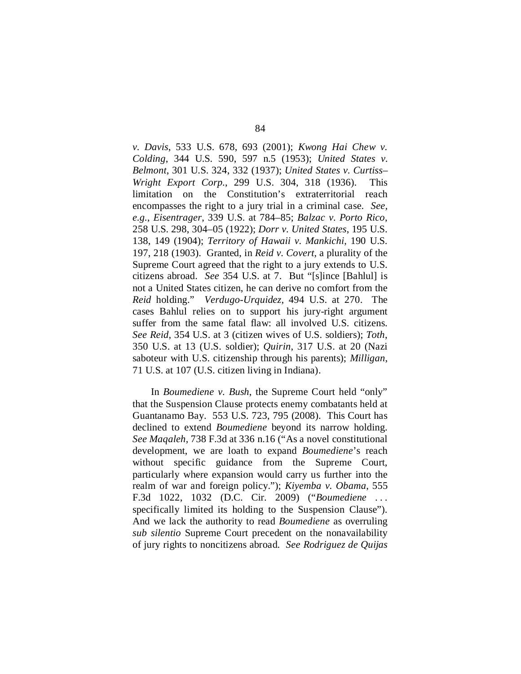*v. Davis*, 533 U.S. 678, 693 (2001); *Kwong Hai Chew v. Colding*, 344 U.S. 590, 597 n.5 (1953); *United States v. Belmont*, 301 U.S. 324, 332 (1937); *United States v. Curtiss– Wright Export Corp.*, 299 U.S. 304, 318 (1936). This limitation on the Constitution's extraterritorial reach encompasses the right to a jury trial in a criminal case. *See, e.g.*, *Eisentrager*, 339 U.S. at 784–85; *Balzac v. Porto Rico*, 258 U.S. 298, 304–05 (1922); *Dorr v. United States*, 195 U.S. 138, 149 (1904); *Territory of Hawaii v. Mankichi*, 190 U.S. 197, 218 (1903). Granted, in *Reid v. Covert*, a plurality of the Supreme Court agreed that the right to a jury extends to U.S. citizens abroad. *See* 354 U.S. at 7. But "[s]ince [Bahlul] is not a United States citizen, he can derive no comfort from the *Reid* holding." *Verdugo-Urquidez*, 494 U.S. at 270. The cases Bahlul relies on to support his jury-right argument suffer from the same fatal flaw: all involved U.S. citizens. *See Reid*, 354 U.S. at 3 (citizen wives of U.S. soldiers); *Toth*, 350 U.S. at 13 (U.S. soldier); *Quirin*, 317 U.S. at 20 (Nazi saboteur with U.S. citizenship through his parents); *Milligan*, 71 U.S. at 107 (U.S. citizen living in Indiana).

In *Boumediene v. Bush*, the Supreme Court held "only" that the Suspension Clause protects enemy combatants held at Guantanamo Bay. 553 U.S. 723, 795 (2008). This Court has declined to extend *Boumediene* beyond its narrow holding. *See Maqaleh*, 738 F.3d at 336 n.16 ("As a novel constitutional development, we are loath to expand *Boumediene*'s reach without specific guidance from the Supreme Court, particularly where expansion would carry us further into the realm of war and foreign policy."); *Kiyemba v. Obama*, 555 F.3d 1022, 1032 (D.C. Cir. 2009) ("*Boumediene* . . . specifically limited its holding to the Suspension Clause"). And we lack the authority to read *Boumediene* as overruling *sub silentio* Supreme Court precedent on the nonavailability of jury rights to noncitizens abroad. *See Rodriguez de Quijas*